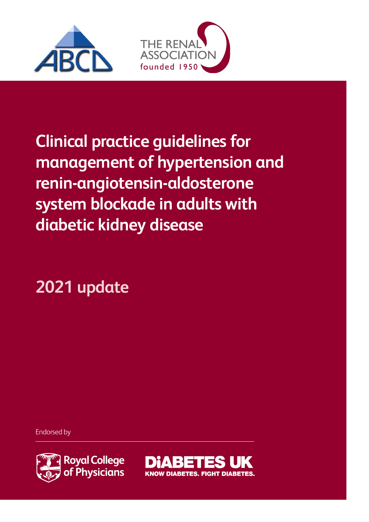



**Clinical practice guidelines for management of hypertension and renin-angiotensin-aldosterone system blockade in adults with diabetic kidney disease**

**2021 update**

Endorsed by



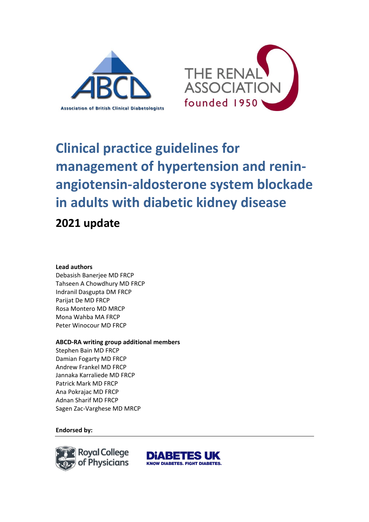



# **Clinical practice guidelines for management of hypertension and reninangiotensin-aldosterone system blockade in adults with diabetic kidney disease 2021 update**

#### **Lead authors**

Debasish Banerjee MD FRCP Tahseen A Chowdhury MD FRCP Indranil Dasgupta DM FRCP Parijat De MD FRCP Rosa Montero MD MRCP Mona Wahba MA FRCP Peter Winocour MD FRCP

#### **ABCD-RA writing group additional members**

Stephen Bain MD FRCP Damian Fogarty MD FRCP Andrew Frankel MD FRCP Jannaka Karraliede MD FRCP Patrick Mark MD FRCP Ana Pokrajac MD FRCP Adnan Sharif MD FRCP Sagen Zac-Varghese MD MRCP

#### **Endorsed by:**



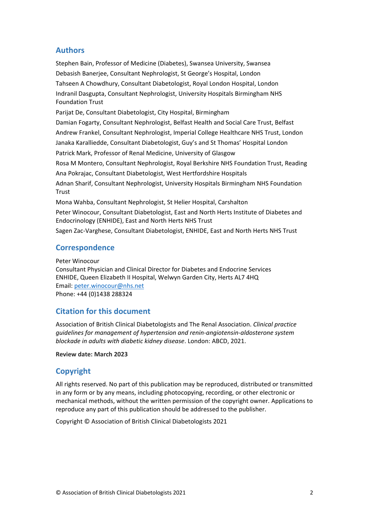## **Authors**

Stephen Bain, Professor of Medicine (Diabetes), Swansea University, Swansea Debasish Banerjee, Consultant Nephrologist, St George's Hospital, London Tahseen A Chowdhury, Consultant Diabetologist, Royal London Hospital, London Indranil Dasgupta, Consultant Nephrologist, University Hospitals Birmingham NHS Foundation Trust Parijat De, Consultant Diabetologist, City Hospital, Birmingham Damian Fogarty, Consultant Nephrologist, Belfast Health and Social Care Trust, Belfast Andrew Frankel, Consultant Nephrologist, Imperial College Healthcare NHS Trust, London Janaka Karalliedde, Consultant Diabetologist, Guy's and St Thomas' Hospital London Patrick Mark, Professor of Renal Medicine, University of Glasgow Rosa M Montero, Consultant Nephrologist, Royal Berkshire NHS Foundation Trust, Reading Ana Pokrajac, Consultant Diabetologist, West Hertfordshire Hospitals Adnan Sharif, Consultant Nephrologist, University Hospitals Birmingham NHS Foundation Trust Mona Wahba, Consultant Nephrologist, St Helier Hospital, Carshalton Peter Winocour, Consultant Diabetologist, East and North Herts Institute of Diabetes and Endocrinology (ENHIDE), East and North Herts NHS Trust

Sagen Zac-Varghese, Consultant Diabetologist, ENHIDE, East and North Herts NHS Trust

#### **Correspondence**

Peter Winocour Consultant Physician and Clinical Director for Diabetes and Endocrine Services ENHIDE, Queen Elizabeth II Hospital, Welwyn Garden City, Herts AL7 4HQ Email: [peter.winocour@nhs.net](mailto:peter.winocour@nhs.net) Phone: +44 (0)1438 288324

## **Citation for this document**

Association of British Clinical Diabetologists and The Renal Association. *Clinical practice guidelines for management of hypertension and renin-angiotensin-aldosterone system blockade in adults with diabetic kidney disease*. London: ABCD, 2021.

**Review date: March 2023**

## **Copyright**

All rights reserved. No part of this publication may be reproduced, distributed or transmitted in any form or by any means, including photocopying, recording, or other electronic or mechanical methods, without the written permission of the copyright owner. Applications to reproduce any part of this publication should be addressed to the publisher.

Copyright © Association of British Clinical Diabetologists 2021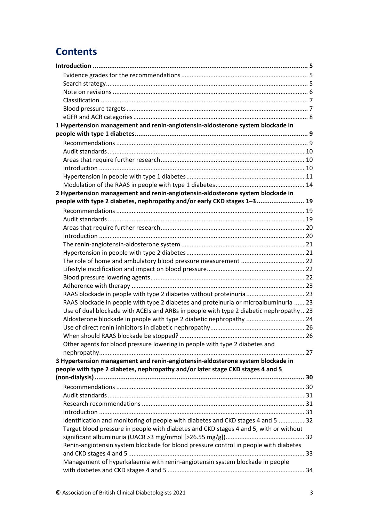# **Contents**

| 1 Hypertension management and renin-angiotensin-aldosterone system blockade in          |  |
|-----------------------------------------------------------------------------------------|--|
|                                                                                         |  |
|                                                                                         |  |
|                                                                                         |  |
|                                                                                         |  |
|                                                                                         |  |
|                                                                                         |  |
|                                                                                         |  |
| 2 Hypertension management and renin-angiotensin-aldosterone system blockade in          |  |
| people with type 2 diabetes, nephropathy and/or early CKD stages 1-3  19                |  |
|                                                                                         |  |
|                                                                                         |  |
|                                                                                         |  |
|                                                                                         |  |
|                                                                                         |  |
|                                                                                         |  |
|                                                                                         |  |
|                                                                                         |  |
|                                                                                         |  |
|                                                                                         |  |
| RAAS blockade in people with type 2 diabetes without proteinuria  23                    |  |
| RAAS blockade in people with type 2 diabetes and proteinuria or microalbuminuria  23    |  |
| Use of dual blockade with ACEIs and ARBs in people with type 2 diabetic nephropathy  23 |  |
| Aldosterone blockade in people with type 2 diabetic nephropathy  24                     |  |
|                                                                                         |  |
|                                                                                         |  |
| Other agents for blood pressure lowering in people with type 2 diabetes and             |  |
|                                                                                         |  |
| 3 Hypertension management and renin-angiotensin-aldosterone system blockade in          |  |
| people with type 2 diabetes, nephropathy and/or later stage CKD stages 4 and 5          |  |
|                                                                                         |  |
|                                                                                         |  |
|                                                                                         |  |
|                                                                                         |  |
|                                                                                         |  |
| Identification and monitoring of people with diabetes and CKD stages 4 and 5  32        |  |
| Target blood pressure in people with diabetes and CKD stages 4 and 5, with or without   |  |
|                                                                                         |  |
| Renin-angiotensin system blockade for blood pressure control in people with diabetes    |  |
| Management of hyperkalaemia with renin-angiotensin system blockade in people            |  |
|                                                                                         |  |
|                                                                                         |  |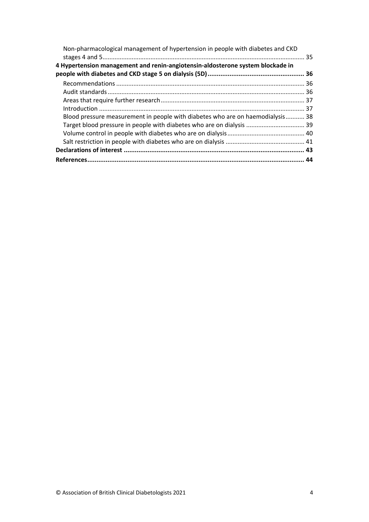| Non-pharmacological management of hypertension in people with diabetes and CKD |  |
|--------------------------------------------------------------------------------|--|
| 4 Hypertension management and renin-angiotensin-aldosterone system blockade in |  |
|                                                                                |  |
|                                                                                |  |
|                                                                                |  |
|                                                                                |  |
|                                                                                |  |
| Blood pressure measurement in people with diabetes who are on haemodialysis 38 |  |
| Target blood pressure in people with diabetes who are on dialysis  39          |  |
|                                                                                |  |
|                                                                                |  |
|                                                                                |  |
|                                                                                |  |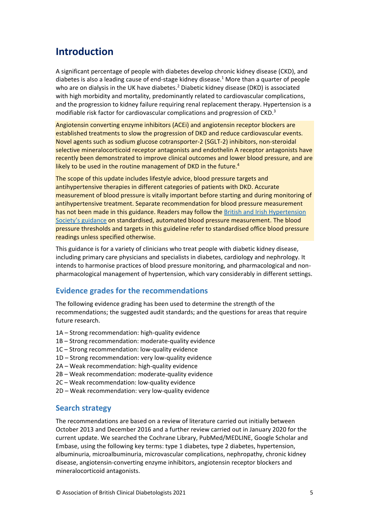# <span id="page-5-0"></span>**Introduction**

A significant percentage of people with diabetes develop chronic kidney disease (CKD), and diabetes is also a leading cause of end-stage kidney disease.<sup>1</sup> More than a quarter of people who are on dialysis in the UK have diabetes.<sup>2</sup> Diabetic kidney disease (DKD) is associated with high morbidity and mortality, predominantly related to cardiovascular complications, and the progression to kidney failure requiring renal replacement therapy. Hypertension is a modifiable risk factor for cardiovascular complications and progression of CKD.<sup>3</sup>

Angiotensin converting enzyme inhibitors (ACEi) and angiotensin receptor blockers are established treatments to slow the progression of DKD and reduce cardiovascular events. Novel agents such as sodium glucose cotransporter-2 (SGLT-2) inhibitors, non-steroidal selective mineralocorticoid receptor antagonists and endothelin A receptor antagonists have recently been demonstrated to improve clinical outcomes and lower blood pressure, and are likely to be used in the routine management of DKD in the future.<sup>4</sup>

The scope of this update includes lifestyle advice, blood pressure targets and antihypertensive therapies in different categories of patients with DKD. Accurate measurement of blood pressure is vitally important before starting and during monitoring of antihypertensive treatment. Separate recommendation for blood pressure measurement has not been made in this guidance. Readers may follow th[e British and Irish Hypertension](https://bihsoc.org/resources/bp-measurement/measure-blood-pressure)  Society's [guidance](https://bihsoc.org/resources/bp-measurement/measure-blood-pressure) on standardised, automated blood pressure measurement. The blood pressure thresholds and targets in this guideline refer to standardised office blood pressure readings unless specified otherwise.

This guidance is for a variety of clinicians who treat people with diabetic kidney disease, including primary care physicians and specialists in diabetes, cardiology and nephrology. It intends to harmonise practices of blood pressure monitoring, and pharmacological and nonpharmacological management of hypertension, which vary considerably in different settings.

## <span id="page-5-1"></span>**Evidence grades for the recommendations**

The following evidence grading has been used to determine the strength of the recommendations; the suggested audit standards; and the questions for areas that require future research.

- 1A Strong recommendation: high-quality evidence
- 1B Strong recommendation: moderate-quality evidence
- 1C Strong recommendation: low-quality evidence
- 1D Strong recommendation: very low-quality evidence
- 2A Weak recommendation: high-quality evidence
- 2B Weak recommendation: moderate-quality evidence
- 2C Weak recommendation: low-quality evidence
- 2D Weak recommendation: very low-quality evidence

#### <span id="page-5-2"></span>**Search strategy**

The recommendations are based on a review of literature carried out initially between October 2013 and December 2016 and a further review carried out in January 2020 for the current update. We searched the Cochrane Library, PubMed/MEDLINE, Google Scholar and Embase, using the following key terms: type 1 diabetes, type 2 diabetes, hypertension, albuminuria, microalbuminuria, microvascular complications, nephropathy, chronic kidney disease, angiotensin-converting enzyme inhibitors, angiotensin receptor blockers and mineralocorticoid antagonists.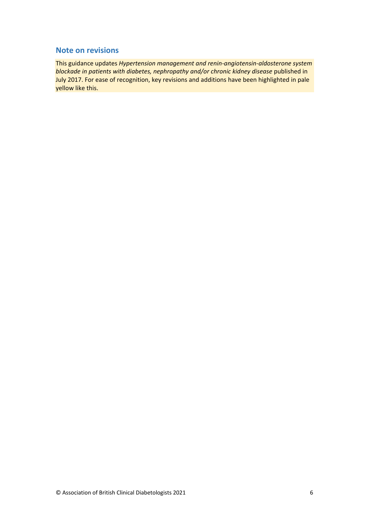## <span id="page-6-0"></span>**Note on revisions**

This guidance updates *Hypertension management and renin-angiotensin-aldosterone system blockade in patients with diabetes, nephropathy and/or chronic kidney disease* published in July 2017. For ease of recognition, key revisions and additions have been highlighted in pale yellow like this.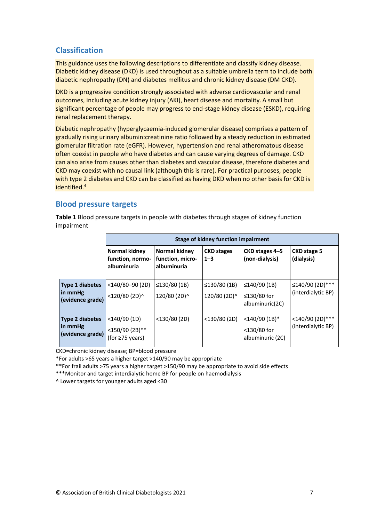## <span id="page-7-0"></span>**Classification**

This guidance uses the following descriptions to differentiate and classify kidney disease. Diabetic kidney disease (DKD) is used throughout as a suitable umbrella term to include both diabetic nephropathy (DN) and diabetes mellitus and chronic kidney disease (DM CKD).

DKD is a progressive condition strongly associated with adverse cardiovascular and renal outcomes, including acute kidney injury (AKI), heart disease and mortality. A small but significant percentage of people may progress to end-stage kidney disease (ESKD), requiring renal replacement therapy.

Diabetic nephropathy (hyperglycaemia-induced glomerular disease) comprises a pattern of gradually rising urinary albumin:creatinine ratio followed by a steady reduction in estimated glomerular filtration rate (eGFR). However, hypertension and renal atheromatous disease often coexist in people who have diabetes and can cause varying degrees of damage. CKD can also arise from causes other than diabetes and vascular disease, therefore diabetes and CKD may coexist with no causal link (although this is rare). For practical purposes, people with type 2 diabetes and CKD can be classified as having DKD when no other basis for CKD is identified.<sup>4</sup>

## <span id="page-7-1"></span>**Blood pressure targets**

**Table 1** Blood pressure targets in people with diabetes through stages of kidney function impairment

|                                                       |                                                              | <b>Stage of kidney function impairment</b>       |                                |                                                      |                                       |  |
|-------------------------------------------------------|--------------------------------------------------------------|--------------------------------------------------|--------------------------------|------------------------------------------------------|---------------------------------------|--|
|                                                       | Normal kidney<br>function, normo-<br>albuminuria             | Normal kidney<br>function, micro-<br>albuminuria | <b>CKD</b> stages<br>$1 - 3$   | CKD stages 4–5<br>(non-dialysis)                     | <b>CKD stage 5</b><br>(dialysis)      |  |
| <b>Type 1 diabetes</b><br>in mmHg<br>(evidence grade) | $<$ 140/80-90 $(2D)$<br><120/80 (2D)^                        | ≤130/80 $(1B)$<br>120/80 (2D)^                   | ≤130/80 $(1B)$<br>120/80 (2D)^ | $\leq$ 140/90 (1B)<br>≤130/80 for<br>albuminuric(2C) | ≤140/90 (2D)***<br>(interdialytic BP) |  |
| <b>Type 2 diabetes</b><br>in mmHg<br>(evidence grade) | $<$ 140/90 $(1D)$<br><150/90 (2B)**<br>(for $\geq$ 75 years) | $<$ 130/80 $(2D)$                                | $<$ 130/80 $(2D)$              | $<$ 140/90 (1B)*<br><130/80 for<br>albuminuric (2C)  | <140/90 (2D)***<br>(interdialytic BP) |  |

CKD=chronic kidney disease; BP=blood pressure

\*For adults >65 years a higher target >140/90 may be appropriate

\*\*For frail adults >75 years a higher target >150/90 may be appropriate to avoid side effects

\*\*\*Monitor and target interdialytic home BP for people on haemodialysis

^ Lower targets for younger adults aged <30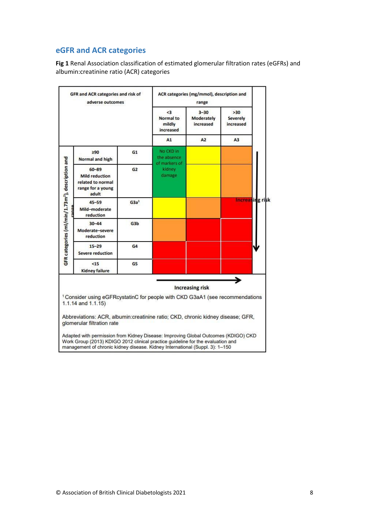# <span id="page-8-0"></span>**eGFR and ACR categories**

**Fig 1** Renal Association classification of estimated glomerular filtration rates (eGFRs) and albumin:creatinine ratio (ACR) categories

| GFR and ACR categories and risk of<br>adverse outcomes       |                                                                                                                                                                                                                                                       | ACR categories (mg/mmol), description and<br>range |                                            |                                     |                        |
|--------------------------------------------------------------|-------------------------------------------------------------------------------------------------------------------------------------------------------------------------------------------------------------------------------------------------------|----------------------------------------------------|--------------------------------------------|-------------------------------------|------------------------|
|                                                              |                                                                                                                                                                                                                                                       | $\leq$ 3<br>Normal to<br>mildly<br>increased       | $3 - 30$<br><b>Moderately</b><br>increased | >30<br><b>Severely</b><br>increased |                        |
|                                                              |                                                                                                                                                                                                                                                       |                                                    | A1                                         | A2                                  | A3                     |
|                                                              | >90<br>Normal and high                                                                                                                                                                                                                                | G1                                                 | No CKD in<br>the absence<br>of markers of  |                                     |                        |
| GFR categories (ml/min/1.73m <sup>2</sup> ), description and | $60 - 89$<br><b>Mild reduction</b><br>related to normal<br>range for a young<br>adult                                                                                                                                                                 | G <sub>2</sub>                                     | kidney<br>damage                           |                                     |                        |
|                                                              | $45 - 59$<br>Mild-moderate<br>reduction                                                                                                                                                                                                               | G3a <sup>1</sup>                                   |                                            |                                     | <b>Increasing risk</b> |
|                                                              | $30 - 44$<br>Moderate-severe<br>reduction                                                                                                                                                                                                             | G <sub>3</sub> b                                   |                                            |                                     |                        |
|                                                              | $15 - 29$<br><b>Severe reduction</b>                                                                                                                                                                                                                  | G <sub>4</sub>                                     |                                            |                                     |                        |
|                                                              | $15$<br><b>Kidney failure</b>                                                                                                                                                                                                                         | G5                                                 |                                            |                                     |                        |
|                                                              |                                                                                                                                                                                                                                                       |                                                    |                                            | <b>Increasing risk</b>              |                        |
|                                                              | <sup>1</sup> Consider using eGFRcystatinC for people with CKD G3aA1 (see recommendations<br>$1.1.14$ and $1.1.15$ )                                                                                                                                   |                                                    |                                            |                                     |                        |
|                                                              | Abbreviations: ACR, albumin:creatinine ratio; CKD, chronic kidney disease; GFR,<br>glomerular filtration rate                                                                                                                                         |                                                    |                                            |                                     |                        |
|                                                              | Adapted with permission from Kidney Disease: Improving Global Outcomes (KDIGO) CKD<br>Work Group (2013) KDIGO 2012 clinical practice guideline for the evaluation and<br>management of chronic kidney disease. Kidney International (Suppl. 3): 1-150 |                                                    |                                            |                                     |                        |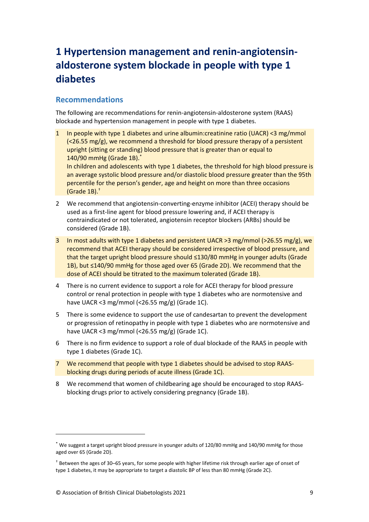# <span id="page-9-0"></span>**1 Hypertension management and renin-angiotensinaldosterone system blockade in people with type 1 diabetes**

## <span id="page-9-1"></span>**Recommendations**

The following are recommendations for renin-angiotensin-aldosterone system (RAAS) blockade and hypertension management in people with type 1 diabetes.

1 In people with type 1 diabetes and urine albumin:creatinine ratio (UACR) <3 mg/mmol (<26.55 mg/g), we recommend a threshold for blood pressure therapy of a persistent upright (sitting or standing) blood pressure that is greater than or equal to 140/90 mmHg (Grade 1B). \*

In children and adolescents with type 1 diabetes, the threshold for high blood pressure is an average systolic blood pressure and/or diastolic blood pressure greater than the 95th percentile for the person's gender, age and height on more than three occasions (Grade 1B).†

- 2 We recommend that angiotensin-converting-enzyme inhibitor (ACEI) therapy should be used as a first-line agent for blood pressure lowering and, if ACEI therapy is contraindicated or not tolerated, angiotensin receptor blockers (ARBs) should be considered (Grade 1B).
- 3 In most adults with type 1 diabetes and persistent UACR >3 mg/mmol (>26.55 mg/g), we recommend that ACEI therapy should be considered irrespective of blood pressure, and that the target upright blood pressure should ≤130/80 mmHg in younger adults (Grade 1B), but ≤140/90 mmHg for those aged over 65 (Grade 2D). We recommend that the dose of ACEI should be titrated to the maximum tolerated (Grade 1B).
- 4 There is no current evidence to support a role for ACEI therapy for blood pressure control or renal protection in people with type 1 diabetes who are normotensive and have UACR <3 mg/mmol (<26.55 mg/g) (Grade 1C).
- 5 There is some evidence to support the use of candesartan to prevent the development or progression of retinopathy in people with type 1 diabetes who are normotensive and have UACR <3 mg/mmol (<26.55 mg/g) (Grade 1C).
- 6 There is no firm evidence to support a role of dual blockade of the RAAS in people with type 1 diabetes (Grade 1C).
- 7 We recommend that people with type 1 diabetes should be advised to stop RAASblocking drugs during periods of acute illness (Grade 1C).
- 8 We recommend that women of childbearing age should be encouraged to stop RAASblocking drugs prior to actively considering pregnancy (Grade 1B).

<sup>\*</sup> We suggest a target upright blood pressure in younger adults of 120/80 mmHg and 140/90 mmHg for those aged over 65 (Grade 2D).

<sup>†</sup> Between the ages of 30–65 years, for some people with higher lifetime risk through earlier age of onset of type 1 diabetes, it may be appropriate to target a diastolic BP of less than 80 mmHg (Grade 2C).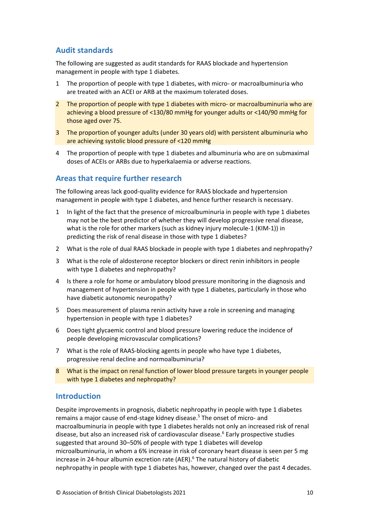## <span id="page-10-0"></span>**Audit standards**

The following are suggested as audit standards for RAAS blockade and hypertension management in people with type 1 diabetes.

- 1 The proportion of people with type 1 diabetes, with micro- or macroalbuminuria who are treated with an ACEI or ARB at the maximum tolerated doses.
- 2 The proportion of people with type 1 diabetes with micro- or macroalbuminuria who are achieving a blood pressure of <130/80 mmHg for younger adults or <140/90 mmHg for those aged over 75.
- 3 The proportion of younger adults (under 30 years old) with persistent albuminuria who are achieving systolic blood pressure of <120 mmHg
- 4 The proportion of people with type 1 diabetes and albuminuria who are on submaximal doses of ACEIs or ARBs due to hyperkalaemia or adverse reactions.

## <span id="page-10-1"></span>**Areas that require further research**

The following areas lack good-quality evidence for RAAS blockade and hypertension management in people with type 1 diabetes, and hence further research is necessary.

- 1 In light of the fact that the presence of microalbuminuria in people with type 1 diabetes may not be the best predictor of whether they will develop progressive renal disease, what is the role for other markers (such as kidney injury molecule-1 (KIM-1)) in predicting the risk of renal disease in those with type 1 diabetes?
- 2 What is the role of dual RAAS blockade in people with type 1 diabetes and nephropathy?
- 3 What is the role of aldosterone receptor blockers or direct renin inhibitors in people with type 1 diabetes and nephropathy?
- 4 Is there a role for home or ambulatory blood pressure monitoring in the diagnosis and management of hypertension in people with type 1 diabetes, particularly in those who have diabetic autonomic neuropathy?
- 5 Does measurement of plasma renin activity have a role in screening and managing hypertension in people with type 1 diabetes?
- 6 Does tight glycaemic control and blood pressure lowering reduce the incidence of people developing microvascular complications?
- 7 What is the role of RAAS-blocking agents in people who have type 1 diabetes, progressive renal decline and normoalbuminuria?
- 8 What is the impact on renal function of lower blood pressure targets in younger people with type 1 diabetes and nephropathy?

## <span id="page-10-2"></span>**Introduction**

Despite improvements in prognosis, diabetic nephropathy in people with type 1 diabetes remains a major cause of end-stage kidney disease.<sup>5</sup> The onset of micro- and macroalbuminuria in people with type 1 diabetes heralds not only an increased risk of renal disease, but also an increased risk of cardiovascular disease.<sup>6</sup> Early prospective studies suggested that around 30–50% of people with type 1 diabetes will develop microalbuminuria, in whom a 6% increase in risk of coronary heart disease is seen per 5 mg increase in 24-hour albumin excretion rate (AER).<sup>6</sup> The natural history of diabetic nephropathy in people with type 1 diabetes has, however, changed over the past 4 decades.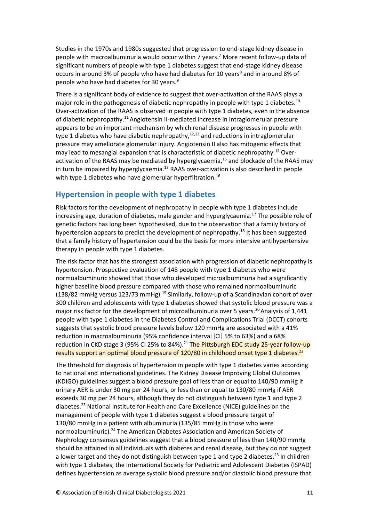Studies in the 1970s and 1980s suggested that progression to end-stage kidney disease in people with macroalbuminuria would occur within 7 years.<sup>7</sup> More recent follow-up data of significant numbers of people with type 1 diabetes suggest that end-stage kidney disease occurs in around 3% of people who have had diabetes for 10 years<sup>8</sup> and in around 8% of people who have had diabetes for 30 years.<sup>9</sup>

There is a significant body of evidence to suggest that over-activation of the RAAS plays a major role in the pathogenesis of diabetic nephropathy in people with type 1 diabetes.<sup>10</sup> Over-activation of the RAAS is observed in people with type 1 diabetes, even in the absence of diabetic nephropathy.<sup>11</sup> Angiotensin II-mediated increase in intraglomerular pressure appears to be an important mechanism by which renal disease progresses in people with type 1 diabetes who have diabetic nephropathy, $12,13$  and reductions in intraglomerular pressure may ameliorate glomerular injury. Angiotensin II also has mitogenic effects that may lead to mesangial expansion that is characteristic of diabetic nephropathy.<sup>14</sup> Overactivation of the RAAS may be mediated by hyperglycaemia,<sup>15</sup> and blockade of the RAAS may in turn be impaired by hyperglycaemia.<sup>13</sup> RAAS over-activation is also described in people with type 1 diabetes who have glomerular hyperfiltration.<sup>16</sup>

## <span id="page-11-0"></span>**Hypertension in people with type 1 diabetes**

Risk factors for the development of nephropathy in people with type 1 diabetes include increasing age, duration of diabetes, male gender and hyperglycaemia.<sup>17</sup> The possible role of genetic factors has long been hypothesised, due to the observation that a family history of hypertension appears to predict the development of nephropathy.<sup>18</sup> It has been suggested that a family history of hypertension could be the basis for more intensive antihypertensive therapy in people with type 1 diabetes.

The risk factor that has the strongest association with progression of diabetic nephropathy is hypertension. Prospective evaluation of 148 people with type 1 diabetes who were normoalbuminuric showed that those who developed microalbuminuria had a significantly higher baseline blood pressure compared with those who remained normoalbuminuric (138/82 mmHg versus 123/73 mmHg).<sup>19</sup> Similarly, follow-up of a Scandinavian cohort of over 300 children and adolescents with type 1 diabetes showed that systolic blood pressure was a major risk factor for the development of microalbuminuria over 5 years.<sup>20</sup> Analysis of 1.441 people with type 1 diabetes in the Diabetes Control and Complications Trial (DCCT) cohorts suggests that systolic blood pressure levels below 120 mmHg are associated with a 41% reduction in macroalbuminuria (95% confidence interval [CI] 5% to 63%) and a 68% reduction in CKD stage 3 (95% CI 25% to 84%).<sup>21</sup> The Pittsburgh EDC study 25-year follow-up results support an optimal blood pressure of 120/80 in childhood onset type 1 diabetes.<sup>22</sup>

The threshold for diagnosis of hypertension in people with type 1 diabetes varies according to national and international guidelines. The Kidney Disease Improving Global Outcomes (KDIGO) guidelines suggest a blood pressure goal of less than or equal to 140/90 mmHg if urinary AER is under 30 mg per 24 hours, or less than or equal to 130/80 mmHg if AER exceeds 30 mg per 24 hours, although they do not distinguish between type 1 and type 2 diabetes.<sup>23</sup> National Institute for Health and Care Excellence (NICE) guidelines on the management of people with type 1 diabetes suggest a blood pressure target of 130/80 mmHg in a patient with albuminuria (135/85 mmHg in those who were normoalbuminuric).<sup>24</sup> The American Diabetes Association and American Society of Nephrology consensus guidelines suggest that a blood pressure of less than 140/90 mmHg should be attained in all individuals with diabetes and renal disease, but they do not suggest a lower target and they do not distinguish between type 1 and type 2 diabetes.<sup>25</sup> In children with type 1 diabetes, the International Society for Pediatric and Adolescent Diabetes (ISPAD) defines hypertension as average systolic blood pressure and/or diastolic blood pressure that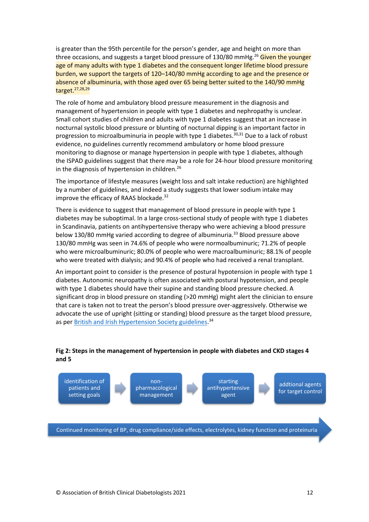is greater than the 95th percentile for the person's gender, age and height on more than three occasions, and suggests a target blood pressure of 130/80 mmHg.<sup>26</sup> Given the younger age of many adults with type 1 diabetes and the consequent longer lifetime blood pressure burden, we support the targets of 120–140/80 mmHg according to age and the presence or absence of albuminuria, with those aged over 65 being better suited to the 140/90 mmHg target.27,28,29

The role of home and ambulatory blood pressure measurement in the diagnosis and management of hypertension in people with type 1 diabetes and nephropathy is unclear. Small cohort studies of children and adults with type 1 diabetes suggest that an increase in nocturnal systolic blood pressure or blunting of nocturnal dipping is an important factor in progression to microalbuminuria in people with type 1 diabetes.<sup>30,31</sup> Due to a lack of robust evidence, no guidelines currently recommend ambulatory or home blood pressure monitoring to diagnose or manage hypertension in people with type 1 diabetes, although the ISPAD guidelines suggest that there may be a role for 24-hour blood pressure monitoring in the diagnosis of hypertension in children.<sup>26</sup>

The importance of lifestyle measures (weight loss and salt intake reduction) are highlighted by a number of guidelines, and indeed a study suggests that lower sodium intake may improve the efficacy of RAAS blockade.<sup>32</sup>

There is evidence to suggest that management of blood pressure in people with type 1 diabetes may be suboptimal. In a large cross-sectional study of people with type 1 diabetes in Scandinavia, patients on antihypertensive therapy who were achieving a blood pressure below 130/80 mmHg varied according to degree of albuminuria.<sup>33</sup> Blood pressure above 130/80 mmHg was seen in 74.6% of people who were normoalbuminuric; 71.2% of people who were microalbuminuric; 80.0% of people who were macroalbuminuric; 88.1% of people who were treated with dialysis; and 90.4% of people who had received a renal transplant.

An important point to consider is the presence of postural hypotension in people with type 1 diabetes. Autonomic neuropathy is often associated with postural hypotension, and people with type 1 diabetes should have their supine and standing blood pressure checked. A significant drop in blood pressure on standing (>20 mmHg) might alert the clinician to ensure that care is taken not to treat the person's blood pressure over-aggressively. Otherwise we advocate the use of upright (sitting or standing) blood pressure as the target blood pressure, as per **British and Irish Hypertension Society guidelines.**<sup>34</sup>

#### **Fig 2: Steps in the management of hypertension in people with diabetes and CKD stages 4 and 5**

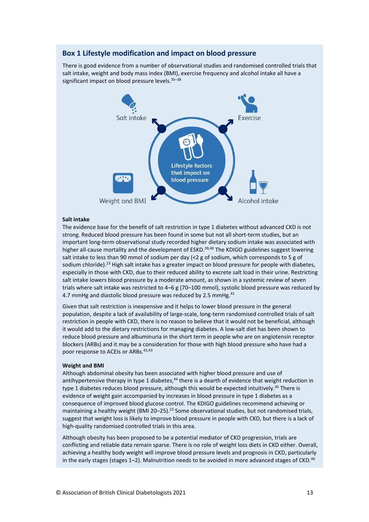#### **Box 1 Lifestyle modification and impact on blood pressure**

There is good evidence from a number of observational studies and randomised controlled trials that salt intake, weight and body mass index (BMI), exercise frequency and alcohol intake all have a significant impact on blood pressure levels.<sup>35-38</sup>



#### **Salt intake**

The evidence base for the benefit of salt restriction in type 1 diabetes without advanced CKD is not strong. Reduced blood pressure has been found in some but not all short-term studies, but an important long-term observational study recorded higher dietary sodium intake was associated with higher all-cause mortality and the development of ESKD.<sup>39,40</sup> The KDIGO guidelines suggest lowering salt intake to less than 90 mmol of sodium per day (<2 g of sodium, which corresponds to 5 g of sodium chloride).<sup>23</sup> High salt intake has a greater impact on blood pressure for people with diabetes, especially in those with CKD, due to their reduced ability to excrete salt load in their urine. Restricting salt intake lowers blood pressure by a moderate amount, as shown in a systemic review of seven trials where salt intake was restricted to 4–6 g (70–100 mmol), systolic blood pressure was reduced by 4.7 mmHg and diastolic blood pressure was reduced by 2.5 mmHg.<sup>41</sup>

Given that salt restriction is inexpensive and it helps to lower blood pressure in the general population, despite a lack of availability of large-scale, long-term randomised controlled trials of salt restriction in people with CKD, there is no reason to believe that it would not be beneficial, although it would add to the dietary restrictions for managing diabetes. A low-salt diet has been shown to reduce blood pressure and albuminuria in the short term in people who are on angiotensin receptor blockers (ARBs) and it may be a consideration for those with high blood pressure who have had a poor response to ACEIs or ARBs.<sup>42,43</sup>

#### **Weight and BMI**

Although abdominal obesity has been associated with higher blood pressure and use of antihypertensive therapy in type 1 diabetes,<sup>44</sup> there is a dearth of evidence that weight reduction in type 1 diabetes reduces blood pressure, although this would be expected intuitively.<sup>45</sup> There is evidence of weight gain accompanied by increases in blood pressure in type 1 diabetes as a consequence of improved blood glucose control. The KDIGO guidelines recommend achieving or maintaining a healthy weight (BMI 20-25).<sup>23</sup> Some observational studies, but not randomised trials, suggest that weight loss is likely to improve blood pressure in people with CKD, but there is a lack of high-quality randomised controlled trials in this area.

Although obesity has been proposed to be a potential mediator of CKD progression, trials are conflicting and reliable data remain sparse. There is no role of weight loss diets in CKD either. Overall, achieving a healthy body weight will improve blood pressure levels and prognosis in CKD, particularly in the early stages (stages  $1-2$ ). Malnutrition needs to be avoided in more advanced stages of CKD.<sup>46</sup>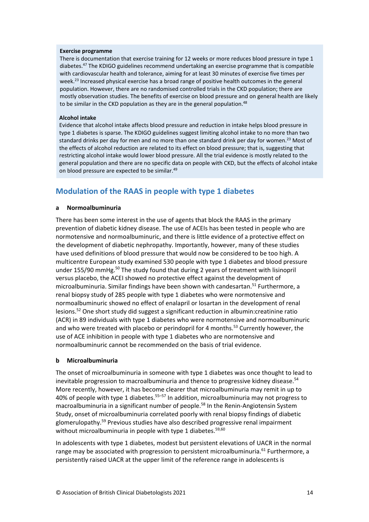#### **Exercise programme**

There is documentation that exercise training for 12 weeks or more reduces blood pressure in type 1 diabetes.<sup>47</sup> The KDIGO guidelines recommend undertaking an exercise programme that is compatible with cardiovascular health and tolerance, aiming for at least 30 minutes of exercise five times per week.<sup>23</sup> Increased physical exercise has a broad range of positive health outcomes in the general population. However, there are no randomised controlled trials in the CKD population; there are mostly observation studies. The benefits of exercise on blood pressure and on general health are likely to be similar in the CKD population as they are in the general population.<sup>48</sup>

#### **Alcohol intake**

Evidence that alcohol intake affects blood pressure and reduction in intake helps blood pressure in type 1 diabetes is sparse. The KDIGO guidelines suggest limiting alcohol intake to no more than two standard drinks per day for men and no more than one standard drink per day for women.<sup>23</sup> Most of the effects of alcohol reduction are related to its effect on blood pressure; that is, suggesting that restricting alcohol intake would lower blood pressure. All the trial evidence is mostly related to the general population and there are no specific data on people with CKD, but the effects of alcohol intake on blood pressure are expected to be similar.<sup>49</sup>

## <span id="page-14-0"></span>**Modulation of the RAAS in people with type 1 diabetes**

#### **a Normoalbuminuria**

There has been some interest in the use of agents that block the RAAS in the primary prevention of diabetic kidney disease. The use of ACEIs has been tested in people who are normotensive and normoalbuminuric, and there is little evidence of a protective effect on the development of diabetic nephropathy. Importantly, however, many of these studies have used definitions of blood pressure that would now be considered to be too high. A multicentre European study examined 530 people with type 1 diabetes and blood pressure under 155/90 mmHg.<sup>50</sup> The study found that during 2 years of treatment with lisinopril versus placebo, the ACEI showed no protective effect against the development of microalbuminuria. Similar findings have been shown with candesartan.<sup>51</sup> Furthermore, a renal biopsy study of 285 people with type 1 diabetes who were normotensive and normoalbuminuric showed no effect of enalapril or losartan in the development of renal lesions.<sup>52</sup> One short study did suggest a significant reduction in albumin:creatinine ratio (ACR) in 89 individuals with type 1 diabetes who were normotensive and normoalbuminuric and who were treated with placebo or perindopril for 4 months.<sup>53</sup> Currently however, the use of ACE inhibition in people with type 1 diabetes who are normotensive and normoalbuminuric cannot be recommended on the basis of trial evidence.

#### **b Microalbuminuria**

The onset of microalbuminuria in someone with type 1 diabetes was once thought to lead to inevitable progression to macroalbuminuria and thence to progressive kidney disease.<sup>54</sup> More recently, however, it has become clearer that microalbuminuria may remit in up to 40% of people with type 1 diabetes.<sup>55-57</sup> In addition, microalbuminuria may not progress to macroalbuminuria in a significant number of people. <sup>58</sup> In the Renin-Angiotensin System Study, onset of microalbuminuria correlated poorly with renal biopsy findings of diabetic glomerulopathy.<sup>59</sup> Previous studies have also described progressive renal impairment without microalbuminuria in people with type 1 diabetes.<sup>59,60</sup>

In adolescents with type 1 diabetes, modest but persistent elevations of UACR in the normal range may be associated with progression to persistent microalbuminuria.<sup>61</sup> Furthermore, a persistently raised UACR at the upper limit of the reference range in adolescents is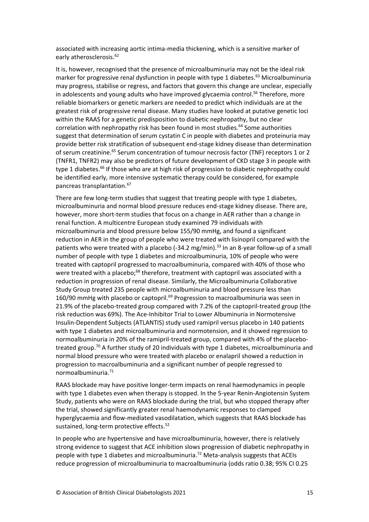associated with increasing aortic intima-media thickening, which is a sensitive marker of early atherosclerosis.<sup>62</sup>

It is, however, recognised that the presence of microalbuminuria may not be the ideal risk marker for progressive renal dysfunction in people with type 1 diabetes.<sup>63</sup> Microalbuminuria may progress, stabilise or regress, and factors that govern this change are unclear, especially in adolescents and young adults who have improved glycaemia control.<sup>56</sup> Therefore, more reliable biomarkers or genetic markers are needed to predict which individuals are at the greatest risk of progressive renal disease. Many studies have looked at putative genetic loci within the RAAS for a genetic predisposition to diabetic nephropathy, but no clear correlation with nephropathy risk has been found in most studies.<sup>64</sup> Some authorities suggest that determination of serum cystatin C in people with diabetes and proteinuria may provide better risk stratification of subsequent end-stage kidney disease than determination of serum creatinine.<sup>65</sup> Serum concentration of tumour necrosis factor (TNF) receptors 1 or 2 (TNFR1, TNFR2) may also be predictors of future development of CKD stage 3 in people with type 1 diabetes.<sup>66</sup> If those who are at high risk of progression to diabetic nephropathy could be identified early, more intensive systematic therapy could be considered, for example pancreas transplantation.<sup>67</sup>

There are few long-term studies that suggest that treating people with type 1 diabetes, microalbuminuria and normal blood pressure reduces end-stage kidney disease. There are, however, more short-term studies that focus on a change in AER rather than a change in renal function. A multicentre European study examined 79 individuals with microalbuminuria and blood pressure below 155/90 mmHg, and found a significant reduction in AER in the group of people who were treated with lisinopril compared with the patients who were treated with a placebo (-34.2 mg/min).<sup>33</sup> In an 8-year follow-up of a small number of people with type 1 diabetes and microalbuminuria, 10% of people who were treated with captopril progressed to macroalbuminuria, compared with 40% of those who were treated with a placebo;<sup>68</sup> therefore, treatment with captopril was associated with a reduction in progression of renal disease. Similarly, the Microalbuminuria Collaborative Study Group treated 235 people with microalbuminuria and blood pressure less than 160/90 mmHg with placebo or captopril.<sup>69</sup> Progression to macroalbuminuria was seen in 21.9% of the placebo-treated group compared with 7.2% of the captopril-treated group (the risk reduction was 69%). The Ace-Inhibitor Trial to Lower Albuminuria in Normotensive Insulin-Dependent Subjects (ATLANTIS) study used ramipril versus placebo in 140 patients with type 1 diabetes and microalbuminuria and normotension, and it showed regression to normoalbuminuria in 20% of the ramipril-treated group, compared with 4% of the placebotreated group.<sup>70</sup> A further study of 20 individuals with type 1 diabetes, microalbuminuria and normal blood pressure who were treated with placebo or enalapril showed a reduction in progression to macroalbuminuria and a significant number of people regressed to normoalbuminuria.<sup>71</sup>

RAAS blockade may have positive longer-term impacts on renal haemodynamics in people with type 1 diabetes even when therapy is stopped. In the 5-year Renin-Angiotensin System Study, patients who were on RAAS blockade during the trial, but who stopped therapy after the trial, showed significantly greater renal haemodynamic responses to clamped hyperglycaemia and flow-mediated vasodilatation, which suggests that RAAS blockade has sustained, long-term protective effects.<sup>52</sup>

In people who are hypertensive and have microalbuminuria, however, there is relatively strong evidence to suggest that ACE inhibition slows progression of diabetic nephropathy in people with type 1 diabetes and microalbuminuria.<sup>72</sup> Meta-analysis suggests that ACEIs reduce progression of microalbuminuria to macroalbuminuria (odds ratio 0.38; 95% CI 0.25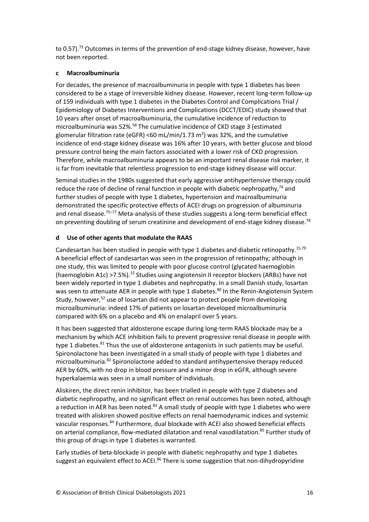to 0.57).<sup>73</sup> Outcomes in terms of the prevention of end-stage kidney disease, however, have not been reported.

#### **c Macroalbuminuria**

For decades, the presence of macroalbuminuria in people with type 1 diabetes has been considered to be a stage of irreversible kidney disease. However, recent long-term follow-up of 159 individuals with type 1 diabetes in the Diabetes Control and Complications Trial / Epidemiology of Diabetes Interventions and Complications (DCCT/EDIC) study showed that 10 years after onset of macroalbuminuria, the cumulative incidence of reduction to microalbuminuria was 52%.<sup>58</sup> The cumulative incidence of CKD stage 3 (estimated glomerular filtration rate (eGFR) <60 mL/min/1.73 m<sup>2</sup>) was 32%, and the cumulative incidence of end-stage kidney disease was 16% after 10 years, with better glucose and blood pressure control being the main factors associated with a lower risk of CKD progression. Therefore, while macroalbuminuria appears to be an important renal disease risk marker, it is far from inevitable that relentless progression to end-stage kidney disease will occur.

Seminal studies in the 1980s suggested that early aggressive antihypertensive therapy could reduce the rate of decline of renal function in people with diabetic nephropathy,<sup>74</sup> and further studies of people with type 1 diabetes, hypertension and macroalbuminuria demonstrated the specific protective effects of ACEI drugs on progression of albuminuria and renal disease.<sup>75–77</sup> Meta-analysis of these studies suggests a long-term beneficial effect on preventing doubling of serum creatinine and development of end-stage kidney disease.<sup>78</sup>

#### **d Use of other agents that modulate the RAAS**

Candesartan has been studied in people with type 1 diabetes and diabetic retinopathy.15,79 A beneficial effect of candesartan was seen in the progression of retinopathy; although in one study, this was limited to people with poor glucose control (glycated haemoglobin (haemoglobin A1c) >7.5%).<sup>15</sup> Studies using angiotensin II receptor blockers (ARBs) have not been widely reported in type 1 diabetes and nephropathy. In a small Danish study, losartan was seen to attenuate AER in people with type 1 diabetes.<sup>80</sup> In the Renin-Angiotensin System Study, however,<sup>52</sup> use of losartan did not appear to protect people from developing microalbuminuria: indeed 17% of patients on losartan developed microalbuminuria compared with 6% on a placebo and 4% on enalapril over 5 years.

It has been suggested that aldosterone escape during long-term RAAS blockade may be a mechanism by which ACE inhibition fails to prevent progressive renal disease in people with type 1 diabetes.<sup>81</sup> Thus the use of aldosterone antagonists in such patients may be useful. Spironolactone has been investigated in a small study of people with type 1 diabetes and microalbuminuria.<sup>82</sup> Spironolactone added to standard antihypertensive therapy reduced AER by 60%, with no drop in blood pressure and a minor drop in eGFR, although severe hyperkalaemia was seen in a small number of individuals.

Aliskiren, the direct renin inhibitor, has been trialled in people with type 2 diabetes and diabetic nephropathy, and no significant effect on renal outcomes has been noted, although a reduction in AER has been noted.<sup>83</sup> A small study of people with type 1 diabetes who were treated with aliskiren showed positive effects on renal haemodynamic indices and systemic vascular responses.<sup>84</sup> Furthermore, dual blockade with ACEI also showed beneficial effects on arterial compliance, flow-mediated dilatation and renal vasodilatation.<sup>85</sup> Further study of this group of drugs in type 1 diabetes is warranted.

Early studies of beta-blockade in people with diabetic nephropathy and type 1 diabetes suggest an equivalent effect to ACEI.<sup>86</sup> There is some suggestion that non-dihydropyridine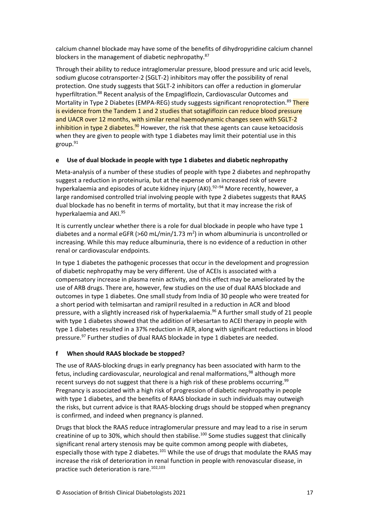calcium channel blockade may have some of the benefits of dihydropyridine calcium channel blockers in the management of diabetic nephropathy.<sup>87</sup>

Through their ability to reduce intraglomerular pressure, blood pressure and uric acid levels, sodium glucose cotransporter-2 (SGLT-2) inhibitors may offer the possibility of renal protection. One study suggests that SGLT-2 inhibitors can offer a reduction in glomerular hyperfiltration.<sup>88</sup> Recent analysis of the Empagliflozin, Cardiovascular Outcomes and Mortality in Type 2 Diabetes (EMPA-REG) study suggests significant renoprotection.<sup>89</sup> There is evidence from the Tandem 1 and 2 studies that sotagliflozin can reduce blood pressure and UACR over 12 months, with similar renal haemodynamic changes seen with SGLT-2 inhibition in type 2 diabetes.<sup>90</sup> However, the risk that these agents can cause ketoacidosis when they are given to people with type 1 diabetes may limit their potential use in this group. $91$ 

#### **e Use of dual blockade in people with type 1 diabetes and diabetic nephropathy**

Meta-analysis of a number of these studies of people with type 2 diabetes and nephropathy suggest a reduction in proteinuria, but at the expense of an increased risk of severe hyperkalaemia and episodes of acute kidney injury (AKI).<sup>92-94</sup> More recently, however, a large randomised controlled trial involving people with type 2 diabetes suggests that RAAS dual blockade has no benefit in terms of mortality, but that it may increase the risk of hyperkalaemia and AKI.<sup>95</sup>

It is currently unclear whether there is a role for dual blockade in people who have type 1 diabetes and a normal eGFR (>60 mL/min/1.73 m<sup>2</sup>) in whom albuminuria is uncontrolled or increasing. While this may reduce albuminuria, there is no evidence of a reduction in other renal or cardiovascular endpoints.

In type 1 diabetes the pathogenic processes that occur in the development and progression of diabetic nephropathy may be very different. Use of ACEIs is associated with a compensatory increase in plasma renin activity, and this effect may be ameliorated by the use of ARB drugs. There are, however, few studies on the use of dual RAAS blockade and outcomes in type 1 diabetes. One small study from India of 30 people who were treated for a short period with telmisartan and ramipril resulted in a reduction in ACR and blood pressure, with a slightly increased risk of hyperkalaemia.<sup>96</sup> A further small study of 21 people with type 1 diabetes showed that the addition of irbesartan to ACEI therapy in people with type 1 diabetes resulted in a 37% reduction in AER, along with significant reductions in blood pressure.<sup>97</sup> Further studies of dual RAAS blockade in type 1 diabetes are needed.

#### **f When should RAAS blockade be stopped?**

The use of RAAS-blocking drugs in early pregnancy has been associated with harm to the fetus, including cardiovascular, neurological and renal malformations, $98$  although more recent surveys do not suggest that there is a high risk of these problems occurring.<sup>99</sup> Pregnancy is associated with a high risk of progression of diabetic nephropathy in people with type 1 diabetes, and the benefits of RAAS blockade in such individuals may outweigh the risks, but current advice is that RAAS-blocking drugs should be stopped when pregnancy is confirmed, and indeed when pregnancy is planned.

Drugs that block the RAAS reduce intraglomerular pressure and may lead to a rise in serum creatinine of up to 30%, which should then stabilise.<sup>100</sup> Some studies suggest that clinically significant renal artery stenosis may be quite common among people with diabetes, especially those with type 2 diabetes.<sup>101</sup> While the use of drugs that modulate the RAAS may increase the risk of deterioration in renal function in people with renovascular disease, in practice such deterioration is rare.102,103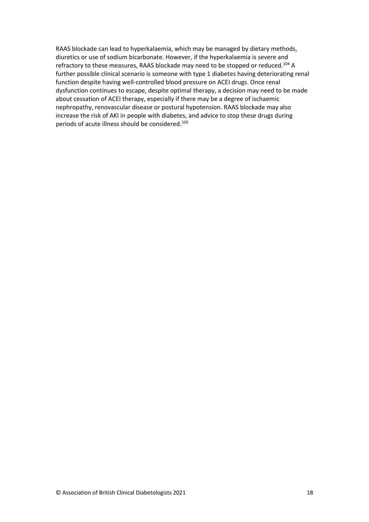RAAS blockade can lead to hyperkalaemia, which may be managed by dietary methods, diuretics or use of sodium bicarbonate. However, if the hyperkalaemia is severe and refractory to these measures, RAAS blockade may need to be stopped or reduced.<sup>104</sup> A further possible clinical scenario is someone with type 1 diabetes having deteriorating renal function despite having well-controlled blood pressure on ACEI drugs. Once renal dysfunction continues to escape, despite optimal therapy, a decision may need to be made about cessation of ACEI therapy, especially if there may be a degree of ischaemic nephropathy, renovascular disease or postural hypotension. RAAS blockade may also increase the risk of AKI in people with diabetes, and advice to stop these drugs during periods of acute illness should be considered.105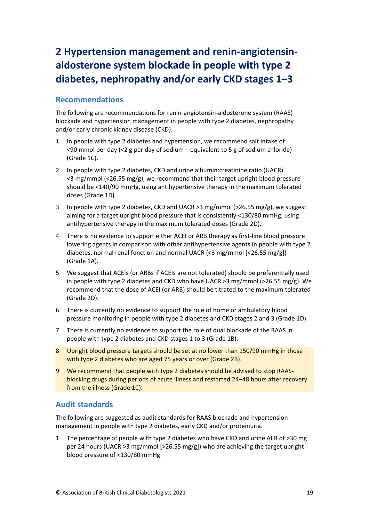# <span id="page-19-0"></span>**2 Hypertension management and renin-angiotensinaldosterone system blockade in people with type 2 diabetes, nephropathy and/or early CKD stages 1–3**

## <span id="page-19-1"></span>**Recommendations**

The following are recommendations for renin-angiotensin-aldosterone system (RAAS) blockade and hypertension management in people with type 2 diabetes, nephropathy and/or early chronic kidney disease (CKD).

- 1 In people with type 2 diabetes and hypertension, we recommend salt intake of <90 mmol per day (<2 g per day of sodium – equivalent to 5 g of sodium chloride) (Grade 1C).
- 2 In people with type 2 diabetes, CKD and urine albumin:creatinine ratio (UACR) <3 mg/mmol (<26.55 mg/g), we recommend that their target upright blood pressure should be <140/90 mmHg, using antihypertensive therapy in the maximum tolerated doses (Grade 1D).
- 3 In people with type 2 diabetes, CKD and UACR >3 mg/mmol (>26.55 mg/g), we suggest aiming for a target upright blood pressure that is consistently <130/80 mmHg, using antihypertensive therapy in the maximum tolerated doses (Grade 2D).
- 4 There is no evidence to support either ACEI or ARB therapy as first-line blood pressure lowering agents in comparison with other antihypertensive agents in people with type 2 diabetes, normal renal function and normal UACR (<3 mg/mmol [<26.55 mg/g]) (Grade 1A).
- 5 We suggest that ACEIs (or ARBs if ACEIs are not tolerated) should be preferentially used in people with type 2 diabetes and CKD who have UACR  $>3$  mg/mmol ( $>26.55$  mg/g). We recommend that the dose of ACEI (or ARB) should be titrated to the maximum tolerated (Grade 2D).
- 6 There is currently no evidence to support the role of home or ambulatory blood pressure monitoring in people with type 2 diabetes and CKD stages 2 and 3 (Grade 1D).
- 7 There is currently no evidence to support the role of dual blockade of the RAAS in people with type 2 diabetes and CKD stages 1 to 3 (Grade 1B).
- 8 Upright blood pressure targets should be set at no lower than 150/90 mmHg in those with type 2 diabetes who are aged 75 years or over (Grade 2B).
- 9 We recommend that people with type 2 diabetes should be advised to stop RAASblocking drugs during periods of acute illness and restarted 24–48 hours after recovery from the illness (Grade 1C).

## <span id="page-19-2"></span>**Audit standards**

The following are suggested as audit standards for RAAS blockade and hypertension management in people with type 2 diabetes, early CKD and/or proteinuria.

1 The percentage of people with type 2 diabetes who have CKD and urine AER of >30 mg per 24 hours (UACR >3 mg/mmol [>26.55 mg/g]) who are achieving the target upright blood pressure of <130/80 mmHg.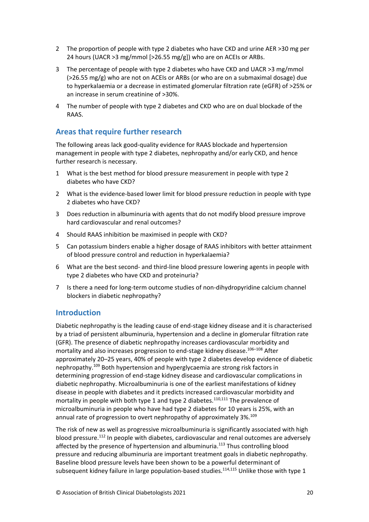- 2 The proportion of people with type 2 diabetes who have CKD and urine AER >30 mg per 24 hours (UACR >3 mg/mmol [>26.55 mg/g]) who are on ACEIs or ARBs.
- 3 The percentage of people with type 2 diabetes who have CKD and UACR >3 mg/mmol (>26.55 mg/g) who are not on ACEIs or ARBs (or who are on a submaximal dosage) due to hyperkalaemia or a decrease in estimated glomerular filtration rate (eGFR) of >25% or an increase in serum creatinine of >30%.
- 4 The number of people with type 2 diabetes and CKD who are on dual blockade of the RAAS.

## <span id="page-20-0"></span>**Areas that require further research**

The following areas lack good-quality evidence for RAAS blockade and hypertension management in people with type 2 diabetes, nephropathy and/or early CKD, and hence further research is necessary.

- 1 What is the best method for blood pressure measurement in people with type 2 diabetes who have CKD?
- 2 What is the evidence-based lower limit for blood pressure reduction in people with type 2 diabetes who have CKD?
- 3 Does reduction in albuminuria with agents that do not modify blood pressure improve hard cardiovascular and renal outcomes?
- 4 Should RAAS inhibition be maximised in people with CKD?
- 5 Can potassium binders enable a higher dosage of RAAS inhibitors with better attainment of blood pressure control and reduction in hyperkalaemia?
- 6 What are the best second- and third-line blood pressure lowering agents in people with type 2 diabetes who have CKD and proteinuria?
- 7 Is there a need for long-term outcome studies of non-dihydropyridine calcium channel blockers in diabetic nephropathy?

## <span id="page-20-1"></span>**Introduction**

Diabetic nephropathy is the leading cause of end-stage kidney disease and it is characterised by a triad of persistent albuminuria, hypertension and a decline in glomerular filtration rate (GFR). The presence of diabetic nephropathy increases cardiovascular morbidity and mortality and also increases progression to end-stage kidney disease.<sup>106–108</sup> After approximately 20–25 years, 40% of people with type 2 diabetes develop evidence of diabetic nephropathy.<sup>109</sup> Both hypertension and hyperglycaemia are strong risk factors in determining progression of end-stage kidney disease and cardiovascular complications in diabetic nephropathy. Microalbuminuria is one of the earliest manifestations of kidney disease in people with diabetes and it predicts increased cardiovascular morbidity and mortality in people with both type 1 and type 2 diabetes.<sup>110,111</sup> The prevalence of microalbuminuria in people who have had type 2 diabetes for 10 years is 25%, with an annual rate of progression to overt nephropathy of approximately 3%.<sup>109</sup>

The risk of new as well as progressive microalbuminuria is significantly associated with high blood pressure.<sup>112</sup> In people with diabetes, cardiovascular and renal outcomes are adversely affected by the presence of hypertension and albuminuria.<sup>113</sup> Thus controlling blood pressure and reducing albuminuria are important treatment goals in diabetic nephropathy. Baseline blood pressure levels have been shown to be a powerful determinant of subsequent kidney failure in large population-based studies.<sup>114,115</sup> Unlike those with type 1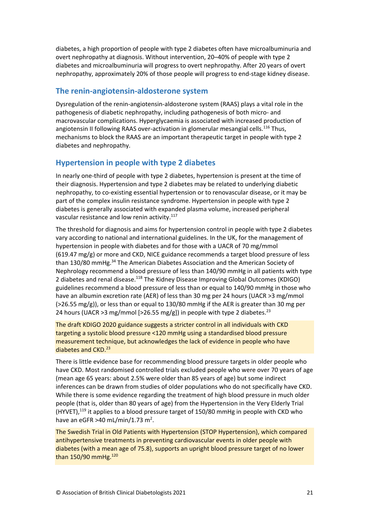diabetes, a high proportion of people with type 2 diabetes often have microalbuminuria and overt nephropathy at diagnosis. Without intervention, 20–40% of people with type 2 diabetes and microalbuminuria will progress to overt nephropathy. After 20 years of overt nephropathy, approximately 20% of those people will progress to end-stage kidney disease.

#### <span id="page-21-0"></span>**The renin-angiotensin-aldosterone system**

Dysregulation of the renin-angiotensin-aldosterone system (RAAS) plays a vital role in the pathogenesis of diabetic nephropathy, including pathogenesis of both micro- and macrovascular complications. Hyperglycaemia is associated with increased production of angiotensin II following RAAS over-activation in glomerular mesangial cells.<sup>116</sup> Thus, mechanisms to block the RAAS are an important therapeutic target in people with type 2 diabetes and nephropathy.

## <span id="page-21-1"></span>**Hypertension in people with type 2 diabetes**

In nearly one-third of people with type 2 diabetes, hypertension is present at the time of their diagnosis. Hypertension and type 2 diabetes may be related to underlying diabetic nephropathy, to co-existing essential hypertension or to renovascular disease, or it may be part of the complex insulin resistance syndrome. Hypertension in people with type 2 diabetes is generally associated with expanded plasma volume, increased peripheral vascular resistance and low renin activity.<sup>117</sup>

The threshold for diagnosis and aims for hypertension control in people with type 2 diabetes vary according to national and international guidelines. In the UK, for the management of hypertension in people with diabetes and for those with a UACR of 70 mg/mmol (619.47 mg/g) or more and CKD, NICE guidance recommends a target blood pressure of less than 130/80 mmHg.<sup>34</sup> The American Diabetes Association and the American Society of Nephrology recommend a blood pressure of less than 140/90 mmHg in all patients with type 2 diabetes and renal disease.<sup>118</sup> The Kidney Disease Improving Global Outcomes (KDIGO) guidelines recommend a blood pressure of less than or equal to 140/90 mmHg in those who have an albumin excretion rate (AER) of less than 30 mg per 24 hours (UACR >3 mg/mmol (>26.55 mg/g)), or less than or equal to 130/80 mmHg if the AER is greater than 30 mg per 24 hours (UACR > 3 mg/mmol [>26.55 mg/g]) in people with type 2 diabetes.<sup>23</sup>

The draft KDIGO 2020 guidance suggests a stricter control in all individuals with CKD targeting a systolic blood pressure <120 mmHg using a standardised blood pressure measurement technique, but acknowledges the lack of evidence in people who have diabetes and CKD.<sup>23</sup>

There is little evidence base for recommending blood pressure targets in older people who have CKD. Most randomised controlled trials excluded people who were over 70 years of age (mean age 65 years: about 2.5% were older than 85 years of age) but some indirect inferences can be drawn from studies of older populations who do not specifically have CKD. While there is some evidence regarding the treatment of high blood pressure in much older people (that is, older than 80 years of age) from the Hypertension in the Very Elderly Trial (HYVET),<sup>119</sup> it applies to a blood pressure target of 150/80 mmHg in people with CKD who have an eGFR  $>40$  mL/min/1.73 m<sup>2</sup>.

The Swedish Trial in Old Patients with Hypertension (STOP Hypertension), which compared antihypertensive treatments in preventing cardiovascular events in older people with diabetes (with a mean age of 75.8), supports an upright blood pressure target of no lower than 150/90 mmHg.<sup>120</sup>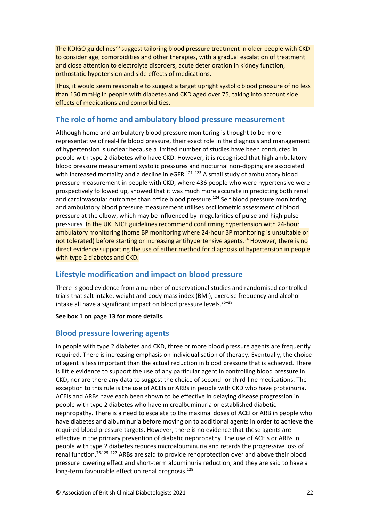The KDIGO guidelines<sup>23</sup> suggest tailoring blood pressure treatment in older people with CKD to consider age, comorbidities and other therapies, with a gradual escalation of treatment and close attention to electrolyte disorders, acute deterioration in kidney function, orthostatic hypotension and side effects of medications.

Thus, it would seem reasonable to suggest a target upright systolic blood pressure of no less than 150 mmHg in people with diabetes and CKD aged over 75, taking into account side effects of medications and comorbidities.

## <span id="page-22-0"></span>**The role of home and ambulatory blood pressure measurement**

Although home and ambulatory blood pressure monitoring is thought to be more representative of real-life blood pressure, their exact role in the diagnosis and management of hypertension is unclear because a limited number of studies have been conducted in people with type 2 diabetes who have CKD. However, it is recognised that high ambulatory blood pressure measurement systolic pressures and nocturnal non-dipping are associated with increased mortality and a decline in eGFR.<sup>121-123</sup> A small study of ambulatory blood pressure measurement in people with CKD, where 436 people who were hypertensive were prospectively followed up, showed that it was much more accurate in predicting both renal and cardiovascular outcomes than office blood pressure.<sup>124</sup> Self blood pressure monitoring and ambulatory blood pressure measurement utilises oscillometric assessment of blood pressure at the elbow, which may be influenced by irregularities of pulse and high pulse pressures. In the UK, NICE guidelines recommend confirming hypertension with 24-hour ambulatory monitoring (home BP monitoring where 24-hour BP monitoring is unsuitable or not tolerated) before starting or increasing antihypertensive agents.<sup>34</sup> However, there is no direct evidence supporting the use of either method for diagnosis of hypertension in people with type 2 diabetes and CKD.

## <span id="page-22-1"></span>**Lifestyle modification and impact on blood pressure**

There is good evidence from a number of observational studies and randomised controlled trials that salt intake, weight and body mass index (BMI), exercise frequency and alcohol intake all have a significant impact on blood pressure levels. $35-38$ 

**See box 1 on page 13 for more details.**

## <span id="page-22-2"></span>**Blood pressure lowering agents**

In people with type 2 diabetes and CKD, three or more blood pressure agents are frequently required. There is increasing emphasis on individualisation of therapy. Eventually, the choice of agent is less important than the actual reduction in blood pressure that is achieved. There is little evidence to support the use of any particular agent in controlling blood pressure in CKD, nor are there any data to suggest the choice of second- or third-line medications. The exception to this rule is the use of ACEIs or ARBs in people with CKD who have proteinuria. ACEIs and ARBs have each been shown to be effective in delaying disease progression in people with type 2 diabetes who have microalbuminuria or established diabetic nephropathy. There is a need to escalate to the maximal doses of ACEI or ARB in people who have diabetes and albuminuria before moving on to additional agents in order to achieve the required blood pressure targets. However, there is no evidence that these agents are effective in the primary prevention of diabetic nephropathy. The use of ACEIs or ARBs in people with type 2 diabetes reduces microalbuminuria and retards the progressive loss of renal function.76,125–<sup>127</sup> ARBs are said to provide renoprotection over and above their blood pressure lowering effect and short-term albuminuria reduction, and they are said to have a long-term favourable effect on renal prognosis.<sup>128</sup>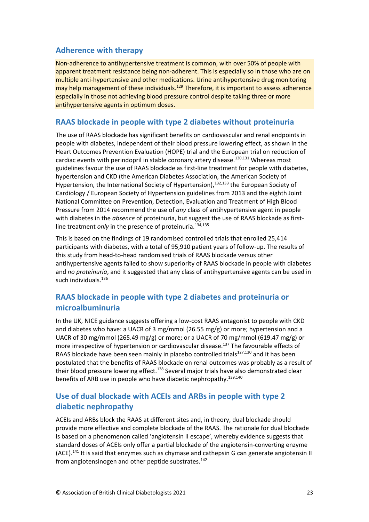## <span id="page-23-0"></span>**Adherence with therapy**

Non-adherence to antihypertensive treatment is common, with over 50% of people with apparent treatment resistance being non-adherent. This is especially so in those who are on multiple anti-hypertensive and other medications. Urine antihypertensive drug monitoring may help management of these individuals.<sup>129</sup> Therefore, it is important to assess adherence especially in those not achieving blood pressure control despite taking three or more antihypertensive agents in optimum doses.

#### <span id="page-23-1"></span>**RAAS blockade in people with type 2 diabetes without proteinuria**

The use of RAAS blockade has significant benefits on cardiovascular and renal endpoints in people with diabetes, independent of their blood pressure lowering effect, as shown in the Heart Outcomes Prevention Evaluation (HOPE) trial and the European trial on reduction of cardiac events with perindopril in stable coronary artery disease.130,131 Whereas most guidelines favour the use of RAAS blockade as first-line treatment for people with diabetes, hypertension and CKD (the American Diabetes Association, the American Society of Hypertension, the International Society of Hypertension),<sup>132,133</sup> the European Society of Cardiology / European Society of Hypertension guidelines from 2013 and the eighth Joint National Committee on Prevention, Detection, Evaluation and Treatment of High Blood Pressure from 2014 recommend the use of *any* class of antihypertensive agent in people with diabetes in the *absence* of proteinuria, but suggest the use of RAAS blockade as firstline treatment *only* in the presence of proteinuria.<sup>134,135</sup>

This is based on the findings of 19 randomised controlled trials that enrolled 25,414 participants with diabetes, with a total of 95,910 patient years of follow-up. The results of this study from head-to-head randomised trials of RAAS blockade versus other antihypertensive agents failed to show superiority of RAAS blockade in people with diabetes and *no proteinuria*, and it suggested that any class of antihypertensive agents can be used in such individuals. 136

## <span id="page-23-2"></span>**RAAS blockade in people with type 2 diabetes and proteinuria or microalbuminuria**

In the UK, NICE guidance suggests offering a low-cost RAAS antagonist to people with CKD and diabetes who have: a UACR of 3 mg/mmol (26.55 mg/g) or more; hypertension and a UACR of 30 mg/mmol (265.49 mg/g) or more; or a UACR of 70 mg/mmol (619.47 mg/g) or more irrespective of hypertension or cardiovascular disease.<sup>137</sup> The favourable effects of RAAS blockade have been seen mainly in placebo controlled trials<sup>127,130</sup> and it has been postulated that the benefits of RAAS blockade on renal outcomes was probably as a result of their blood pressure lowering effect.<sup>138</sup> Several major trials have also demonstrated clear benefits of ARB use in people who have diabetic nephropathy.<sup>139,140</sup>

## <span id="page-23-3"></span>**Use of dual blockade with ACEIs and ARBs in people with type 2 diabetic nephropathy**

ACEIs and ARBs block the RAAS at different sites and, in theory, dual blockade should provide more effective and complete blockade of the RAAS. The rationale for dual blockade is based on a phenomenon called 'angiotensin II escape', whereby evidence suggests that standard doses of ACEIs only offer a partial blockade of the angiotensin-converting enzyme (ACE).<sup>141</sup> It is said that enzymes such as chymase and cathepsin G can generate angiotensin II from angiotensinogen and other peptide substrates. $142$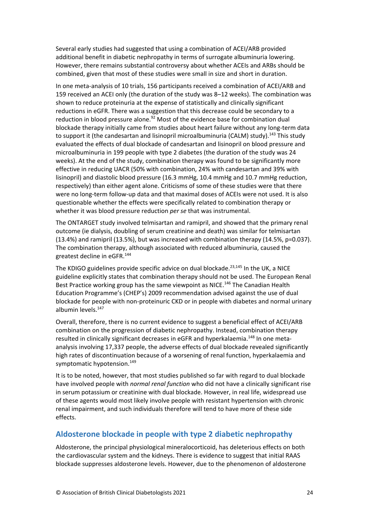Several early studies had suggested that using a combination of ACEI/ARB provided additional benefit in diabetic nephropathy in terms of surrogate albuminuria lowering. However, there remains substantial controversy about whether ACEIs and ARBs should be combined, given that most of these studies were small in size and short in duration.

In one meta-analysis of 10 trials, 156 participants received a combination of ACEI/ARB and 159 received an ACEI only (the duration of the study was 8–12 weeks). The combination was shown to reduce proteinuria at the expense of statistically and clinically significant reductions in eGFR. There was a suggestion that this decrease could be secondary to a reduction in blood pressure alone.<sup>92</sup> Most of the evidence base for combination dual blockade therapy initially came from studies about heart failure without any long-term data to support it (the candesartan and lisinopril microalbuminuria (CALM) study).<sup>143</sup> This study evaluated the effects of dual blockade of candesartan and lisinopril on blood pressure and microalbuminuria in 199 people with type 2 diabetes (the duration of the study was 24 weeks). At the end of the study, combination therapy was found to be significantly more effective in reducing UACR (50% with combination, 24% with candesartan and 39% with lisinopril) and diastolic blood pressure (16.3 mmHg, 10.4 mmHg and 10.7 mmHg reduction, respectively) than either agent alone. Criticisms of some of these studies were that there were no long-term follow-up data and that maximal doses of ACEIs were not used. It is also questionable whether the effects were specifically related to combination therapy or whether it was blood pressure reduction *per se* that was instrumental.

The ONTARGET study involved telmisartan and ramipril, and showed that the primary renal outcome (ie dialysis, doubling of serum creatinine and death) was similar for telmisartan (13.4%) and ramipril (13.5%), but was increased with combination therapy (14.5%, p=0.037). The combination therapy, although associated with reduced albuminuria, caused the greatest decline in eGFR.<sup>144</sup>

The KDIGO guidelines provide specific advice on dual blockade.<sup>23,145</sup> In the UK, a NICE guideline explicitly states that combination therapy should not be used. The European Renal Best Practice working group has the same viewpoint as NICE.<sup>146</sup> The Canadian Health Education Programme's (CHEP's) 2009 recommendation advised against the use of dual blockade for people with non-proteinuric CKD or in people with diabetes and normal urinary albumin levels.<sup>147</sup>

Overall, therefore, there is no current evidence to suggest a beneficial effect of ACEI/ARB combination on the progression of diabetic nephropathy. Instead, combination therapy resulted in clinically significant decreases in eGFR and hyperkalaemia.<sup>148</sup> In one metaanalysis involving 17,337 people, the adverse effects of dual blockade revealed significantly high rates of discontinuation because of a worsening of renal function, hyperkalaemia and symptomatic hypotension.<sup>149</sup>

It is to be noted, however, that most studies published so far with regard to dual blockade have involved people with *normal renal function* who did not have a clinically significant rise in serum potassium or creatinine with dual blockade. However, in real life, widespread use of these agents would most likely involve people with resistant hypertension with chronic renal impairment, and such individuals therefore will tend to have more of these side effects.

#### <span id="page-24-0"></span>**Aldosterone blockade in people with type 2 diabetic nephropathy**

Aldosterone, the principal physiological mineralocorticoid, has deleterious effects on both the cardiovascular system and the kidneys. There is evidence to suggest that initial RAAS blockade suppresses aldosterone levels. However, due to the phenomenon of aldosterone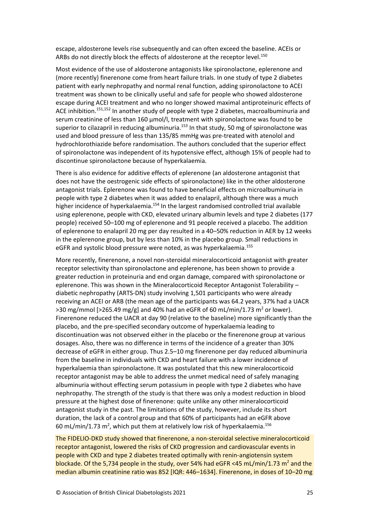escape, aldosterone levels rise subsequently and can often exceed the baseline. ACEIs or ARBs do not directly block the effects of aldosterone at the receptor level.<sup>150</sup>

Most evidence of the use of aldosterone antagonists like spironolactone, eplerenone and (more recently) finerenone come from heart failure trials. In one study of type 2 diabetes patient with early nephropathy and normal renal function, adding spironolactone to ACEI treatment was shown to be clinically useful and safe for people who showed aldosterone escape during ACEI treatment and who no longer showed maximal antiproteinuric effects of ACE inhibition.<sup>151,152</sup> In another study of people with type 2 diabetes, macroalbuminuria and serum creatinine of less than 160 µmol/l, treatment with spironolactone was found to be superior to cilazapril in reducing albuminuria.<sup>153</sup> In that study, 50 mg of spironolactone was used and blood pressure of less than 135/85 mmHg was pre-treated with atenolol and hydrochlorothiazide before randomisation. The authors concluded that the superior effect of spironolactone was independent of its hypotensive effect, although 15% of people had to discontinue spironolactone because of hyperkalaemia.

There is also evidence for additive effects of eplerenone (an aldosterone antagonist that does not have the oestrogenic side effects of spironolactone) like in the other aldosterone antagonist trials. Eplerenone was found to have beneficial effects on microalbuminuria in people with type 2 diabetes when it was added to enalapril, although there was a much higher incidence of hyperkalaemia.<sup>154</sup> In the largest randomised controlled trial available using eplerenone, people with CKD, elevated urinary albumin levels and type 2 diabetes (177 people) received 50–100 mg of eplerenone and 91 people received a placebo. The addition of eplerenone to enalapril 20 mg per day resulted in a 40–50% reduction in AER by 12 weeks in the eplerenone group, but by less than 10% in the placebo group. Small reductions in eGFR and systolic blood pressure were noted, as was hyperkalaemia.<sup>155</sup>

More recently, finerenone, a novel non-steroidal mineralocorticoid antagonist with greater receptor selectivity than spironolactone and eplerenone, has been shown to provide a greater reduction in proteinuria and end organ damage, compared with spironolactone or eplerenone. This was shown in the Mineralocorticoid Receptor Antagonist Tolerability – diabetic nephropathy (ARTS-DN) study involving 1,501 participants who were already receiving an ACEI or ARB (the mean age of the participants was 64.2 years, 37% had a UACR  $>$ 30 mg/mmol [ $>$ 265.49 mg/g] and 40% had an eGFR of 60 mL/min/1.73 m<sup>2</sup> or lower). Finerenone reduced the UACR at day 90 (relative to the baseline) more significantly than the placebo, and the pre-specified secondary outcome of hyperkalaemia leading to discontinuation was not observed either in the placebo or the finerenone group at various dosages. Also, there was no difference in terms of the incidence of a greater than 30% decrease of eGFR in either group. Thus 2.5–10 mg finerenone per day reduced albuminuria from the baseline in individuals with CKD and heart failure with a lower incidence of hyperkalaemia than spironolactone. It was postulated that this new mineralocorticoid receptor antagonist may be able to address the unmet medical need of safely managing albuminuria without effecting serum potassium in people with type 2 diabetes who have nephropathy. The strength of the study is that there was only a modest reduction in blood pressure at the highest dose of finerenone: quite unlike any other mineralocorticoid antagonist study in the past. The limitations of the study, however, include its short duration, the lack of a control group and that 60% of participants had an eGFR above 60 mL/min/1.73 m<sup>2</sup>, which put them at relatively low risk of hyperkalaemia.<sup>156</sup>

The FIDELIO-DKD study showed that finerenone, a non-steroidal selective mineralocorticoid receptor antagonist, lowered the risks of CKD progression and cardiovascular events in people with CKD and type 2 diabetes treated optimally with renin-angiotensin system blockade. Of the 5,734 people in the study, over 54% had eGFR <45 mL/min/1.73  $m^2$  and the median albumin creatinine ratio was 852 [IQR: 446–1634]. Finerenone, in doses of 10–20 mg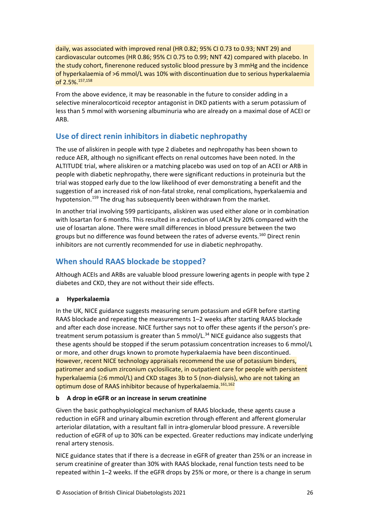daily, was associated with improved renal (HR 0.82; 95% CI 0.73 to 0.93; NNT 29) and cardiovascular outcomes (HR 0.86; 95% CI 0.75 to 0.99; NNT 42) compared with placebo. In the study cohort, finerenone reduced systolic blood pressure by 3 mmHg and the incidence of hyperkalaemia of >6 mmol/L was 10% with discontinuation due to serious hyperkalaemia of 2.5%.<sup>157,158</sup>

From the above evidence, it may be reasonable in the future to consider adding in a selective mineralocorticoid receptor antagonist in DKD patients with a serum potassium of less than 5 mmol with worsening albuminuria who are already on a maximal dose of ACEI or ARB.

## <span id="page-26-0"></span>**Use of direct renin inhibitors in diabetic nephropathy**

The use of aliskiren in people with type 2 diabetes and nephropathy has been shown to reduce AER, although no significant effects on renal outcomes have been noted. In the ALTITUDE trial, where aliskiren or a matching placebo was used on top of an ACEI or ARB in people with diabetic nephropathy, there were significant reductions in proteinuria but the trial was stopped early due to the low likelihood of ever demonstrating a benefit and the suggestion of an increased risk of non-fatal stroke, renal complications, hyperkalaemia and hypotension.<sup>159</sup> The drug has subsequently been withdrawn from the market.

In another trial involving 599 participants, aliskiren was used either alone or in combination with losartan for 6 months. This resulted in a reduction of UACR by 20% compared with the use of losartan alone. There were small differences in blood pressure between the two groups but no difference was found between the rates of adverse events.<sup>160</sup> Direct renin inhibitors are not currently recommended for use in diabetic nephropathy.

## <span id="page-26-1"></span>**When should RAAS blockade be stopped?**

Although ACEIs and ARBs are valuable blood pressure lowering agents in people with type 2 diabetes and CKD, they are not without their side effects.

#### **a Hyperkalaemia**

In the UK, NICE guidance suggests measuring serum potassium and eGFR before starting RAAS blockade and repeating the measurements 1–2 weeks after starting RAAS blockade and after each dose increase. NICE further says not to offer these agents if the person's pretreatment serum potassium is greater than 5 mmol/L.<sup>34</sup> NICE guidance also suggests that these agents should be stopped if the serum potassium concentration increases to 6 mmol/L or more, and other drugs known to promote hyperkalaemia have been discontinued. However, recent NICE technology appraisals recommend the use of potassium binders, patiromer and sodium zirconium cyclosilicate, in outpatient care for people with persistent hyperkalaemia ( $\geq 6$  mmol/L) and CKD stages 3b to 5 (non-dialysis), who are not taking an optimum dose of RAAS inhibitor because of hyperkalaemia.<sup>161,162</sup>

#### **b A drop in eGFR or an increase in serum creatinine**

Given the basic pathophysiological mechanism of RAAS blockade, these agents cause a reduction in eGFR and urinary albumin excretion through efferent and afferent glomerular arteriolar dilatation, with a resultant fall in intra-glomerular blood pressure. A reversible reduction of eGFR of up to 30% can be expected. Greater reductions may indicate underlying renal artery stenosis.

NICE guidance states that if there is a decrease in eGFR of greater than 25% or an increase in serum creatinine of greater than 30% with RAAS blockade, renal function tests need to be repeated within 1–2 weeks. If the eGFR drops by 25% or more, or there is a change in serum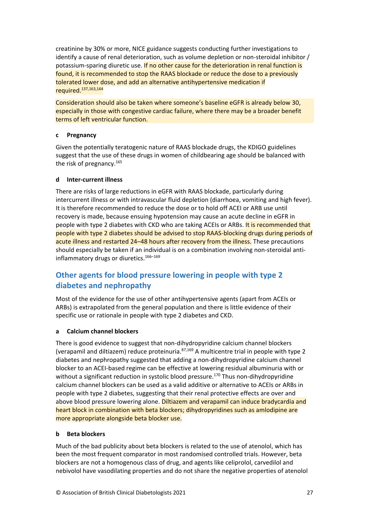creatinine by 30% or more, NICE guidance suggests conducting further investigations to identify a cause of renal deterioration, such as volume depletion or non-steroidal inhibitor / potassium-sparing diuretic use. If no other cause for the deterioration in renal function is found, it is recommended to stop the RAAS blockade or reduce the dose to a previously tolerated lower dose, and add an alternative antihypertensive medication if required.137,163,164

Consideration should also be taken where someone's baseline eGFR is already below 30, especially in those with congestive cardiac failure, where there may be a broader benefit terms of left ventricular function.

#### **c Pregnancy**

Given the potentially teratogenic nature of RAAS blockade drugs, the KDIGO guidelines suggest that the use of these drugs in women of childbearing age should be balanced with the risk of pregnancy.<sup>165</sup>

#### **d Inter-current illness**

There are risks of large reductions in eGFR with RAAS blockade, particularly during intercurrent illness or with intravascular fluid depletion (diarrhoea, vomiting and high fever). It is therefore recommended to reduce the dose or to hold off ACEI or ARB use until recovery is made, because ensuing hypotension may cause an acute decline in eGFR in people with type 2 diabetes with CKD who are taking ACEIs or ARBs. It is recommended that people with type 2 diabetes should be advised to stop RAAS-blocking drugs during periods of acute illness and restarted 24–48 hours after recovery from the illness. These precautions should especially be taken if an individual is on a combination involving non-steroidal antiinflammatory drugs or diuretics.<sup>166-169</sup>

# <span id="page-27-0"></span>**Other agents for blood pressure lowering in people with type 2 diabetes and nephropathy**

Most of the evidence for the use of other antihypertensive agents (apart from ACEIs or ARBs) is extrapolated from the general population and there is little evidence of their specific use or rationale in people with type 2 diabetes and CKD.

#### **a Calcium channel blockers**

There is good evidence to suggest that non-dihydropyridine calcium channel blockers (verapamil and diltiazem) reduce proteinuria.87,169 A multicentre trial in people with type 2 diabetes and nephropathy suggested that adding a non-dihydropyridine calcium channel blocker to an ACEI-based regime can be effective at lowering residual albuminuria with or without a significant reduction in systolic blood pressure.<sup>170</sup> Thus non-dihydropyridine calcium channel blockers can be used as a valid additive or alternative to ACEIs or ARBs in people with type 2 diabetes, suggesting that their renal protective effects are over and above blood pressure lowering alone. Diltiazem and verapamil can induce bradycardia and heart block in combination with beta blockers; dihydropyridines such as amlodipine are more appropriate alongside beta blocker use.

#### **b Beta blockers**

Much of the bad publicity about beta blockers is related to the use of atenolol, which has been the most frequent comparator in most randomised controlled trials. However, beta blockers are not a homogenous class of drug, and agents like celiprolol, carvedilol and nebivolol have vasodilating properties and do not share the negative properties of atenolol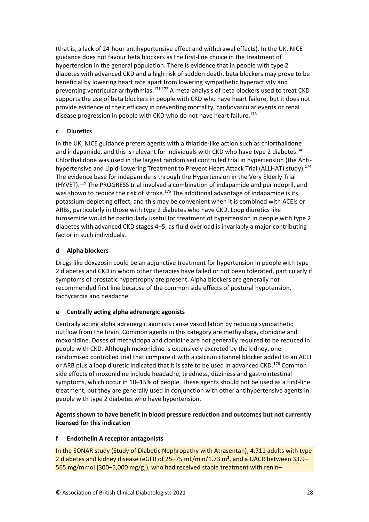(that is, a lack of 24-hour antihypertensive effect and withdrawal effects). In the UK, NICE guidance does not favour beta blockers as the first-line choice in the treatment of hypertension in the general population. There is evidence that in people with type 2 diabetes with advanced CKD and a high risk of sudden death, beta blockers may prove to be beneficial by lowering heart rate apart from lowering sympathetic hyperactivity and preventing ventricular arrhythmias.<sup>171,172</sup> A meta-analysis of beta blockers used to treat CKD supports the use of beta blockers in people with CKD who have heart failure, but it does not provide evidence of their efficacy in preventing mortality, cardiovascular events or renal disease progression in people with CKD who do not have heart failure.<sup>173</sup>

#### **c Diuretics**

In the UK, NICE guidance prefers agents with a thiazide-like action such as chlorthalidone and indapamide, and this is relevant for individuals with CKD who have type 2 diabetes.<sup>34</sup> Chlorthalidone was used in the largest randomised controlled trial in hypertension (the Antihypertensive and Lipid-Lowering Treatment to Prevent Heart Attack Trial (ALLHAT) study).<sup>174</sup> The evidence base for indapamide is through the Hypertension in the Very Elderly Trial (HYVET).<sup>119</sup> The PROGRESS trial involved a combination of indapamide and perindopril, and was shown to reduce the risk of stroke.<sup>175</sup> The additional advantage of indapamide is its potassium-depleting effect, and this may be convenient when it is combined with ACEIs or ARBs, particularly in those with type 2 diabetes who have CKD. Loop diuretics like furosemide would be particularly useful for treatment of hypertension in people with type 2 diabetes with advanced CKD stages 4–5, as fluid overload is invariably a major contributing factor in such individuals.

#### **d Alpha blockers**

Drugs like doxazosin could be an adjunctive treatment for hypertension in people with type 2 diabetes and CKD in whom other therapies have failed or not been tolerated, particularly if symptoms of prostatic hypertrophy are present. Alpha blockers are generally not recommended first line because of the common side effects of postural hypotension, tachycardia and headache.

#### **e Centrally acting alpha adrenergic agonists**

Centrally acting alpha adrenergic agonists cause vasodilation by reducing sympathetic outflow from the brain. Common agents in this category are methyldopa, clonidine and moxonidine. Doses of methyldopa and clonidine are not generally required to be reduced in people with CKD. Although moxonidine is extensively excreted by the kidney, one randomised controlled trial that compare it with a calcium channel blocker added to an ACEI or ARB plus a loop diuretic indicated that it is safe to be used in advanced CKD.<sup>176</sup> Common side effects of moxonidine include headache, tiredness, dizziness and gastrointestinal symptoms, which occur in 10–15% of people. These agents should not be used as a first-line treatment, but they are generally used in conjunction with other antihypertensive agents in people with type 2 diabetes who have hypertension.

#### **Agents shown to have benefit in blood pressure reduction and outcomes but not currently licensed for this indication**

#### **f Endothelin A receptor antagonists**

In the SONAR study (Study of Diabetic Nephropathy with Atrasentan), 4,711 adults with type 2 diabetes and kidney disease (eGFR of 25–75 mL/min/1.73 m², and a UACR between 33.9– 565 mg/mmol [300–5,000 mg/g]), who had received stable treatment with renin–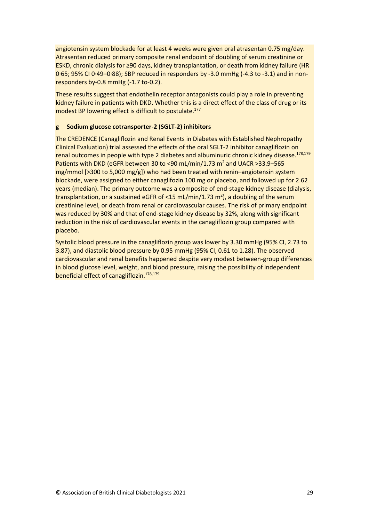angiotensin system blockade for at least 4 weeks were given oral atrasentan 0.75 mg/day. Atrasentan reduced primary composite renal endpoint of doubling of serum creatinine or ESKD, chronic dialysis for ≥90 days, kidney transplantation, or death from kidney failure (HR 0·65; 95% CI 0·49–0·88); SBP reduced in responders by -3.0 mmHg (-4.3 to -3.1) and in nonresponders by-0.8 mmHg (-1.7 to-0.2).

These results suggest that endothelin receptor antagonists could play a role in preventing kidney failure in patients with DKD. Whether this is a direct effect of the class of drug or its modest BP lowering effect is difficult to postulate.<sup>177</sup>

#### **g Sodium glucose cotransporter-2 (SGLT-2) inhibitors**

The CREDENCE (Canagliflozin and Renal Events in Diabetes with Established Nephropathy Clinical Evaluation) trial assessed the effects of the oral SGLT-2 inhibitor canagliflozin on renal outcomes in people with type 2 diabetes and albuminuric chronic kidney disease.<sup>178,179</sup> Patients with DKD (eGFR between 30 to <90 mL/min/1.73  $m^2$  and UACR >33.9-565 mg/mmol [>300 to 5,000 mg/g]) who had been treated with renin–angiotensin system blockade, were assigned to either canaglifozin 100 mg or placebo, and followed up for 2.62 years (median). The primary outcome was a composite of end-stage kidney disease (dialysis, transplantation, or a sustained eGFR of <15 mL/min/1.73 m<sup>2</sup>), a doubling of the serum creatinine level, or death from renal or cardiovascular causes. The risk of primary endpoint was reduced by 30% and that of end-stage kidney disease by 32%, along with significant reduction in the risk of cardiovascular events in the canagliflozin group compared with placebo.

Systolic blood pressure in the canagliflozin group was lower by 3.30 mmHg (95% CI, 2.73 to 3.87), and diastolic blood pressure by 0.95 mmHg (95% CI, 0.61 to 1.28). The observed cardiovascular and renal benefits happened despite very modest between-group differences in blood glucose level, weight, and blood pressure, raising the possibility of independent beneficial effect of canagliflozin.<sup>178,179</sup>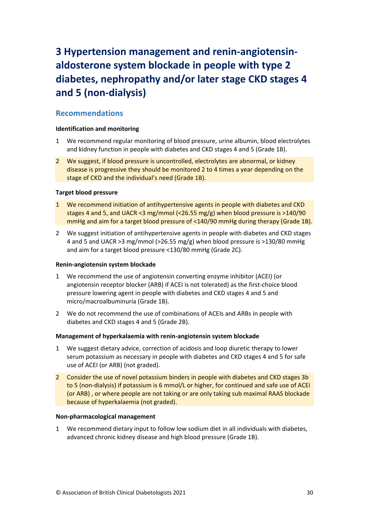# <span id="page-30-0"></span>**3 Hypertension management and renin-angiotensinaldosterone system blockade in people with type 2 diabetes, nephropathy and/or later stage CKD stages 4 and 5 (non-dialysis)**

#### <span id="page-30-1"></span>**Recommendations**

#### **Identification and monitoring**

- 1 We recommend regular monitoring of blood pressure, urine albumin, blood electrolytes and kidney function in people with diabetes and CKD stages 4 and 5 (Grade 1B).
- 2 We suggest, if blood pressure is uncontrolled, electrolytes are abnormal, or kidney disease is progressive they should be monitored 2 to 4 times a year depending on the stage of CKD and the individual's need (Grade 1B).

#### **Target blood pressure**

- 1 We recommend initiation of antihypertensive agents in people with diabetes and CKD stages 4 and 5, and UACR <3 mg/mmol (<26.55 mg/g) when blood pressure is >140/90 mmHg and aim for a target blood pressure of <140/90 mmHg during therapy (Grade 1B).
- 2 We suggest initiation of antihypertensive agents in people with diabetes and CKD stages 4 and 5 and UACR >3 mg/mmol (>26.55 mg/g) when blood pressure is >130/80 mmHg and aim for a target blood pressure <130/80 mmHg (Grade 2C).

#### **Renin-angiotensin system blockade**

- 1 We recommend the use of angiotensin converting enzyme inhibitor (ACEI) (or angiotensin receptor blocker (ARB) if ACEI is not tolerated) as the first-choice blood pressure lowering agent in people with diabetes and CKD stages 4 and 5 and micro/macroalbuminuria (Grade 1B).
- 2 We do not recommend the use of combinations of ACEIs and ARBs in people with diabetes and CKD stages 4 and 5 (Grade 2B).

#### **Management of hyperkalaemia with renin-angiotensin system blockade**

- 1 We suggest dietary advice, correction of acidosis and loop diuretic therapy to lower serum potassium as necessary in people with diabetes and CKD stages 4 and 5 for safe use of ACEI (or ARB) (not graded).
- 2 Consider the use of novel potassium binders in people with diabetes and CKD stages 3b to 5 (non-dialysis) if potassium is 6 mmol/L or higher, for continued and safe use of ACEi (or ARB) , or where people are not taking or are only taking sub maximal RAAS blockade because of hyperkalaemia (not graded).

#### **Non-pharmacological management**

1 We recommend dietary input to follow low sodium diet in all individuals with diabetes, advanced chronic kidney disease and high blood pressure (Grade 1B).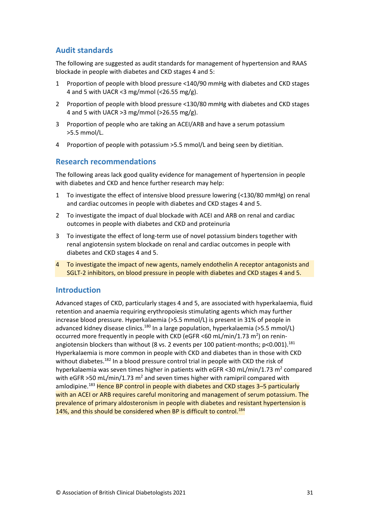## <span id="page-31-0"></span>**Audit standards**

The following are suggested as audit standards for management of hypertension and RAAS blockade in people with diabetes and CKD stages 4 and 5:

- 1 Proportion of people with blood pressure <140/90 mmHg with diabetes and CKD stages 4 and 5 with UACR <3 mg/mmol (<26.55 mg/g).
- 2 Proportion of people with blood pressure <130/80 mmHg with diabetes and CKD stages 4 and 5 with UACR >3 mg/mmol (>26.55 mg/g).
- 3 Proportion of people who are taking an ACEI/ARB and have a serum potassium >5.5 mmol/L.
- 4 Proportion of people with potassium >5.5 mmol/L and being seen by dietitian.

## <span id="page-31-1"></span>**Research recommendations**

The following areas lack good quality evidence for management of hypertension in people with diabetes and CKD and hence further research may help:

- 1 To investigate the effect of intensive blood pressure lowering (<130/80 mmHg) on renal and cardiac outcomes in people with diabetes and CKD stages 4 and 5.
- 2 To investigate the impact of dual blockade with ACEI and ARB on renal and cardiac outcomes in people with diabetes and CKD and proteinuria
- 3 To investigate the effect of long-term use of novel potassium binders together with renal angiotensin system blockade on renal and cardiac outcomes in people with diabetes and CKD stages 4 and 5.
- 4 To investigate the impact of new agents, namely endothelin A receptor antagonists and SGLT-2 inhibitors, on blood pressure in people with diabetes and CKD stages 4 and 5.

#### <span id="page-31-2"></span>**Introduction**

Advanced stages of CKD, particularly stages 4 and 5, are associated with hyperkalaemia, fluid retention and anaemia requiring erythropoiesis stimulating agents which may further increase blood pressure. Hyperkalaemia (>5.5 mmol/L) is present in 31% of people in advanced kidney disease clinics.<sup>180</sup> In a large population, hyperkalaemia (>5.5 mmol/L) occurred more frequently in people with CKD (eGFR <60 mL/min/1.73  $m^2$ ) on reninangiotensin blockers than without (8 vs. 2 events per 100 patient-months; p<0.001).<sup>181</sup> Hyperkalaemia is more common in people with CKD and diabetes than in those with CKD without diabetes.<sup>182</sup> In a blood pressure control trial in people with CKD the risk of hyperkalaemia was seven times higher in patients with eGFR < 30 mL/min/1.73  $m^2$  compared with eGFR >50 mL/min/1.73  $m^2$  and seven times higher with ramipril compared with amlodipine.<sup>183</sup> Hence BP control in people with diabetes and CKD stages 3–5 particularly with an ACEI or ARB requires careful monitoring and management of serum potassium. The prevalence of primary aldosteronism in people with diabetes and resistant hypertension is 14%, and this should be considered when BP is difficult to control.<sup>184</sup>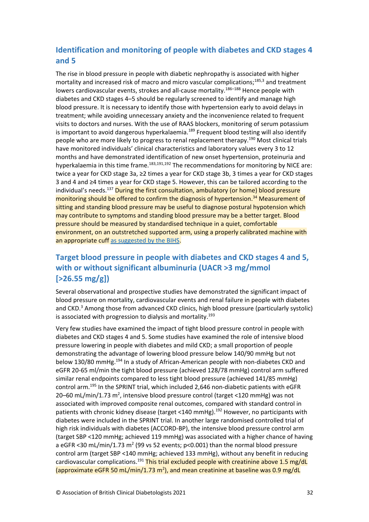# <span id="page-32-0"></span>**Identification and monitoring of people with diabetes and CKD stages 4 and 5**

The rise in blood pressure in people with diabetic nephropathy is associated with higher mortality and increased risk of macro and micro vascular complications;185,3 and treatment lowers cardiovascular events, strokes and all-cause mortality.<sup>186</sup>–<sup>188</sup> Hence people with diabetes and CKD stages 4–5 should be regularly screened to identify and manage high blood pressure. It is necessary to identify those with hypertension early to avoid delays in treatment; while avoiding unnecessary anxiety and the inconvenience related to frequent visits to doctors and nurses. With the use of RAAS blockers, monitoring of serum potassium is important to avoid dangerous hyperkalaemia.<sup>189</sup> Frequent blood testing will also identify people who are more likely to progress to renal replacement therapy.<sup>190</sup> Most clinical trials have monitored individuals' clinical characteristics and laboratory values every 3 to 12 months and have demonstrated identification of new onset hypertension, proteinuria and hyperkalaemia in this time frame.<sup>183,191,192</sup> The recommendations for monitoring by NICE are: twice a year for CKD stage 3a, ≥2 times a year for CKD stage 3b, 3 times a year for CKD stages 3 and 4 and ≥4 times a year for CKD stage 5. However, this can be tailored according to the individual's needs.<sup>137</sup> During the first consultation, ambulatory (or home) blood pressure monitoring should be offered to confirm the diagnosis of hypertension.<sup>34</sup> Measurement of sitting and standing blood pressure may be useful to diagnose postural hypotension which may contribute to symptoms and standing blood pressure may be a better target. Blood pressure should be measured by standardised technique in a quiet, comfortable environment, on an outstretched supported arm, using a properly calibrated machine with an appropriate cuf[f as suggested by the BIHS.](https://bihsoc.org/resources/bp-measurement/measure-blood-pressure/)

# <span id="page-32-1"></span>**Target blood pressure in people with diabetes and CKD stages 4 and 5, with or without significant albuminuria (UACR >3 mg/mmol [>26.55 mg/g])**

Several observational and prospective studies have demonstrated the significant impact of blood pressure on mortality, cardiovascular events and renal failure in people with diabetes and CKD.<sup>3</sup> Among those from advanced CKD clinics, high blood pressure (particularly systolic) is associated with progression to dialysis and mortality.<sup>193</sup>

Very few studies have examined the impact of tight blood pressure control in people with diabetes and CKD stages 4 and 5. Some studies have examined the role of intensive blood pressure lowering in people with diabetes and mild CKD; a small proportion of people demonstrating the advantage of lowering blood pressure below 140/90 mmHg but not below 130/80 mmHg.<sup>194</sup> In a study of African-American people with non-diabetes CKD and eGFR 20-65 ml/min the tight blood pressure (achieved 128/78 mmHg) control arm suffered similar renal endpoints compared to less tight blood pressure (achieved 141/85 mmHg) control arm.<sup>195</sup> In the SPRINT trial, which included 2,646 non-diabetic patients with eGFR 20–60 mL/min/1.73 m<sup>2</sup>, intensive blood pressure control (target <120 mmHg) was not associated with improved composite renal outcomes, compared with standard control in patients with chronic kidney disease (target <140 mmHg).<sup>192</sup> However, no participants with diabetes were included in the SPRINT trial. In another large randomised controlled trial of high risk individuals with diabetes (ACCORD-BP), the intensive blood pressure control arm (target SBP <120 mmHg; achieved 119 mmHg) was associated with a higher chance of having a eGFR <30 mL/min/1.73 m<sup>2</sup> (99 vs 52 events; p<0.001) than the normal blood pressure control arm (target SBP <140 mmHg; achieved 133 mmHg), without any benefit in reducing cardiovascular complications.<sup>191</sup> This trial excluded people with creatinine above 1.5 mg/dL (approximate eGFR 50 mL/min/1.73 m<sup>2</sup>), and mean creatinine at baseline was 0.9 mg/dL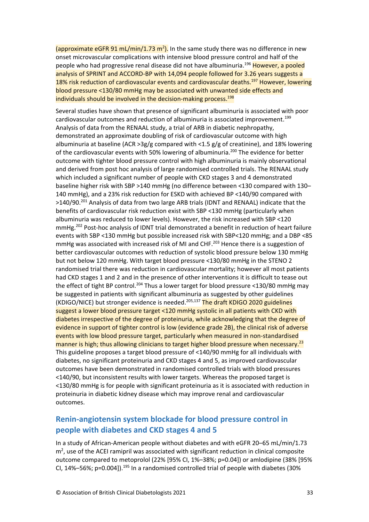(approximate eGFR 91 mL/min/1.73 m<sup>2</sup>). In the same study there was no difference in new onset microvascular complications with intensive blood pressure control and half of the people who had progressive renal disease did not have albuminuria.<sup>196</sup> However, a pooled analysis of SPRINT and ACCORD-BP with 14,094 people followed for 3.26 years suggests a 18% risk reduction of cardiovascular events and cardiovascular deaths.<sup>197</sup> However, lowering blood pressure <130/80 mmHg may be associated with unwanted side effects and individuals should be involved in the decision-making process. 198

Several studies have shown that presence of significant albuminuria is associated with poor cardiovascular outcomes and reduction of albuminuria is associated improvement.<sup>199</sup> Analysis of data from the RENAAL study, a trial of ARB in diabetic nephropathy, demonstrated an approximate doubling of risk of cardiovascular outcome with high albuminuria at baseline (ACR >3g/g compared with <1.5 g/g of creatinine), and 18% lowering of the cardiovascular events with 50% lowering of albuminuria.<sup>200</sup> The evidence for better outcome with tighter blood pressure control with high albuminuria is mainly observational and derived from post hoc analysis of large randomised controlled trials. The RENAAL study which included a significant number of people with CKD stages 3 and 4 demonstrated baseline higher risk with SBP >140 mmHg (no difference between <130 compared with 130– 140 mmHg), and a 23% risk reduction for ESKD with achieved BP <140/90 compared with >140/90.<sup>201</sup> Analysis of data from two large ARB trials (IDNT and RENAAL) indicate that the benefits of cardiovascular risk reduction exist with SBP <130 mmHg (particularly when albuminuria was reduced to lower levels). However, the risk increased with SBP <120 mmHg.<sup>202</sup> Post-hoc analysis of IDNT trial demonstrated a benefit in reduction of heart failure events with SBP <130 mmHg but possible increased risk with SBP<120 mmHg; and a DBP <85 mmHg was associated with increased risk of MI and CHF.<sup>203</sup> Hence there is a suggestion of better cardiovascular outcomes with reduction of systolic blood pressure below 130 mmHg but not below 120 mmHg. With target blood pressure <130/80 mmHg in the STENO 2 randomised trial there was reduction in cardiovascular mortality; however all most patients had CKD stages 1 and 2 and in the presence of other interventions it is difficult to tease out the effect of tight BP control.<sup>204</sup> Thus a lower target for blood pressure <130/80 mmHg may be suggested in patients with significant albuminuria as suggested by other guidelines (KDIGO/NICE) but stronger evidence is needed.<sup>205,137</sup> The draft KDIGO 2020 guidelines suggest a lower blood pressure target <120 mmHg systolic in all patients with CKD with diabetes irrespective of the degree of proteinuria, while acknowledging that the degree of evidence in support of tighter control is low (evidence grade 2B), the clinical risk of adverse events with low blood pressure target, particularly when measured in non-standardised manner is high; thus allowing clinicians to target higher blood pressure when necessary.<sup>23</sup> This guideline proposes a target blood pressure of <140/90 mmHg for all individuals with diabetes, no significant proteinuria and CKD stages 4 and 5, as improved cardiovascular outcomes have been demonstrated in randomised controlled trials with blood pressures <140/90, but inconsistent results with lower targets. Whereas the proposed target is <130/80 mmHg is for people with significant proteinuria as it is associated with reduction in proteinuria in diabetic kidney disease which may improve renal and cardiovascular outcomes.

## <span id="page-33-0"></span>**Renin-angiotensin system blockade for blood pressure control in people with diabetes and CKD stages 4 and 5**

In a study of African-American people without diabetes and with eGFR 20–65 mL/min/1.73  $m<sup>2</sup>$ , use of the ACEI ramipril was associated with significant reduction in clinical composite outcome compared to metoprolol (22% [95% CI, 1%–38%; p=0.04]) or amlodipine (38% [95% CI,  $14\% - 56\%$ ; p=0.004]).<sup>195</sup> In a randomised controlled trial of people with diabetes (30%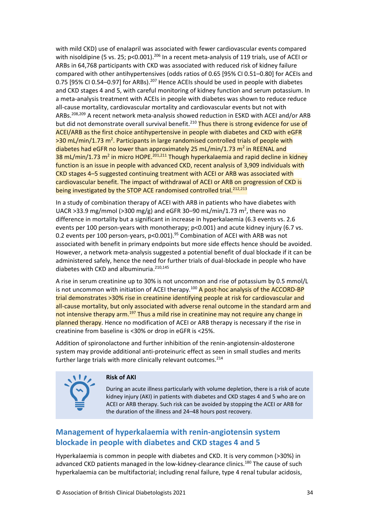with mild CKD) use of enalapril was associated with fewer cardiovascular events compared with nisoldipine (5 vs. 25; p<0.001).<sup>206</sup> In a recent meta-analysis of 119 trials, use of ACEI or ARBs in 64,768 participants with CKD was associated with reduced risk of kidney failure compared with other antihypertensives (odds ratios of 0.65 [95% CI 0.51–0.80] for ACEIs and 0.75 [95% CI 0.54-0.97] for ARBs).<sup>207</sup> Hence ACEIs should be used in people with diabetes and CKD stages 4 and 5, with careful monitoring of kidney function and serum potassium. In a meta-analysis treatment with ACEIs in people with diabetes was shown to reduce reduce all-cause mortality, cardiovascular mortality and cardiovascular events but not with ARBs.<sup>208,209</sup> A recent network meta-analysis showed reduction in ESKD with ACEI and/or ARB but did not demonstrate overall survival benefit.<sup>210</sup> Thus there is strong evidence for use of ACEI/ARB as the first choice antihypertensive in people with diabetes and CKD with eGFR >30 mL/min/1.73 m<sup>2</sup>. Participants in large randomised controlled trials of people with diabetes had eGFR no lower than approximately 25 mL/min/1.73 m<sup>2</sup> in REENAL and  $38$  mL/min/1.73 m<sup>2</sup> in micro HOPE.<sup>201,211</sup> Though hyperkalaemia and rapid decline in kidney function is an issue in people with advanced CKD, recent analysis of 3,909 individuals with CKD stages 4–5 suggested continuing treatment with ACEI or ARB was associated with cardiovascular benefit. The impact of withdrawal of ACEI or ARB on progression of CKD is being investigated by the STOP ACE randomised controlled trial.<sup>212,213</sup>

In a study of combination therapy of ACEI with ARB in patients who have diabetes with UACR >33.9 mg/mmol (>300 mg/g) and eGFR 30-90 mL/min/1.73  $m^2$ , there was no difference in mortality but a significant in increase in hyperkalaemia (6.3 events vs. 2.6 events per 100 person-years with monotherapy; p<0.001) and acute kidney injury (6.7 vs. 0.2 events per 100 person-years, p<0.001).<sup>95</sup> Combination of ACEI with ARB was not associated with benefit in primary endpoints but more side effects hence should be avoided. However, a network meta-analysis suggested a potential benefit of dual blockade if it can be administered safely, hence the need for further trials of dual-blockade in people who have diabetes with CKD and albuminuria.<sup>210,145</sup>

A rise in serum creatinine up to 30% is not uncommon and rise of potassium by 0.5 mmol/L is not uncommon with initiation of ACEI therapy.<sup>100</sup> A post-hoc analysis of the ACCORD-BP trial demonstrates >30% rise in creatinine identifying people at risk for cardiovascular and all-cause mortality, but only associated with adverse renal outcome in the standard arm and not intensive therapy arm.<sup>197</sup> Thus a mild rise in creatinine may not require any change in planned therapy. Hence no modification of ACEI or ARB therapy is necessary if the rise in creatinine from baseline is <30% or drop in eGFR is <25%.

Addition of spironolactone and further inhibition of the renin-angiotensin-aldosterone system may provide additional anti-proteinuric effect as seen in small studies and merits further large trials with more clinically relevant outcomes.<sup>214</sup>



#### **Risk of AKI**

During an acute illness particularly with volume depletion, there is a risk of acute kidney injury (AKI) in patients with diabetes and CKD stages 4 and 5 who are on ACEI or ARB therapy. Such risk can be avoided by stopping the ACEI or ARB for the duration of the illness and 24–48 hours post recovery.

## <span id="page-34-0"></span>**Management of hyperkalaemia with renin-angiotensin system blockade in people with diabetes and CKD stages 4 and 5**

Hyperkalaemia is common in people with diabetes and CKD. It is very common (>30%) in advanced CKD patients managed in the low-kidney-clearance clinics.<sup>180</sup> The cause of such hyperkalaemia can be multifactorial; including renal failure, type 4 renal tubular acidosis,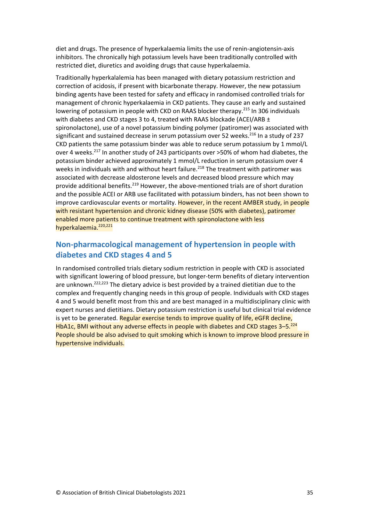diet and drugs. The presence of hyperkalaemia limits the use of renin-angiotensin-axis inhibitors. The chronically high potassium levels have been traditionally controlled with restricted diet, diuretics and avoiding drugs that cause hyperkalaemia.

Traditionally hyperkalalemia has been managed with dietary potassium restriction and correction of acidosis, if present with bicarbonate therapy. However, the new potassium binding agents have been tested for safety and efficacy in randomised controlled trials for management of chronic hyperkalaemia in CKD patients. They cause an early and sustained lowering of potassium in people with CKD on RAAS blocker therapy.<sup>215</sup> In 306 individuals with diabetes and CKD stages 3 to 4, treated with RAAS blockade (ACEI/ARB ± spironolactone), use of a novel potassium binding polymer (patiromer) was associated with significant and sustained decrease in serum potassium over 52 weeks.<sup>216</sup> In a study of 237 CKD patients the same potassium binder was able to reduce serum potassium by 1 mmol/L over 4 weeks.<sup>217</sup> In another study of 243 participants over >50% of whom had diabetes, the potassium binder achieved approximately 1 mmol/L reduction in serum potassium over 4 weeks in individuals with and without heart failure.<sup>218</sup> The treatment with patiromer was associated with decrease aldosterone levels and decreased blood pressure which may provide additional benefits.<sup>219</sup> However, the above-mentioned trials are of short duration and the possible ACEI or ARB use facilitated with potassium binders, has not been shown to improve cardiovascular events or mortality. However, in the recent AMBER study, in people with resistant hypertension and chronic kidney disease (50% with diabetes), patiromer enabled more patients to continue treatment with spironolactone with less hyperkalaemia.220,221

## <span id="page-35-0"></span>**Non-pharmacological management of hypertension in people with diabetes and CKD stages 4 and 5**

In randomised controlled trials dietary sodium restriction in people with CKD is associated with significant lowering of blood pressure, but longer-term benefits of dietary intervention are unknown.<sup>222,223</sup> The dietary advice is best provided by a trained dietitian due to the complex and frequently changing needs in this group of people. Individuals with CKD stages 4 and 5 would benefit most from this and are best managed in a multidisciplinary clinic with expert nurses and dietitians. Dietary potassium restriction is useful but clinical trial evidence is yet to be generated. Regular exercise tends to improve quality of life, eGFR decline, HbA1c, BMI without any adverse effects in people with diabetes and CKD stages 3-5.<sup>224</sup> People should be also advised to quit smoking which is known to improve blood pressure in hypertensive individuals.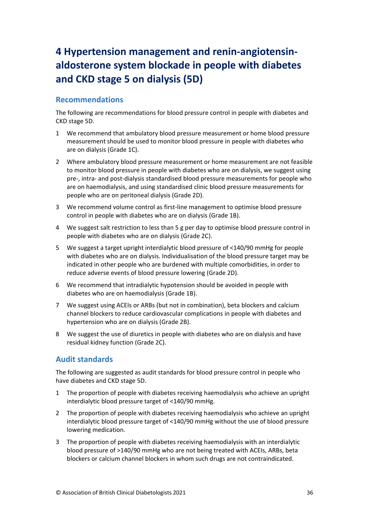# <span id="page-36-0"></span>**4 Hypertension management and renin-angiotensinaldosterone system blockade in people with diabetes and CKD stage 5 on dialysis (5D)**

## <span id="page-36-1"></span>**Recommendations**

The following are recommendations for blood pressure control in people with diabetes and CKD stage 5D.

- 1 We recommend that ambulatory blood pressure measurement or home blood pressure measurement should be used to monitor blood pressure in people with diabetes who are on dialysis (Grade 1C).
- 2 Where ambulatory blood pressure measurement or home measurement are not feasible to monitor blood pressure in people with diabetes who are on dialysis, we suggest using pre-, intra- and post-dialysis standardised blood pressure measurements for people who are on haemodialysis, and using standardised clinic blood pressure measurements for people who are on peritoneal dialysis (Grade 2D).
- 3 We recommend volume control as first-line management to optimise blood pressure control in people with diabetes who are on dialysis (Grade 1B).
- 4 We suggest salt restriction to less than 5 g per day to optimise blood pressure control in people with diabetes who are on dialysis (Grade 2C).
- 5 We suggest a target upright interdialytic blood pressure of <140/90 mmHg for people with diabetes who are on dialysis. Individualisation of the blood pressure target may be indicated in other people who are burdened with multiple comorbidities, in order to reduce adverse events of blood pressure lowering (Grade 2D).
- 6 We recommend that intradialytic hypotension should be avoided in people with diabetes who are on haemodialysis (Grade 1B).
- 7 We suggest using ACEIs or ARBs (but not in combination), beta blockers and calcium channel blockers to reduce cardiovascular complications in people with diabetes and hypertension who are on dialysis (Grade 2B).
- 8 We suggest the use of diuretics in people with diabetes who are on dialysis and have residual kidney function (Grade 2C).

## <span id="page-36-2"></span>**Audit standards**

The following are suggested as audit standards for blood pressure control in people who have diabetes and CKD stage 5D.

- 1 The proportion of people with diabetes receiving haemodialysis who achieve an upright interdialytic blood pressure target of <140/90 mmHg.
- 2 The proportion of people with diabetes receiving haemodialysis who achieve an upright interdialytic blood pressure target of <140/90 mmHg without the use of blood pressure lowering medication.
- 3 The proportion of people with diabetes receiving haemodialysis with an interdialytic blood pressure of >140/90 mmHg who are not being treated with ACEIs, ARBs, beta blockers or calcium channel blockers in whom such drugs are not contraindicated.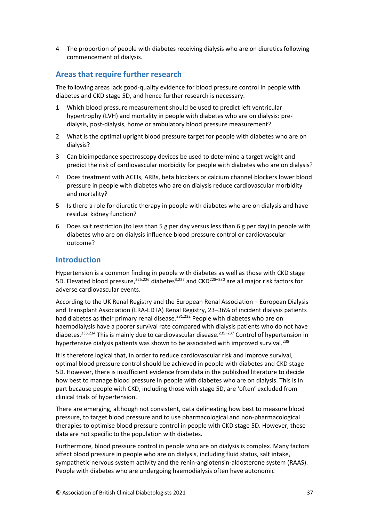4 The proportion of people with diabetes receiving dialysis who are on diuretics following commencement of dialysis.

## <span id="page-37-0"></span>**Areas that require further research**

The following areas lack good-quality evidence for blood pressure control in people with diabetes and CKD stage 5D, and hence further research is necessary.

- 1 Which blood pressure measurement should be used to predict left ventricular hypertrophy (LVH) and mortality in people with diabetes who are on dialysis: predialysis, post-dialysis, home or ambulatory blood pressure measurement?
- 2 What is the optimal upright blood pressure target for people with diabetes who are on dialysis?
- 3 Can bioimpedance spectroscopy devices be used to determine a target weight and predict the risk of cardiovascular morbidity for people with diabetes who are on dialysis?
- 4 Does treatment with ACEIs, ARBs, beta blockers or calcium channel blockers lower blood pressure in people with diabetes who are on dialysis reduce cardiovascular morbidity and mortality?
- 5 Is there a role for diuretic therapy in people with diabetes who are on dialysis and have residual kidney function?
- 6 Does salt restriction (to less than 5 g per day versus less than 6 g per day) in people with diabetes who are on dialysis influence blood pressure control or cardiovascular outcome?

## <span id="page-37-1"></span>**Introduction**

Hypertension is a common finding in people with diabetes as well as those with CKD stage 5D. Elevated blood pressure,<sup>225,226</sup> diabetes<sup>3,227</sup> and CKD<sup>228–230</sup> are all major risk factors for adverse cardiovascular events.

According to the UK Renal Registry and the European Renal Association – European Dialysis and Transplant Association (ERA-EDTA) Renal Registry, 23–36% of incident dialysis patients had diabetes as their primary renal disease.<sup>231,232</sup> People with diabetes who are on haemodialysis have a poorer survival rate compared with dialysis patients who do not have diabetes.<sup>233,234</sup> This is mainly due to cardiovascular disease.<sup>235-237</sup> Control of hypertension in hypertensive dialysis patients was shown to be associated with improved survival.<sup>238</sup>

It is therefore logical that, in order to reduce cardiovascular risk and improve survival, optimal blood pressure control should be achieved in people with diabetes and CKD stage 5D. However, there is insufficient evidence from data in the published literature to decide how best to manage blood pressure in people with diabetes who are on dialysis. This is in part because people with CKD, including those with stage 5D, are 'often' excluded from clinical trials of hypertension.

There are emerging, although not consistent, data delineating how best to measure blood pressure, to target blood pressure and to use pharmacological and non-pharmacological therapies to optimise blood pressure control in people with CKD stage 5D. However, these data are not specific to the population with diabetes.

Furthermore, blood pressure control in people who are on dialysis is complex. Many factors affect blood pressure in people who are on dialysis, including fluid status, salt intake, sympathetic nervous system activity and the renin-angiotensin-aldosterone system (RAAS). People with diabetes who are undergoing haemodialysis often have autonomic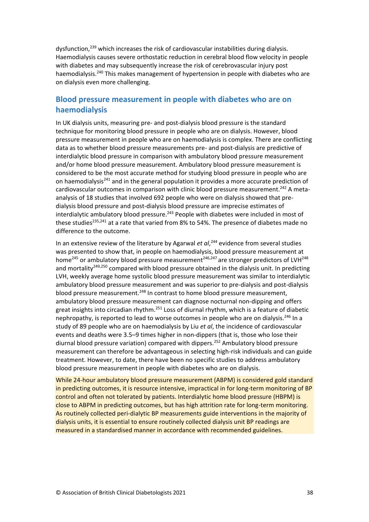dysfunction,<sup>239</sup> which increases the risk of cardiovascular instabilities during dialysis. Haemodialysis causes severe orthostatic reduction in cerebral blood flow velocity in people with diabetes and may subsequently increase the risk of cerebrovascular injury post haemodialysis.<sup>240</sup> This makes management of hypertension in people with diabetes who are on dialysis even more challenging.

## <span id="page-38-0"></span>**Blood pressure measurement in people with diabetes who are on haemodialysis**

In UK dialysis units, measuring pre- and post-dialysis blood pressure is the standard technique for monitoring blood pressure in people who are on dialysis. However, blood pressure measurement in people who are on haemodialysis is complex. There are conflicting data as to whether blood pressure measurements pre- and post-dialysis are predictive of interdialytic blood pressure in comparison with ambulatory blood pressure measurement and/or home blood pressure measurement. Ambulatory blood pressure measurement is considered to be the most accurate method for studying blood pressure in people who are on haemodialysis<sup>241</sup> and in the general population it provides a more accurate prediction of cardiovascular outcomes in comparison with clinic blood pressure measurement.<sup>242</sup> A metaanalysis of 18 studies that involved 692 people who were on dialysis showed that predialysis blood pressure and post-dialysis blood pressure are imprecise estimates of interdialytic ambulatory blood pressure.<sup>243</sup> People with diabetes were included in most of these studies<sup>235,241</sup> at a rate that varied from 8% to 54%. The presence of diabetes made no difference to the outcome.

In an extensive review of the literature by Agarwal *et al*, <sup>244</sup> evidence from several studies was presented to show that, in people on haemodialysis, blood pressure measurement at home<sup>245</sup> or ambulatory blood pressure measurement<sup>246,247</sup> are stronger predictors of LVH<sup>248</sup> and mortality<sup>249,250</sup> compared with blood pressure obtained in the dialysis unit. In predicting LVH, weekly average home systolic blood pressure measurement was similar to interdialytic ambulatory blood pressure measurement and was superior to pre-dialysis and post-dialysis blood pressure measurement.<sup>248</sup> In contrast to home blood pressure measurement, ambulatory blood pressure measurement can diagnose nocturnal non-dipping and offers great insights into circadian rhythm.<sup>251</sup> Loss of diurnal rhythm, which is a feature of diabetic nephropathy, is reported to lead to worse outcomes in people who are on dialysis.<sup>246</sup> In a study of 89 people who are on haemodialysis by Liu *et al*, the incidence of cardiovascular events and deaths were 3.5–9 times higher in non-dippers (that is, those who lose their diurnal blood pressure variation) compared with dippers.<sup>252</sup> Ambulatory blood pressure measurement can therefore be advantageous in selecting high-risk individuals and can guide treatment. However, to date, there have been no specific studies to address ambulatory blood pressure measurement in people with diabetes who are on dialysis.

While 24-hour ambulatory blood pressure measurement (ABPM) is considered gold standard in predicting outcomes, it is resource intensive, impractical in for long-term monitoring of BP control and often not tolerated by patients. Interdialytic home blood pressure (HBPM) is close to ABPM in predicting outcomes, but has high attrition rate for long-term monitoring. As routinely collected peri-dialytic BP measurements guide interventions in the majority of dialysis units, it is essential to ensure routinely collected dialysis unit BP readings are measured in a standardised manner in accordance with recommended guidelines.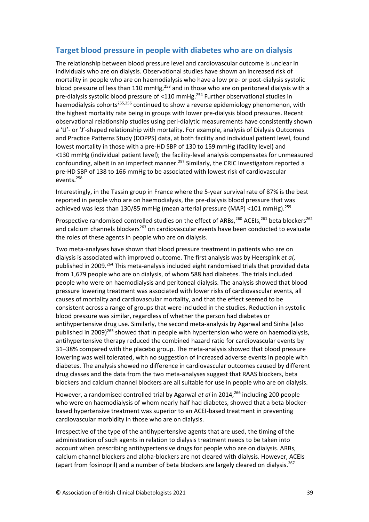## <span id="page-39-0"></span>**Target blood pressure in people with diabetes who are on dialysis**

The relationship between blood pressure level and cardiovascular outcome is unclear in individuals who are on dialysis. Observational studies have shown an increased risk of mortality in people who are on haemodialysis who have a low pre- or post-dialysis systolic blood pressure of less than 110 mmHg,<sup>253</sup> and in those who are on peritoneal dialysis with a pre-dialysis systolic blood pressure of <110 mmHg.<sup>254</sup> Further observational studies in haemodialysis cohorts<sup>255,256</sup> continued to show a reverse epidemiology phenomenon, with the highest mortality rate being in groups with lower pre-dialysis blood pressures. Recent observational relationship studies using peri-dialytic measurements have consistently shown a 'U'- or 'J'-shaped relationship with mortality. For example, analysis of Dialysis Outcomes and Practice Patterns Study (DOPPS) data, at both facility and individual patient level, found lowest mortality in those with a pre-HD SBP of 130 to 159 mmHg (facility level) and <130 mmHg (individual patient level); the facility-level analysis compensates for unmeasured confounding, albeit in an imperfect manner.<sup>257</sup> Similarly, the CRIC Investigators reported a pre-HD SBP of 138 to 166 mmHg to be associated with lowest risk of cardiovascular events. 258

Interestingly, in the Tassin group in France where the 5-year survival rate of 87% is the best reported in people who are on haemodialysis, the pre-dialysis blood pressure that was achieved was less than 130/85 mmHg (mean arterial pressure (MAP) <101 mmHg).<sup>259</sup>

Prospective randomised controlled studies on the effect of ARBs,<sup>260</sup> ACEIs,<sup>261</sup> beta blockers<sup>262</sup> and calcium channels blockers<sup>263</sup> on cardiovascular events have been conducted to evaluate the roles of these agents in people who are on dialysis.

Two meta-analyses have shown that blood pressure treatment in patients who are on dialysis is associated with improved outcome. The first analysis was by Heerspink *et al*, published in 2009.<sup>264</sup> This meta-analysis included eight randomised trials that provided data from 1,679 people who are on dialysis, of whom 588 had diabetes. The trials included people who were on haemodialysis and peritoneal dialysis. The analysis showed that blood pressure lowering treatment was associated with lower risks of cardiovascular events, all causes of mortality and cardiovascular mortality, and that the effect seemed to be consistent across a range of groups that were included in the studies. Reduction in systolic blood pressure was similar, regardless of whether the person had diabetes or antihypertensive drug use. Similarly, the second meta-analysis by Agarwal and Sinha (also published in 2009)<sup>265</sup> showed that in people with hypertension who were on haemodialysis, antihypertensive therapy reduced the combined hazard ratio for cardiovascular events by 31–38% compared with the placebo group. The meta-analysis showed that blood pressure lowering was well tolerated, with no suggestion of increased adverse events in people with diabetes. The analysis showed no difference in cardiovascular outcomes caused by different drug classes and the data from the two meta-analyses suggest that RAAS blockers, beta blockers and calcium channel blockers are all suitable for use in people who are on dialysis.

However, a randomised controlled trial by Agarwal et al in 2014,<sup>266</sup> including 200 people who were on haemodialysis of whom nearly half had diabetes, showed that a beta blockerbased hypertensive treatment was superior to an ACEI-based treatment in preventing cardiovascular morbidity in those who are on dialysis.

Irrespective of the type of the antihypertensive agents that are used, the timing of the administration of such agents in relation to dialysis treatment needs to be taken into account when prescribing antihypertensive drugs for people who are on dialysis. ARBs, calcium channel blockers and alpha-blockers are not cleared with dialysis. However, ACEIs (apart from fosinopril) and a number of beta blockers are largely cleared on dialysis.<sup>267</sup>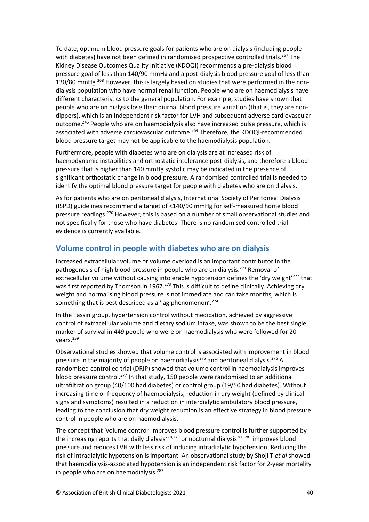To date, optimum blood pressure goals for patients who are on dialysis (including people with diabetes) have not been defined in randomised prospective controlled trials.<sup>267</sup> The Kidney Disease Outcomes Quality Initiative (KDOQI) recommends a pre-dialysis blood pressure goal of less than 140/90 mmHg and a post-dialysis blood pressure goal of less than 130/80 mmHg.<sup>268</sup> However, this is largely based on studies that were performed in the nondialysis population who have normal renal function. People who are on haemodialysis have different characteristics to the general population. For example, studies have shown that people who are on dialysis lose their diurnal blood pressure variation (that is, they are nondippers), which is an independent risk factor for LVH and subsequent adverse cardiovascular outcome.<sup>246</sup> People who are on haemodialysis also have increased pulse pressure, which is associated with adverse cardiovascular outcome.<sup>269</sup> Therefore, the KDOQI-recommended blood pressure target may not be applicable to the haemodialysis population.

Furthermore, people with diabetes who are on dialysis are at increased risk of haemodynamic instabilities and orthostatic intolerance post-dialysis, and therefore a blood pressure that is higher than 140 mmHg systolic may be indicated in the presence of significant orthostatic change in blood pressure. A randomised controlled trial is needed to identify the optimal blood pressure target for people with diabetes who are on dialysis.

As for patients who are on peritoneal dialysis, International Society of Peritoneal Dialysis (ISPD) guidelines recommend a target of <140/90 mmHg for self-measured home blood pressure readings.<sup>270</sup> However, this is based on a number of small observational studies and not specifically for those who have diabetes. There is no randomised controlled trial evidence is currently available.

#### <span id="page-40-0"></span>**Volume control in people with diabetes who are on dialysis**

Increased extracellular volume or volume overload is an important contributor in the pathogenesis of high blood pressure in people who are on dialysis.<sup>271</sup> Removal of extracellular volume without causing intolerable hypotension defines the 'dry weight'<sup>272</sup> that was first reported by Thomson in 1967.<sup>273</sup> This is difficult to define clinically. Achieving dry weight and normalising blood pressure is not immediate and can take months, which is something that is best described as a 'lag phenomenon'.<sup>274</sup>

In the Tassin group, hypertension control without medication, achieved by aggressive control of extracellular volume and dietary sodium intake, was shown to be the best single marker of survival in 449 people who were on haemodialysis who were followed for 20 vears.<sup>259</sup>

Observational studies showed that volume control is associated with improvement in blood pressure in the majority of people on haemodialysis<sup>275</sup> and peritoneal dialysis.<sup>276</sup> A randomised controlled trial (DRIP) showed that volume control in haemodialysis improves blood pressure control.<sup>277</sup> In that study, 150 people were randomised to an additional ultrafiltration group (40/100 had diabetes) or control group (19/50 had diabetes). Without increasing time or frequency of haemodialysis, reduction in dry weight (defined by clinical signs and symptoms) resulted in a reduction in interdialytic ambulatory blood pressure, leading to the conclusion that dry weight reduction is an effective strategy in blood pressure control in people who are on haemodialysis.

The concept that 'volume control' improves blood pressure control is further supported by the increasing reports that daily dialysis<sup>278,279</sup> or nocturnal dialysis<sup>280,281</sup> improves blood pressure and reduces LVH with less risk of inducing intradialytic hypotension. Reducing the risk of intradialytic hypotension is important. An observational study by Shoji T *et al* showed that haemodialysis-associated hypotension is an independent risk factor for 2-year mortality in people who are on haemodialysis. $282$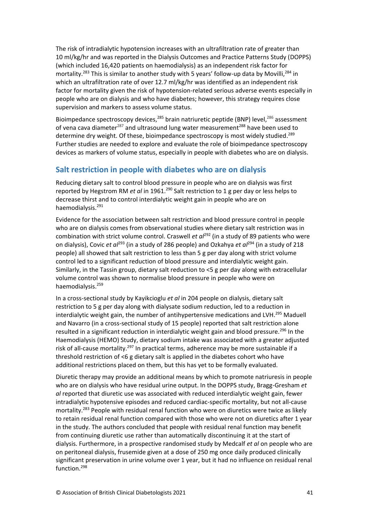The risk of intradialytic hypotension increases with an ultrafiltration rate of greater than 10 ml/kg/hr and was reported in the Dialysis Outcomes and Practice Patterns Study (DOPPS) (which included 16,420 patients on haemodialysis) as an independent risk factor for mortality.<sup>283</sup> This is similar to another study with 5 years' follow-up data by Movilli,<sup>284</sup> in which an ultrafiltration rate of over 12.7 ml/kg/hr was identified as an independent risk factor for mortality given the risk of hypotension-related serious adverse events especially in people who are on dialysis and who have diabetes; however, this strategy requires close supervision and markers to assess volume status.

Bioimpedance spectroscopy devices,<sup>285</sup> brain natriuretic peptide (BNP) level,<sup>286</sup> assessment of vena cava diameter<sup>287</sup> and ultrasound lung water measurement<sup>288</sup> have been used to determine dry weight. Of these, bioimpedance spectroscopy is most widely studied.<sup>289</sup> Further studies are needed to explore and evaluate the role of bioimpedance spectroscopy devices as markers of volume status, especially in people with diabetes who are on dialysis.

## <span id="page-41-0"></span>**Salt restriction in people with diabetes who are on dialysis**

Reducing dietary salt to control blood pressure in people who are on dialysis was first reported by Hegstrom RM *et al* in 1961.<sup>290</sup> Salt restriction to 1 g per day or less helps to decrease thirst and to control interdialytic weight gain in people who are on haemodialysis.<sup>291</sup>

Evidence for the association between salt restriction and blood pressure control in people who are on dialysis comes from observational studies where dietary salt restriction was in combination with strict volume control. Craswell et al<sup>292</sup> (in a study of 89 patients who were on dialysis), Covic *et al*<sup>293</sup> (in a study of 286 people) and Ozkahya *et al*<sup>294</sup> (in a study of 218 people) all showed that salt restriction to less than 5 g per day along with strict volume control led to a significant reduction of blood pressure and interdialytic weight gain. Similarly, in the Tassin group, dietary salt reduction to <5 g per day along with extracellular volume control was shown to normalise blood pressure in people who were on haemodialysis.<sup>259</sup>

In a cross-sectional study by Kayikcioglu *et al* in 204 people on dialysis, dietary salt restriction to 5 g per day along with dialysate sodium reduction, led to a reduction in interdialytic weight gain, the number of antihypertensive medications and LVH.<sup>295</sup> Maduell and Navarro (in a cross-sectional study of 15 people) reported that salt restriction alone resulted in a significant reduction in interdialytic weight gain and blood pressure.<sup>296</sup> In the Haemodialysis (HEMO) Study, dietary sodium intake was associated with a greater adjusted risk of all-cause mortality.<sup>297</sup> In practical terms, adherence may be more sustainable if a threshold restriction of <6 g dietary salt is applied in the diabetes cohort who have additional restrictions placed on them, but this has yet to be formally evaluated.

Diuretic therapy may provide an additional means by which to promote natriuresis in people who are on dialysis who have residual urine output. In the DOPPS study, Bragg-Gresham *et al* reported that diuretic use was associated with reduced interdialytic weight gain, fewer intradialytic hypotensive episodes and reduced cardiac-specific mortality, but not all-cause mortality.<sup>283</sup> People with residual renal function who were on diuretics were twice as likely to retain residual renal function compared with those who were not on diuretics after 1 year in the study. The authors concluded that people with residual renal function may benefit from continuing diuretic use rather than automatically discontinuing it at the start of dialysis. Furthermore, in a prospective randomised study by Medcalf *et al* on people who are on peritoneal dialysis, frusemide given at a dose of 250 mg once daily produced clinically significant preservation in urine volume over 1 year, but it had no influence on residual renal function.<sup>298</sup>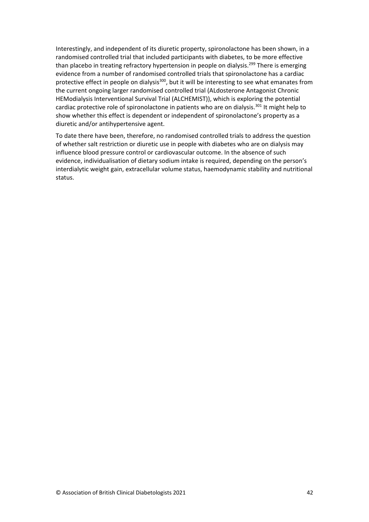Interestingly, and independent of its diuretic property, spironolactone has been shown, in a randomised controlled trial that included participants with diabetes, to be more effective than placebo in treating refractory hypertension in people on dialysis.<sup>299</sup> There is emerging evidence from a number of randomised controlled trials that spironolactone has a cardiac protective effect in people on dialysis<sup>300</sup>, but it will be interesting to see what emanates from the current ongoing larger randomised controlled trial (ALdosterone Antagonist Chronic HEModialysis Interventional Survival Trial (ALCHEMIST)), which is exploring the potential cardiac protective role of spironolactone in patients who are on dialysis.<sup>301</sup> It might help to show whether this effect is dependent or independent of spironolactone's property as a diuretic and/or antihypertensive agent.

To date there have been, therefore, no randomised controlled trials to address the question of whether salt restriction or diuretic use in people with diabetes who are on dialysis may influence blood pressure control or cardiovascular outcome. In the absence of such evidence, individualisation of dietary sodium intake is required, depending on the person's interdialytic weight gain, extracellular volume status, haemodynamic stability and nutritional status.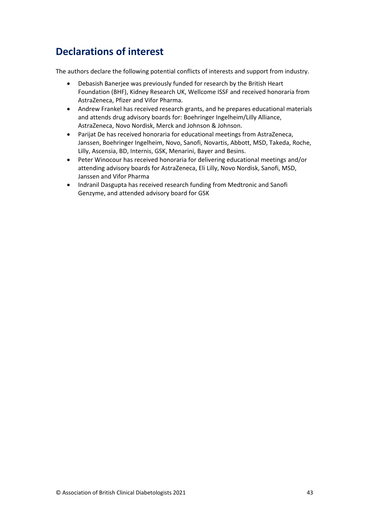# <span id="page-43-0"></span>**Declarations of interest**

The authors declare the following potential conflicts of interests and support from industry.

- Debasish Banerjee was previously funded for research by the British Heart Foundation (BHF), Kidney Research UK, Wellcome ISSF and received honoraria from AstraZeneca, Pfizer and Vifor Pharma.
- Andrew Frankel has received research grants, and he prepares educational materials and attends drug advisory boards for: Boehringer Ingelheim/Lilly Alliance, AstraZeneca, Novo Nordisk, Merck and Johnson & Johnson.
- Parijat De has received honoraria for educational meetings from AstraZeneca, Janssen, Boehringer Ingelheim, Novo, Sanofi, Novartis, Abbott, MSD, Takeda, Roche, Lilly, Ascensia, BD, Internis, GSK, Menarini, Bayer and Besins.
- Peter Winocour has received honoraria for delivering educational meetings and/or attending advisory boards for AstraZeneca, Eli Lilly, Novo Nordisk, Sanofi, MSD, Janssen and Vifor Pharma
- Indranil Dasgupta has received research funding from Medtronic and Sanofi Genzyme, and attended advisory board for GSK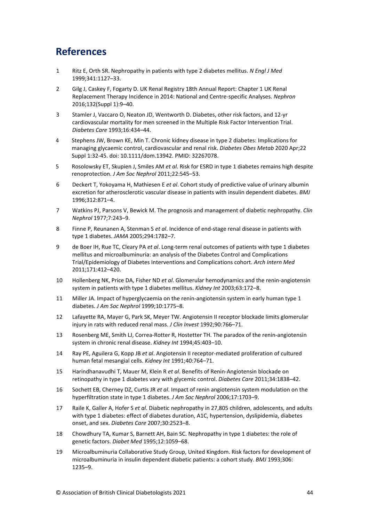# <span id="page-44-0"></span>**References**

- 1 Ritz E, Orth SR. Nephropathy in patients with type 2 diabetes mellitus. *N Engl J Med*  1999;341:1127–33.
- 2 Gilg J, Caskey F, Fogarty D. UK Renal Registry 18th Annual Report: Chapter 1 UK Renal Replacement Therapy Incidence in 2014: National and Centre-specific Analyses. *Nephron* 2016;132(Suppl 1):9–40.
- 3 Stamler J, Vaccaro O, Neaton JD, Wentworth D. Diabetes, other risk factors, and 12-yr cardiovascular mortality for men screened in the Multiple Risk Factor Intervention Trial. *Diabetes Care* 1993;16:434–44.
- 4 Stephens JW, Brown KE, Min T. Chronic kidney disease in type 2 diabetes: Implications for managing glycaemic control, cardiovascular and renal risk. *Diabetes Obes Metab* 2020 Apr;22 Suppl 1:32-45. doi: 10.1111/dom.13942. PMID: 32267078.
- 5 Rosolowsky ET, Skupien J, Smiles AM *et al*. Risk for ESRD in type 1 diabetes remains high despite renoprotection. *J Am Soc Nephrol* 2011;22:545–53.
- 6 Deckert T, Yokoyama H, Mathiesen E *et al*. Cohort study of predictive value of urinary albumin excretion for atherosclerotic vascular disease in patients with insulin dependent diabetes. *BMJ* 1996;312:871–4.
- 7 Watkins PJ, Parsons V, Bewick M. The prognosis and management of diabetic nephropathy. *Clin Nephrol* 1977;7:243–9.
- 8 Finne P, Reunanen A, Stenman S *et al*. Incidence of end-stage renal disease in patients with type 1 diabetes. *JAMA* 2005;294:1782–7.
- 9 de Boer IH, Rue TC, Cleary PA *et al*. Long-term renal outcomes of patients with type 1 diabetes mellitus and microalbuminuria: an analysis of the Diabetes Control and Complications Trial/Epidemiology of Diabetes Interventions and Complications cohort. *Arch Intern Med* 2011;171:412–420.
- 10 Hollenberg NK, Price DA, Fisher ND *et al*. Glomerular hemodynamics and the renin-angiotensin system in patients with type 1 diabetes mellitus. *Kidney Int* 2003;63:172–8.
- 11 Miller JA. Impact of hyperglycaemia on the renin-angiotensin system in early human type 1 diabetes. *J Am Soc Nephrol* 1999;10:1775–8.
- 12 Lafayette RA, Mayer G, Park SK, Meyer TW. Angiotensin II receptor blockade limits glomerular injury in rats with reduced renal mass. *J Clin Invest* 1992;90:766–71.
- 13 Rosenberg ME, Smith LJ, Correa-Rotter R, Hostetter TH. The paradox of the renin-angiotensin system in chronic renal disease. *Kidney Int* 1994;45:403–10.
- 14 Ray PE, Aguilera G, Kopp JB *et al*. Angiotensin II receptor-mediated proliferation of cultured human fetal mesangial cells. *Kidney Int* 1991;40:764–71.
- 15 Harindhanavudhi T, Mauer M, Klein R *et al*. Benefits of Renin-Angiotensin blockade on retinopathy in type 1 diabetes vary with glycemic control. *Diabetes Care* 2011;34:1838–42.
- 16 Sochett EB, Cherney DZ, Curtis JR *et al*. Impact of renin angiotensin system modulation on the hyperfiltration state in type 1 diabetes. *J Am Soc Nephrol* 2006;17:1703–9.
- 17 Raile K, Galler A, Hofer S *et al*. Diabetic nephropathy in 27,805 children, adolescents, and adults with type 1 diabetes: effect of diabetes duration, A1C, hypertension, dyslipidemia, diabetes onset, and sex. *Diabetes Care* 2007;30:2523–8.
- 18 Chowdhury TA, Kumar S, Barnett AH, Bain SC. Nephropathy in type 1 diabetes: the role of genetic factors. *Diabet Med* 1995;12:1059–68.
- 19 Microalbuminuria Collaborative Study Group, United Kingdom. Risk factors for development of microalbuminuria in insulin dependent diabetic patients: a cohort study. *BMJ* 1993;306: 1235–9.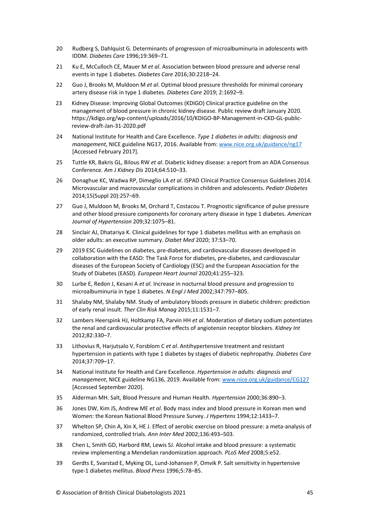- 20 Rudberg S, Dahlquist G. Determinants of progression of microalbuminuria in adolescents with IDDM. *Diabetes Care* 1996;19:369–71.
- 21 Ku E, McCulloch CE, Mauer M *et al*. Association between blood pressure and adverse renal events in type 1 diabetes. *Diabetes Care* 2016;30:2218–24.
- 22 Guo J, Brooks M, Muldoon M *et al*. Optimal blood pressure thresholds for minimal coronary artery disease risk in type 1 diabetes. *Diabetes Care* 2019; 2:1692–9.
- 23 Kidney Disease: Improving Global Outcomes (KDIGO) Clinical practice guideline on the management of blood pressure in chronic kidney disease. Public review draft January 2020. https://kdigo.org/wp-content/uploads/2016/10/KDIGO-BP-Management-in-CKD-GL-publicreview-draft-Jan-31-2020.pdf
- 24 National Institute for Health and Care Excellence. *Type 1 diabetes in adults: diagnosis and management*, NICE guideline NG17, 2016. Available from: [www.nice.org.uk/guidance/ng17](https://www.nice.org.uk/guidance/ng17) [Accessed February 2017].
- 25 Tuttle KR, Bakris GL, Bilous RW *et al*. Diabetic kidney disease: a report from an ADA Consensus Conference. *Am J Kidney Dis* 2014;64:510–33.
- 26 Donaghue KC, Wadwa RP, Dimeglio LA *et al*. ISPAD Clinical Practice Consensus Guidelines 2014. Microvascular and macrovascular complications in children and adolescents. *Pediatr Diabetes*  2014;15(Suppl 20):257–69.
- 27 Guo J, Muldoon M, Brooks M, Orchard T, Costacou T. Prognostic significance of pulse pressure and other blood pressure components for coronary artery disease in type 1 diabetes. *American Journal of Hypertension* 209;32:1075–81.
- 28 Sinclair AJ, Dhatariya K. Clinical guidelines for type 1 diabetes mellitus with an emphasis on older adults: an executive summary. *Diabet Med* 2020; 37:53–70.
- 29 2019 ESC Guidelines on diabetes, pre-diabetes, and cardiovascular diseases developed in collaboration with the EASD: The Task Force for diabetes, pre-diabetes, and cardiovascular diseases of the European Society of Cardiology (ESC) and the European Association for the Study of Diabetes (EASD). *European Heart Journal* 2020;41:255–323.
- 30 Lurbe E, Redon J, Kesani A *et al*. Increase in nocturnal blood pressure and progression to microalbuminuria in type 1 diabetes. *N Engl J Med* 2002;347:797–805.
- 31 Shalaby NM, Shalaby NM. Study of ambulatory bloods pressure in diabetic children: prediction of early renal insult. *Ther Clin Risk Manag* 2015;11:1531–7.
- 32 Lambers Heerspink HJ, Holtkamp FA, Parvin HH *et al*. Moderation of dietary sodium potentiates the renal and cardiovascular protective effects of angiotensin receptor blockers. *Kidney Int* 2012;82:330–7.
- 33 Lithovius R, Harjutsalo V, Forsblom C *et al*. Antihypertensive treatment and resistant hypertension in patients with type 1 diabetes by stages of diabetic nephropathy. *Diabetes Care* 2014;37:709–17.
- 34 National Institute for Health and Care Excellence. *Hypertension in adults: diagnosis and management*, NICE guideline NG136, 2019. Available from[: www.nice.org.uk/guidance/CG127](https://www.nice.org.uk/guidance/CG127) [Accessed September 2020].
- 35 Alderman MH. Salt, Blood Pressure and Human Health. *Hypertension* 2000;36:890–3.
- 36 Jones DW, Kim JS, Andrew ME *et al*. Body mass index and blood pressure in Korean men wnd Women: the Korean National Blood Pressure Survey. *J Hypertens* 1994;12:1433–7.
- 37 Whelton SP, Chin A, Xin X, HE J. Effect of aerobic exercise on blood pressure: a meta-analysis of randomized, controlled trials. *Ann Inter Med* 2002;136:493–503.
- 38 Chen L, Smith GD, Harbord RM, Lewis SJ. Alcohol intake and blood pressure: a systematic review implementing a Mendelian randomization approach. *PLoS Med* 2008;5:e52.
- 39 Gerdts E, Svarstad E, Myking OL, Lund-Johansen P, Omvik P. Salt sensitivity in hypertensive type-1 diabetes mellitus. *Blood Press* 1996;5:78–85.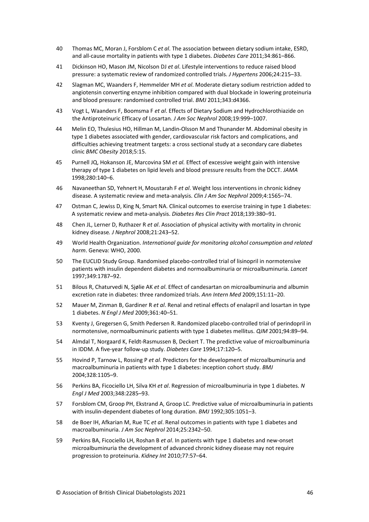- 40 Thomas MC, Moran J, Forsblom C *et al*. The association between dietary sodium intake, ESRD, and all-cause mortality in patients with type 1 diabetes. *Diabetes Care* 2011;34:861–866.
- 41 Dickinson HO, Mason JM, Nicolson DJ *et al*. Lifestyle interventions to reduce raised blood pressure: a systematic review of randomized controlled trials. *J Hypertens* 2006;24:215–33.
- 42 Slagman MC, Waanders F, Hemmelder MH *et al*. Moderate dietary sodium restriction added to angiotensin converting enzyme inhibition compared with dual blockade in lowering proteinuria and blood pressure: randomised controlled trial. *BMJ* 2011;343:d4366.
- 43 Vogt L, Waanders F, Boomsma F *et al*. Effects of Dietary Sodium and Hydrochlorothiazide on the Antiproteinuric Efficacy of Losartan*. J Am Soc Nephrol* 2008;19:999–1007.
- 44 Melin EO, Thulesius HO, Hillman M, Landin-Olsson M and Thunander M. Abdominal obesity in type 1 diabetes associated with gender, cardiovascular risk factors and complications, and difficulties achieving treatment targets: a cross sectional study at a secondary care diabetes clinic *BMC Obesity* 2018;5:15.
- 45 Purnell JQ, Hokanson JE, Marcovina SM *et al.* Effect of excessive weight gain with intensive therapy of type 1 diabetes on lipid levels and blood pressure results from the DCCT. *JAMA* 1998;280:140–6.
- 46 Navaneethan SD, Yehnert H, Moustarah F *et al*. Weight loss interventions in chronic kidney disease. A systematic review and meta-analysis. *Clin J Am Soc Nephrol* 2009;4:1565–74.
- 47 Ostman C, Jewiss D, King N, Smart NA. Clinical outcomes to exercise training in type 1 diabetes: A systematic review and meta-analysis. *Diabetes Res Clin Pract* 2018;139:380–91.
- 48 Chen JL, Lerner D, Ruthazer R *et al*. Association of physical activity with mortality in chronic kidney disease*. J Nephrol* 2008;21:243–52.
- 49 World Health Organization. *International guide for monitoring alcohol consumption and related harm*. Geneva: WHO, 2000.
- 50 The EUCLID Study Group. Randomised placebo-controlled trial of lisinopril in normotensive patients with insulin dependent diabetes and normoalbuminuria or microalbuminuria. *Lancet* 1997;349:1787–92.
- 51 Bilous R, Chaturvedi N, Sjølie AK *et al*. Effect of candesartan on microalbuminuria and albumin excretion rate in diabetes: three randomized trials. *Ann Intern Med* 2009;151:11–20.
- 52 Mauer M, Zinman B, Gardiner R *et al*. Renal and retinal effects of enalapril and losartan in type 1 diabetes. *N Engl J Med* 2009;361:40–51.
- 53 Kventy J, Gregersen G, Smith Pedersen R. Randomized placebo-controlled trial of perindopril in normotensive, normoalbuminuric patients with type 1 diabetes mellitus. *QJM* 2001;94:89–94.
- 54 Almdal T, Norgaard K, Feldt-Rasmussen B, Deckert T. The predictive value of microalbuminuria in IDDM. A five-year follow-up study. *Diabetes Care* 1994;17:120–5.
- 55 Hovind P, Tarnow L, Rossing P *et al*. Predictors for the development of microalbuminuria and macroalbuminuria in patients with type 1 diabetes: inception cohort study. *BMJ* 2004;328:1105–9.
- 56 Perkins BA, Ficociello LH, Silva KH *et al*. Regression of microalbuminuria in type 1 diabetes. *N Engl J Med* 2003;348:2285–93.
- 57 Forsblom CM, Groop PH, Ekstrand A, Groop LC. Predictive value of microalbuminuria in patients with insulin-dependent diabetes of long duration. *BMJ* 1992;305:1051–3.
- 58 de Boer IH, Afkarian M, Rue TC *et al*. Renal outcomes in patients with type 1 diabetes and macroalbuminuria. *J Am Soc Nephrol* 2014;25:2342–50.
- 59 Perkins BA, Ficociello LH, Roshan B *et al*. In patients with type 1 diabetes and new-onset microalbuminuria the development of advanced chronic kidney disease may not require progression to proteinuria. *Kidney Int* 2010;77:57–64.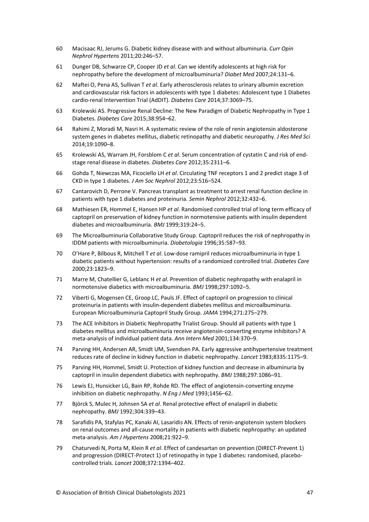- 60 Macisaac RJ, Jerums G. Diabetic kidney disease with and without albuminuria. *Curr Opin Nephrol Hypertens* 2011;20:246–57.
- 61 Dunger DB, Schwarze CP, Cooper JD *et al*. Can we identify adolescents at high risk for nephropathy before the development of microalbuminuria? *Diabet Med* 2007;24:131–6.
- 62 Maftei O, Pena AS, Sullivan T *et al*. Early atherosclerosis relates to urinary albumin excretion and cardiovascular risk factors in adolescents with type 1 diabetes: Adolescent type 1 Diabetes cardio-renal Intervention Trial (AdDIT). *Diabetes Care* 2014;37:3069–75.
- 63 Krolewski AS. Progressive Renal Decline: The New Paradigm of Diabetic Nephropathy in Type 1 Diabetes. *Diabetes Care* 2015;38:954–62.
- 64 Rahimi Z, Moradi M, Nasri H. A systematic review of the role of renin angiotensin aldosterone system genes in diabetes mellitus, diabetic retinopathy and diabetic neuropathy. *J Res Med Sci* 2014;19:1090–8.
- 65 Krolewski AS, Warram JH, Forsblom C *et al*. Serum concentration of cystatin C and risk of endstage renal disease in diabetes. *Diabetes Care* 2012;35:2311–6.
- 66 Gohda T, Niewczas MA, Ficociello LH *et al*. Circulating TNF receptors 1 and 2 predict stage 3 of CKD in type 1 diabetes. *J Am Soc Nephrol* 2012;23:516–524.
- 67 Cantarovich D, Perrone V. Pancreas transplant as treatment to arrest renal function decline in patients with type 1 diabetes and proteinuria. *Semin Nephrol* 2012;32:432–6.
- 68 Mathiesen ER, Hommel E, Hansen HP *et al*. Randomised controlled trial of long term efficacy of captopril on preservation of kidney function in normotensive patients with insulin dependent diabetes and microalbuminuria. *BMJ* 1999;319:24–5.
- 69 The Microalbuminuria Collaborative Study Group. Captopril reduces the risk of nephropathy in IDDM patients with microalbuminuria. *Diabetologia* 1996;35:587–93.
- 70 O'Hare P, Bilbous R, Mitchell T *et al*. Low-dose ramipril reduces microalbuminuria in type 1 diabetic patients without hypertension: results of a randomized controlled trial. *Diabetes Care* 2000;23:1823–9.
- 71 Marre M, Chatellier G, Leblanc H *et al*. Prevention of diabetic nephropathy with enalapril in normotensive diabetics with microalbuminuria. *BMJ* 1998;297:1092–5.
- 72 Viberti G, Mogensen CE, Groop LC, Pauls JF. Effect of captopril on progression to clinical proteinuria in patients with insulin-dependent diabetes mellitus and microalbuminuria. European Microalbuminuria Captopril Study Group. *JAMA* 1994;271:275–279.
- 73 The ACE Inhibitors in Diabetic Nephropathy Trialist Group. Should all patients with type 1 diabetes mellitus and microalbuminuria receive angiotensin-converting enzyme inhibitors? A meta-analysis of individual patient data. *Ann Intern Med* 2001;134:370–9.
- 74 Parving HH, Andersen AR, Smidt UM, Svendsen PA. Early aggressive antihypertensive treatment reduces rate of decline in kidney function in diabetic nephropathy. *Lancet* 1983;8335:1175–9.
- 75 Parving HH, Hommel, Smidt U. Protection of kidney function and decrease in albuminuria by captopril in insulin dependent diabetics with nephropathy. *BMJ* 1988;297:1086–91.
- 76 Lewis EJ, Hunsicker LG, Bain RP, Rohde RD. The effect of angiotensin-converting enzyme inhibition on diabetic nephropathy. *N Eng J Med* 1993;1456–62.
- 77 Björck S, Mulec H, Johnsen SA *et al*. Renal protective effect of enalapril in diabetic nephropathy. *BMJ* 1992;304:339–43.
- 78 Sarafidis PA, Stafylas PC, Kanaki AI, Lasaridis AN. Effects of renin-angiotensin system blockers on renal outcomes and all-cause mortality in patients with diabetic nephropathy: an updated meta-analysis. *Am J Hypertens* 2008;21:922–9.
- 79 Chaturvedi N, Porta M, Klein R *et al*. Effect of candesartan on prevention (DIRECT-Prevent 1) and progression (DIRECT-Protect 1) of retinopathy in type 1 diabetes: randomised, placebocontrolled trials. *Lancet* 2008;372:1394–402.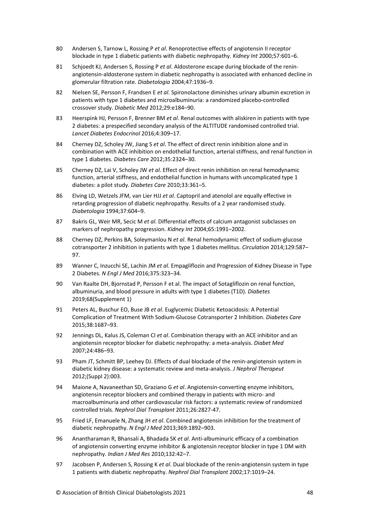- 80 Andersen S, Tarnow L, Rossing P *et al*. Renoprotective effects of angiotensin II receptor blockade in type 1 diabetic patients with diabetic nephropathy. *Kidney Int* 2000;57:601–6.
- 81 Schjoedt KJ, Andersen S, Rossing P *et al*. Aldosterone escape during blockade of the reninangiotensin-aldosterone system in diabetic nephropathy is associated with enhanced decline in glomerular filtration rate. *Diabetologia* 2004;47:1936–9.
- 82 Nielsen SE, Persson F, Frandsen E *et al*. Spironolactone diminishes urinary albumin excretion in patients with type 1 diabetes and microalbuminuria: a randomized placebo-controlled crossover study. *Diabetic Med* 2012;29:e184–90.
- 83 Heerspink HJ, Persson F, Brenner BM *et al*. Renal outcomes with aliskiren in patients with type 2 diabetes: a prespecified secondary analysis of the ALTITUDE randomised controlled trial. *Lancet Diabetes Endocrinol* 2016;4:309–17.
- 84 Cherney DZ, Scholey JW, Jiang S *et al*. The effect of direct renin inhibition alone and in combination with ACE inhibition on endothelial function, arterial stiffness, and renal function in type 1 diabetes. *Diabetes Care* 2012;35:2324–30.
- 85 Cherney DZ, Lai V, Scholey JW *et al*. Effect of direct renin inhibition on renal hemodynamic function, arterial stiffness, and endothelial function in humans with uncomplicated type 1 diabetes: a pilot study. *Diabetes Care* 2010;33:361–5.
- 86 Elving LD, Wetzels JFM, van Lier HJJ *et al*. Captopril and atenolol are equally effective in retarding progression of diabetic nephropathy. Results of a 2 year randomised study. *Diabetologia* 1994;37:604–9.
- 87 Bakris GL, Weir MR, Secic M *et al*. Differential effects of calcium antagonist subclasses on markers of nephropathy progression. *Kidney Int* 2004;65:1991–2002.
- 88 Cherney DZ, Perkins BA, Soleymanlou N *et al*. Renal hemodynamic effect of sodium-glucose cotransporter 2 inhibition in patients with type 1 diabetes mellitus. *Circulation* 2014;129:587– 97.
- 89 Wanner C, Inzucchi SE, Lachin JM *et al*. [Empagliflozin and Progression of Kidney Disease in Type](http://www.ncbi.nlm.nih.gov/pubmed/27299675)  [2 Diabetes.](http://www.ncbi.nlm.nih.gov/pubmed/27299675) *N Engl J Med* 2016;375:323–34.
- 90 Van Raalte DH, Bjornstad P, Persson F et al. The impact of Sotagliflozin on renal function, albuminuria, and blood pressure in adults with type 1 diabetes (T1D). *Diabetes* 2019;68(Supplement 1)
- 91 Peters AL, Buschur EO, Buse JB *et al*. Euglycemic Diabetic Ketoacidosis: A Potential Complication of Treatment With Sodium-Glucose Cotransporter 2 Inhibition. *Diabetes Care* 2015;38:1687–93.
- 92 Jennings DL, Kalus JS, Coleman CI *et al*. Combination therapy with an ACE inhibitor and an angiotensin receptor blocker for diabetic nephropathy: a meta-analysis. *Diabet Med* 2007;24:486–93.
- 93 Pham JT, Schmitt BP, Leehey DJ. Effects of dual blockade of the renin-angiotensin system in diabetic kidney disease: a systematic review and meta-analysis. *J Nephrol Therapeut* 2012;(Suppl 2):003.
- 94 Maione A, Navaneethan SD, Graziano G *et al*. Angiotensin-converting enzyme inhibitors, angiotensin receptor blockers and combined therapy in patients with micro- and macroalbuminuria and other cardiovascular risk factors: a systematic review of randomized controlled trials. *Nephrol Dial Transplant* 2011;26:2827-47.
- 95 Fried LF, Emanuele N, Zhang JH *et al*. Combined angiotensin inhibition for the treatment of diabetic nephropathy. *N Engl J Med* 2013;369:1892–903.
- 96 Anantharaman R, Bhansali A, Bhadada SK *et al*. Anti-albuminuric efficacy of a combination of angiotensin converting enzyme inhibitor & angiotensin receptor blocker in type 1 DM with nephropathy. *Indian J Med Res* 2010;132:42–7.
- 97 Jacobsen P, Andersen S, Rossing K *et al*. Dual blockade of the renin-angiotensin system in type 1 patients with diabetic nephropathy. *Nephrol Dial Transplant* 2002;17:1019–24.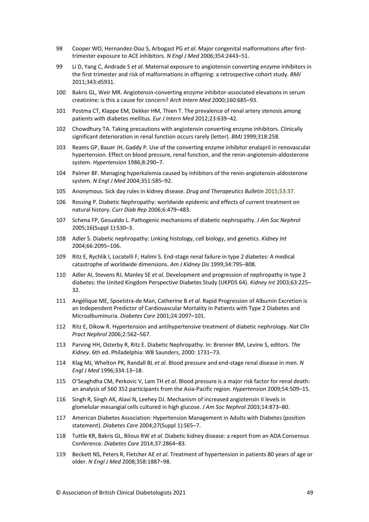- 98 Cooper WO, Hernandez-Diaz S, Arbogast PG *et al*. Major congenital malformations after firsttrimester exposure to ACE inhibitors. *N Engl J Med* 2006;354:2443–51.
- 99 Li D, Yang C, Andrade S *et al*. Maternal exposure to angiotensin converting enzyme inhibitors in the first trimester and risk of malformations in offspring: a retrospective cohort study. *BMJ* 2011;343:d5931.
- 100 Bakris GL, Weir MR. Angiotensin-converting enzyme inhibitor-associated elevations in serum creatinine: is this a cause for concern? *Arch Intern Med* 2000;160:685–93.
- 101 Postma CT, Klappe EM, Dekker HM, Thien T. The prevalence of renal artery stenosis among patients with diabetes mellitus. *Eur J Intern Med* 2012;23:639–42.
- 102 Chowdhury TA. Taking precautions with angiotensin converting enzyme inhibitors. Clinically significant deterioration in renal function occurs rarely (letter). *BMJ* 1999;318:258.
- 103 Reams GP, Bauer JH, Gaddy P. Use of the converting enzyme inhibitor enalapril in renovascular hypertension. Effect on blood pressure, renal function, and the renin-angiotensin-aldosterone system. *Hypertension* 1986;8:290–7.
- 104 Palmer BF. Managing hyperkalemia caused by inhibitors of the renin-angiotensin-aldosterone system. *N Engl J Med* 2004;351:585–92.
- 105 Anonymous. Sick day rules in kidney disease. *Drug and Therapeutics Bulletin* 2015;53:37.
- 106 Rossing P. Diabetic Nephropathy: worldwide epidemic and effects of current treatment on natural history. *Curr Diab Rep* 2006;6:479–483.
- 107 Schena FP, Gesualdo L. Pathogenic mechanisms of diabetic nephropathy. *J Am Soc Nephrol* 2005;16(Suppl 1):S30–3.
- 108 Adler S. Diabetic nephropathy: Linking histology, cell biology, and genetics. *Kidney Int* 2004;66:2095–106.
- 109 Ritz E, Rychlik I, Locatelli F, Halimi S. End-stage renal failure in type 2 diabetes: A medical catastrophe of worldwide dimensions. *Am J Kidney Dis* 1999;34:795–808.
- 110 Adler AI, Stevens RJ, Manley SE *et al.* Development and progression of nephropathy in type 2 diabetes: the United Kingdom Perspective Diabetes Study (UKPDS 64). *Kidney Int* 2003;63:225– 32.
- 111 Angélique ME, Spoelstra-de Man, Catherine B *et al*. Rapid Progression of Albumin Excretion is an Independent Predictor of Cardiovascular Mortality in Patients with Type 2 Diabetes and Microalbuminuria. *Diabetes Care* 2001;24:2097–101.
- 112 Ritz E, Dikow R. Hypertension and antihypertensive treatment of diabetic nephrology. *Nat Clin Pract Nephrol* 2006;2:562–567.
- 113 Parving HH, Osterby R, Ritz E. Diabetic Nephropathy. In: Brenner BM, Levine S, editors. *The Kidney*. 6th ed. Philadelphia: WB Saunders, 2000: 1731–73.
- 114 Klag MJ, Whelton PK, Randall BL *et al*. Blood pressure and end-stage renal disease in men. *N Engl J Med* 1996;334:13–18.
- 115 O'Seaghdha CM, Perkovic V, Lam TH *et al*. Blood pressure is a major risk factor for renal death: an analysis of 560 352 participants from the Asia-Pacific region. *Hypertension* 2009;54:509–15.
- 116 Singh R, Singh AK, Alavi N, Leehey DJ. Mechanism of increased angiotensin II levels in glomelular mesangial cells cultured in high glucose. *J Am Soc Nephrol* 2003;14:873–80.
- 117 American Diabetes Association: Hypertension Management in Adults with Diabetes (position statement). *Diabetes Care* 2004;27(Suppl 1):S65–7.
- 118 Tuttle KR, Bakris GL, Bilous RW *et al*. Diabetic kidney disease: a report from an ADA Consensus Conference. *Diabetes Care* 2014;37:2864–83.
- 119 Beckett NS, Peters R, Fletcher AE *et al*. Treatment of hypertension in patients 80 years of age or older. *N Engl J Med* 2008;358:1887–98.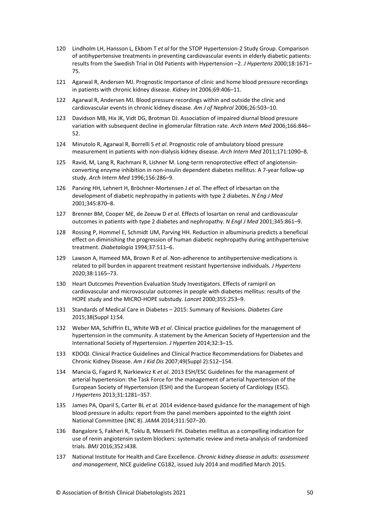- 120 Lindholm LH, Hansson L, Ekbom T *et al* for the STOP Hypertension-2 Study Group. Comparison of antihypertensive treatments in preventing cardiovascular events in elderly diabetic patients: results from the Swedish Trial in Old Patients with Hypertension –2. *J Hypertens* 2000;18:1671– 75.
- 121 Agarwal R, Andersen MJ. Prognostic Importance of clinic and home blood pressure recordings in patients with chronic kidney disease. *Kidney Int* 2006;69:406–11.
- 122 Agarwal R, Andersen MJ. Blood pressure recordings within and outside the clinic and cardiovascular events in chronic kidney disease. *Am J of Nephrol* 2006;26:503–10.
- 123 Davidson MB, Hix JK, Vidt DG, Brotman DJ. Association of impaired diurnal blood pressure variation with subsequent decline in glomerular filtration rate. *Arch Intern Med* 2006;166:846– 52.
- 124 Minutolo R, Agarwal R, Borrelli S *et al*. Prognostic role of ambulatory blood pressure measurement in patients with non-dialysis kidney disease. *Arch Intern Med* 2011;171:1090–8.
- 125 Ravid, M, Lang R, Rachmani R, Lishner M. Long-term renoprotective effect of angiotensinconverting enzyme inhibition in non-insulin dependent diabetes mellitus: A 7-year follow-up study. *Arch Intern Med* 1996;156:286–9.
- 126 Parving HH, Lehnert H, Bröchner-Mortensen J *et al*. The effect of irbesartan on the development of diabetic nephropathy in patients with type 2 diabetes. *N Eng J Med*  2001;345:870–8.
- 127 Brenner BM, Cooper ME, de Zeeuw D *et al*. Effects of losartan on renal and cardiovascular outcomes in patients with type 2 diabetes and nephropathy. *N Engl J Med* 2001;345:861–9.
- 128 Rossing P, Hommel E, Schmidt UM, Parving HH. Reduction in albuminuria predicts a beneficial effect on diminishing the progression of human diabetic nephropathy during antihypertensive treatment. *Diabetalogia* 1994;37:511–6.
- 129 Lawson A, Hameed MA, Brown R *et al*. Non-adherence to antihypertensive medications is related to pill burden in apparent treatment resistant hypertensive individuals. *J Hypertens* 2020;38:1165–73.
- 130 Heart Outcomes Prevention Evaluation Study Investigators. Effects of ramipril on cardiovascular and microvascular outcomes in people with diabetes mellitus: results of the HOPE study and the MICRO-HOPE substudy. *Lancet* 2000;355:253–9.
- 131 Standards of Medical Care in Diabetes 2015: Summary of Revisions. *Diabetes Care* 2015;38(Suppl 1):S4.
- 132 Weber MA, Schiffrin EL, White WB *et al*. Clinical practice guidelines for the management of hypertension in the community. A statement by the American Society of Hypertension and the International Society of Hypertension. *J Hyperten* 2014;32:3–15.
- 133 KDOQI. Clinical Practice Guidelines and Clinical Practice Recommendations for Diabetes and Chronic Kidney Disease. *Am J Kid Dis* 2007;49(Suppl 2):S12–154.
- 134 Mancia G, Fagard R, Narkiewicz K *et al*. 2013 ESH/ESC Guidelines for the management of arterial hypertension: the Task Force for the management of arterial hypertension of the European Society of Hypertension (ESH) and the European Society of Cardiology (ESC). *J Hypertens* 2013;31:1281–357.
- 135 James PA, Oparil S, Carter BL *et al*. 2014 evidence-based guidance for the management of high blood pressure in adults: report from the panel members appointed to the eighth Joint National Committee (JNC 8). *JAMA* 2014;311:507–20.
- 136 Bangalore S, Fakheri R, Toklu B, Messerli FH. Diabetes mellitus as a compelling indication for use of renin angiotensin system blockers: systematic review and meta-analysis of randomized trials. *BMJ* 2016;352:i438.
- 137 National Institute for Health and Care Excellence. *Chronic kidney disease in adults: assessment and management*, NICE guideline CG182, issued July 2014 and modified March 2015.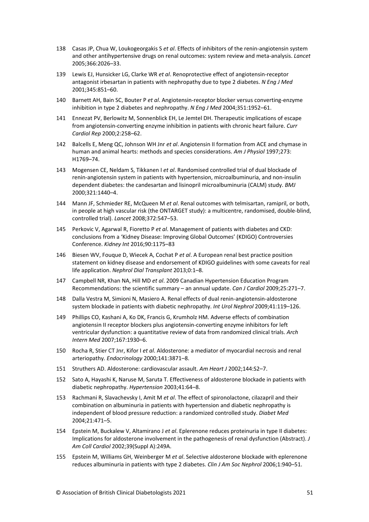- 138 Casas JP, Chua W, Loukogeorgakis S *et al*. Effects of inhibitors of the renin-angiotensin system and other antihypertensive drugs on renal outcomes: system review and meta-analysis. *Lancet* 2005;366:2026–33.
- 139 Lewis EJ, Hunsicker LG, Clarke WR *et al*. Renoprotective effect of angiotensin-receptor antagonist irbesartan in patients with nephropathy due to type 2 diabetes. *N Eng J Med* 2001;345:851–60.
- 140 Barnett AH, Bain SC, Bouter P *et al*. Angiotensin-receptor blocker versus converting-enzyme inhibition in type 2 diabetes and nephropathy. *N Eng J Med* 2004;351:1952–61.
- 141 Ennezat PV, Berlowitz M, Sonnenblick EH, Le Jemtel DH. Therapeutic implications of escape from angiotensin-converting enzyme inhibition in patients with chronic heart failure. *Curr Cardiol Rep* 2000;2:258–62.
- 142 Balcells E, Meng QC, Johnson WH Jnr *et al*. Angiotensin II formation from ACE and chymase in human and animal hearts: methods and species considerations. *Am J Physiol* 1997;273: H1769–74.
- 143 Mogensen CE, Neldam S, Tikkanen I *et al*. Randomised controlled trial of dual blockade of renin-angiotensin system in patients with hypertension, microalbuminuria, and non-insulin dependent diabetes: the candesartan and lisinopril microalbuminuria (CALM) study. *BMJ*  2000;321:1440–4.
- 144 Mann JF, Schmieder RE, McQueen M *et al*. Renal outcomes with telmisartan, ramipril, or both, in people at high vascular risk (the ONTARGET study): a multicentre, randomised, double-blind, controlled trial). *Lancet* 2008;372:547–53.
- 145 Perkovic V, Agarwal R, Fioretto P *et al*. Management of patients with diabetes and CKD: conclusions from a 'Kidney Disease: Improving Global Outcomes' (KDIGO) Controversies Conference. *Kidney Int* 2016;90:1175–83
- 146 Biesen WV, Fouque D, Wiecek A, Cochat P *et al*. A European renal best practice position statement on kidney disease and endorsement of KDIGO guidelines with some caveats for real life application. *Nephrol Dial Transplant* 2013;0:1–8.
- 147 Campbell NR, Khan NA, Hill MD *et al*. 2009 Canadian Hypertension Education Program Recommendations: the scientific summary – an annual update. *Can J Cardiol* 2009;25:271–7.
- 148 Dalla Vestra M, Simioni N, Masiero A. Renal effects of dual renin-angiotensin-aldosterone system blockade in patients with diabetic nephropathy. *Int Urol Nephrol* 2009;41:119–126.
- 149 Phillips CO, Kashani A, Ko DK, Francis G, Krumholz HM. Adverse effects of combination angiotensin II receptor blockers plus angiotensin-converting enzyme inhibitors for left ventricular dysfunction: a quantitative review of data from randomized clinical trials. *Arch Intern Med* 2007;167:1930–6.
- 150 Rocha R, Stier CT Jnr, Kifor I *et al*. Aldosterone: a mediator of myocardial necrosis and renal arteriopathy*. Endocrinology* 2000;141:3871–8.
- 151 Struthers AD. Aldosterone: cardiovascular assault. *Am Heart J* 2002;144:S2–7.
- 152 Sato A, Hayashi K, Naruse M, Saruta T. Effectiveness of aldosterone blockade in patients with diabetic nephropathy. *Hypertension* 2003;41:64–8.
- 153 Rachmani R, Slavachevsky I, Amit M *et al*. The effect of spironolactone, cilazapril and their combination on albuminuria in patients with hypertension and diabetic nephropathy is independent of blood pressure reduction: a randomized controlled study. *Diabet Med* 2004;21:471–5.
- 154 Epstein M, Buckalew V, Altamirano J *et al*. Eplerenone reduces proteinuria in type II diabetes: Implications for aldosterone involvement in the pathogenesis of renal dysfunction (Abstract). *J Am Coll Cardiol* 2002;39(Suppl A):249A.
- 155 Epstein M, Williams GH, Weinberger M *et al*. Selective aldosterone blockade with eplerenone reduces albuminuria in patients with type 2 diabetes. *Clin J Am Soc Nephrol* 2006;1:940–51.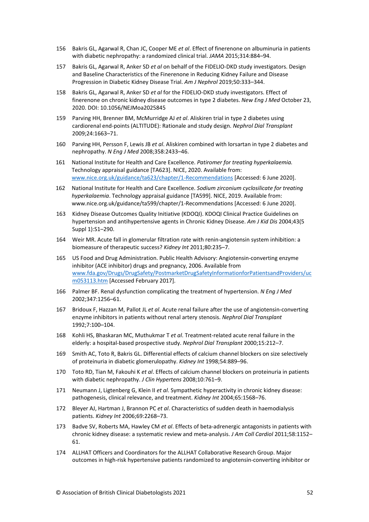- 156 Bakris GL, Agarwal R, Chan JC, Cooper ME *et al*. Effect of finerenone on albuminuria in patients with diabetic nephropathy: a randomized clinical trial. *JAMA* 2015;314:884–94.
- 157 Bakris GL, Agarwal R, Anker SD *et al* on behalf of the FIDELIO-DKD study investigators. Design and Baseline Characteristics of the Finerenone in Reducing Kidney Failure and Disease Progression in Diabetic Kidney Disease Trial. *Am J Nephrol* 2019;50:333–344.
- 158 Bakris GL, Agarwal R, Anker SD *et al* for the FIDELIO-DKD study investigators. Effect of finerenone on chronic kidney disease outcomes in type 2 diabetes. *New Eng J Med* October 23, 2020. DOI: 10.1056/NEJMoa2025845
- 159 Parving HH, Brenner BM, McMurridge AJ *et al*. Aliskiren trial in type 2 diabetes using cardiorenal end-points (ALTITUDE): Rationale and study design. *Nephrol Dial Transplant* 2009;24:1663–71.
- 160 Parving HH, Persson F, Lewis JB *et al*. Aliskiren combined with lorsartan in type 2 diabetes and nephropathy. *N Eng J Med* 2008;358:2433–46.
- 161 National Institute for Health and Care Excellence. *Patiromer for treating hyperkalaemia.* Technology appraisal guidance [TA623]. NICE, 2020. Available from: [www.nice.org.uk/guidance/ta623/chapter/1-Recommendations](http://www.nice.org.uk/guidance/ta623/chapter/1-Recommendations) [Accessed: 6 June 2020].
- 162 National Institute for Health and Care Excellence. *Sodium zirconium cyclosilicate for treating hyperkalaemia*. Technology appraisal guidance [TA599]. NICE, 2019. Available from: www.nice.org.uk/guidance/ta599/chapter/1-Recommendations [Accessed: 6 June 2020].
- 163 Kidney Disease Outcomes Quality Initiative (KDOQI). KDOQI Clinical Practice Guidelines on hypertension and antihypertensive agents in Chronic Kidney Disease. *Am J Kid Dis* 2004;43(5 Suppl 1):S1–290.
- 164 Weir MR. Acute fall in glomerular filtration rate with renin-angiotensin system inhibition: a biomeasure of therapeutic success? *Kidney Int* 2011;80:235–7.
- 165 US Food and Drug Administration. Public Health Advisory: Angiotensin-converting enzyme inhibitor (ACE inhibitor) drugs and pregnancy, 2006. Available from [www.fda.gov/Drugs/DrugSafety/PostmarketDrugSafetyInformationforPatientsandProviders/uc](http://www.fda.gov/Drugs/DrugSafety/PostmarketDrugSafetyInformationforPatientsandProviders/ucm053113.htm) [m053113.htm](http://www.fda.gov/Drugs/DrugSafety/PostmarketDrugSafetyInformationforPatientsandProviders/ucm053113.htm) [Accessed February 2017].
- 166 Palmer BF. Renal dysfunction complicating the treatment of hypertension. *N Eng J Med* 2002;347:1256–61.
- 167 Bridoux F, Hazzan M, Pallot JL *et al*. Acute renal failure after the use of angiotensin-converting enzyme inhibitors in patients without renal artery stenosis. *Nephrol Dial Transplant* 1992;7:100–104.
- 168 Kohli HS, Bhaskaran MC, Muthukmar T *et al*. Treatment-related acute renal failure in the elderly: a hospital-based prospective study. *Nephrol Dial Transplant* 2000;15:212–7.
- 169 Smith AC, Toto R, Bakris GL. Differential effects of calcium channel blockers on size selectively of proteinuria in diabetic glomerulopathy. *Kidney Int* 1998;54:889–96.
- 170 Toto RD, Tian M, Fakouhi K *et al*. Effects of calcium channel blockers on proteinuria in patients with diabetic nephropathy. *J Clin Hypertens* 2008;10:761–9.
- 171 Neumann J, Ligtenberg G, Klein II *et al*. Sympathetic hyperactivity in chronic kidney disease: pathogenesis, clinical relevance, and treatment. *Kidney Int* 2004;65:1568–76.
- 172 Bleyer AJ, Hartman J, Brannon PC *et al*. Characteristics of sudden death in haemodialysis patients. *Kidney Int* 2006;69:2268–73.
- 173 Badve SV, Roberts MA, Hawley CM *et al*. Effects of beta-adrenergic antagonists in patients with chronic kidney disease: a systematic review and meta-analysis. *J Am Coll Cardiol* 2011;58:1152– 61.
- 174 ALLHAT Officers and Coordinators for the ALLHAT Collaborative Research Group. Major outcomes in high-risk hypertensive patients randomized to angiotensin-converting inhibitor or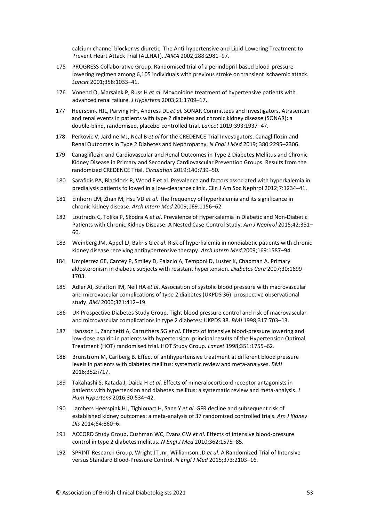calcium channel blocker vs diuretic: The Anti-hypertensive and Lipid-Lowering Treatment to Prevent Heart Attack Trial (ALLHAT). *JAMA* 2002;288:2981–97.

- 175 PROGRESS Collaborative Group. Randomised trial of a perindopril-based blood-pressurelowering regimen among 6,105 individuals with previous stroke on transient ischaemic attack. *Lancet* 2001;358:1033–41.
- 176 Vonend O, Marsalek P, Russ H *et al*. Moxonidine treatment of hypertensive patients with advanced renal failure. *J Hypertens* 2003;21:1709–17.
- 177 Heerspink HJL, Parving HH, Andress DL *et al.* SONAR Committees and Investigators. Atrasentan and renal events in patients with type 2 diabetes and chronic kidney disease (SONAR): a double-blind, randomised, placebo-controlled trial. *Lancet* 2019;393:1937–47.
- 178 Perkovic V, Jardine MJ, Neal B *et al* for the CREDENCE Trial Investigators. Canagliflozin and Renal Outcomes in Type 2 Diabetes and Nephropathy. *N Engl J Med* 2019; 380:2295–2306.
- 179 Canagliflozin and Cardiovascular and Renal Outcomes in Type 2 Diabetes Mellitus and Chronic Kidney Disease in Primary and Secondary Cardiovascular Prevention Groups. Results from the randomized CREDENCE Trial. *Circulation* 2019;140:739–50.
- 180 Sarafidis PA, Blacklock R, Wood E et al. Prevalence and factors associated with hyperkalemia in predialysis patients followed in a low-clearance clinic. Clin J Am Soc Nephrol 2012;7:1234–41.
- 181 Einhorn LM, Zhan M, Hsu VD *et al*. The frequency of hyperkalemia and its significance in chronic kidney disease. *Arch Intern Med* 2009;169:1156–62.
- 182 Loutradis C, Tolika P, Skodra A *et al*. Prevalence of Hyperkalemia in Diabetic and Non-Diabetic Patients with Chronic Kidney Disease: A Nested Case-Control Study. *Am J Nephrol* 2015;42:351– 60.
- 183 Weinberg JM, Appel LJ, Bakris G *et al*. Risk of hyperkalemia in nondiabetic patients with chronic kidney disease receiving antihypertensive therapy. *Arch Intern Med* 2009;169:1587–94.
- 184 Umpierrez GE, Cantey P, Smiley D, Palacio A, Temponi D, Luster K, Chapman A. Primary aldosteronism in diabetic subjects with resistant hypertension. *Diabetes Care* 2007;30:1699– 1703.
- 185 Adler AI, Stratton IM, Neil HA *et al*. Association of systolic blood pressure with macrovascular and microvascular complications of type 2 diabetes (UKPDS 36): prospective observational study. *BMJ* 2000;321:412–19.
- 186 UK Prospective Diabetes Study Group. Tight blood pressure control and risk of macrovascular and microvascular complications in type 2 diabetes: UKPDS 38. *BMJ* 1998;317:703–13.
- 187 Hansson L, Zanchetti A, Carruthers SG *et al*. Effects of intensive blood-pressure lowering and low-dose aspirin in patients with hypertension: principal results of the Hypertension Optimal Treatment (HOT) randomised trial. HOT Study Group. *Lancet* 1998;351:1755–62.
- 188 Brunström M, Carlberg B. Effect of antihypertensive treatment at different blood pressure levels in patients with diabetes mellitus: systematic review and meta-analyses. *BMJ* 2016;352:i717.
- 189 Takahashi S, Katada J, Daida H *et al*. Effects of mineralocorticoid receptor antagonists in patients with hypertension and diabetes mellitus: a systematic review and meta-analysis. *J Hum Hypertens* 2016;30:534–42.
- 190 Lambers Heerspink HJ, Tighiouart H, Sang Y *et al*. GFR decline and subsequent risk of established kidney outcomes: a meta-analysis of 37 randomized controlled trials. *Am J Kidney Dis* 2014;64:860–6.
- 191 ACCORD Study Group, Cushman WC, Evans GW *et al*. Effects of intensive blood-pressure control in type 2 diabetes mellitus. *N Engl J Med* 2010;362:1575–85.
- 192 SPRINT Research Group, Wright JT Jnr, Williamson JD *et al*. A Randomized Trial of Intensive versus Standard Blood-Pressure Control. *N Engl J Med* 2015;373:2103–16.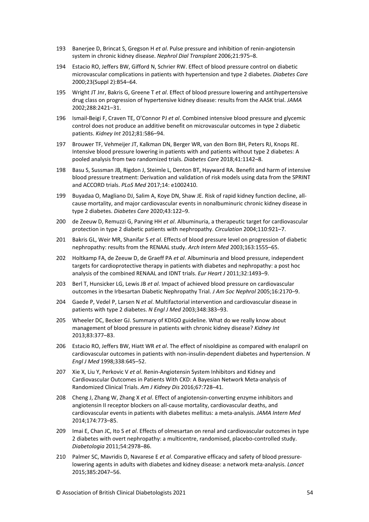- 193 Banerjee D, Brincat S, Gregson H *et al*. Pulse pressure and inhibition of renin-angiotensin system in chronic kidney disease. *Nephrol Dial Transplant* 2006;21:975–8.
- 194 Estacio RO, Jeffers BW, Gifford N, Schrier RW. Effect of blood pressure control on diabetic microvascular complications in patients with hypertension and type 2 diabetes. *Diabetes Care*  2000;23(Suppl 2):B54–64.
- 195 Wright JT Jnr, Bakris G, Greene T *et al*. Effect of blood pressure lowering and antihypertensive drug class on progression of hypertensive kidney disease: results from the AASK trial. *JAMA* 2002;288:2421–31.
- 196 Ismail-Beigi F, Craven TE, O'Connor PJ *et al*. Combined intensive blood pressure and glycemic control does not produce an additive benefit on microvascular outcomes in type 2 diabetic patients. *Kidney Int* 2012;81:586–94.
- 197 Brouwer TF, Vehmeijer JT, Kalkman DN, Berger WR, van den Born BH, Peters RJ, Knops RE. Intensive blood pressure lowering in patients with and patients without type 2 diabetes: A pooled analysis from two randomized trials. *Diabetes Care* 2018;41:1142–8.
- 198 Basu S, Sussman JB, Rigdon J, Steimle L, Denton BT, Hayward RA. Benefit and harm of intensive blood pressure treatment: Derivation and validation of risk models using data from the SPRINT and ACCORD trials. *PLoS Med* 2017;14: e1002410.
- 199 Buyadaa O, Magliano DJ, Salim A, Koye DN, Shaw JE. Risk of rapid kidney function decline, allcause mortality, and major cardiovascular events in nonalbuminuric chronic kidney disease in type 2 diabetes. *Diabetes Care* 2020;43:122–9.
- 200 de Zeeuw D, Remuzzi G, Parving HH *et al*. Albuminuria, a therapeutic target for cardiovascular protection in type 2 diabetic patients with nephropathy. *Circulation* 2004;110:921–7.
- 201 Bakris GL, Weir MR, Shanifar S *et al*. Effects of blood pressure level on progression of diabetic nephropathy: results from the RENAAL study. *Arch Intern Med* 2003;163:1555–65.
- 202 Holtkamp FA, de Zeeuw D, de Graeff PA *et al*. Albuminuria and blood pressure, independent targets for cardioprotective therapy in patients with diabetes and nephropathy: a post hoc analysis of the combined RENAAL and IDNT trials. *Eur Heart J* 2011;32:1493–9.
- 203 Berl T, Hunsicker LG, Lewis JB *et al*. Impact of achieved blood pressure on cardiovascular outcomes in the Irbesartan Diabetic Nephropathy Trial. *J Am Soc Nephrol* 2005;16:2170–9.
- 204 Gaede P, Vedel P, Larsen N *et al*. Multifactorial intervention and cardiovascular disease in patients with type 2 diabetes. *N Engl J Med* 2003;348:383–93.
- 205 Wheeler DC, Becker GJ. Summary of KDIGO guideline. What do we really know about management of blood pressure in patients with chronic kidney disease? *Kidney Int* 2013;83:377–83.
- 206 Estacio RO, Jeffers BW, Hiatt WR *et al*. The effect of nisoldipine as compared with enalapril on cardiovascular outcomes in patients with non-insulin-dependent diabetes and hypertension. *N Engl J Med* 1998;338:645–52.
- 207 Xie X, Liu Y, Perkovic V *et al*. Renin-Angiotensin System Inhibitors and Kidney and Cardiovascular Outcomes in Patients With CKD: A Bayesian Network Meta-analysis of Randomized Clinical Trials. *Am J Kidney Dis* 2016;67:728–41.
- 208 Cheng J, Zhang W, Zhang X *et al*. Effect of angiotensin-converting enzyme inhibitors and angiotensin II receptor blockers on all-cause mortality, cardiovascular deaths, and cardiovascular events in patients with diabetes mellitus: a meta-analysis. *JAMA Intern Med* 2014;174:773–85.
- 209 Imai E, Chan JC, Ito S *et al*. Effects of olmesartan on renal and cardiovascular outcomes in type 2 diabetes with overt nephropathy: a multicentre, randomised, placebo-controlled study. *Diabetologia* 2011;54:2978–86.
- 210 Palmer SC, Mavridis D, Navarese E *et al*. Comparative efficacy and safety of blood pressurelowering agents in adults with diabetes and kidney disease: a network meta-analysis. *Lancet* 2015;385:2047–56.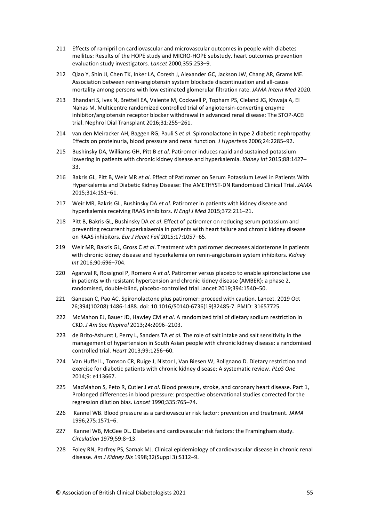- 211 Effects of ramipril on cardiovascular and microvascular outcomes in people with diabetes mellitus: Results of the HOPE study and MICRO-HOPE substudy. heart outcomes prevention evaluation study investigators. *Lancet* 2000;355:253–9.
- 212 Qiao Y, Shin JI, Chen TK, Inker LA, Coresh J, Alexander GC, Jackson JW, Chang AR, Grams ME. Association between renin-angiotensin system blockade discontinuation and all-cause mortality among persons with low estimated glomerular filtration rate. *JAMA Intern Med* 2020.
- 213 Bhandari S, Ives N, Brettell EA, Valente M, Cockwell P, Topham PS, Cleland JG, Khwaja A, El Nahas M. Multicentre randomized controlled trial of angiotensin-converting enzyme inhibitor/angiotensin receptor blocker withdrawal in advanced renal disease: The STOP-ACEi trial. Nephrol Dial Transplant 2016;31:255–261.
- 214 van den Meiracker AH, Baggen RG, Pauli S *et al*. Spironolactone in type 2 diabetic nephropathy: Effects on proteinuria, blood pressure and renal function. *J Hypertens* 2006;24:2285–92.
- 215 Bushinsky DA, Williams GH, Pitt B *et al*. Patiromer induces rapid and sustained potassium lowering in patients with chronic kidney disease and hyperkalemia. *Kidney Int* 2015;88:1427– 33.
- 216 Bakris GL, Pitt B, Weir MR *et al*. Effect of Patiromer on Serum Potassium Level in Patients With Hyperkalemia and Diabetic Kidney Disease: The AMETHYST-DN Randomized Clinical Trial. *JAMA* 2015;314:151–61.
- 217 Weir MR, Bakris GL, Bushinsky DA *et al*. Patiromer in patients with kidney disease and hyperkalemia receiving RAAS inhibitors. *N Engl J Med* 2015;372:211–21.
- 218 Pitt B, Bakris GL, Bushinsky DA *et al*. Effect of patiromer on reducing serum potassium and preventing recurrent hyperkalaemia in patients with heart failure and chronic kidney disease on RAAS inhibitors. *Eur J Heart Fail* 2015;17:1057–65.
- 219 Weir MR, Bakris GL, Gross C *et al*. Treatment with patiromer decreases aldosterone in patients with chronic kidney disease and hyperkalemia on renin-angiotensin system inhibitors. *Kidney Int* 2016;90:696–704.
- 220 Agarwal R, Rossignol P, Romero A *et al*. Patiromer versus placebo to enable spironolactone use in patients with resistant hypertension and chronic kidney disease (AMBER): a phase 2, randomised, double-blind, placebo-controlled trial Lancet 2019;394:1540–50.
- 221 Ganesan C, Pao AC. Spironolactone plus patiromer: proceed with caution. Lancet. 2019 Oct 26;394(10208):1486-1488. doi: 10.1016/S0140-6736(19)32485-7. PMID: 31657725.
- 222 McMahon EJ, Bauer JD, Hawley CM *et al*. A randomized trial of dietary sodium restriction in CKD. *J Am Soc Nephrol* 2013;24:2096–2103.
- 223 de Brito-Ashurst I, Perry L, Sanders TA *et al*. The role of salt intake and salt sensitivity in the management of hypertension in South Asian people with chronic kidney disease: a randomised controlled trial. *Heart* 2013;99:1256–60.
- 224 Van Huffel L, Tomson CR, Ruige J, Nistor I, Van Biesen W, Bolignano D. Dietary restriction and exercise for diabetic patients with chronic kidney disease: A systematic review. *PLoS One* 2014;9: e113667.
- 225 MacMahon S, Peto R, Cutler J *et al.* Blood pressure, stroke, and coronary heart disease. Part 1, Prolonged differences in blood pressure: prospective observational studies corrected for the regression dilution bias. *Lancet* 1990;335:765–74.
- 226 Kannel WB. Blood pressure as a cardiovascular risk factor: prevention and treatment. *JAMA* 1996;275:1571–6.
- 227 Kannel WB, McGee DL. Diabetes and cardiovascular risk factors: the Framingham study. *Circulation* 1979;59:8–13.
- 228 Foley RN, Parfrey PS, Sarnak MJ. Clinical epidemiology of cardiovascular disease in chronic renal disease. *Am J Kidney Dis* 1998;32(Suppl 3):S112–9.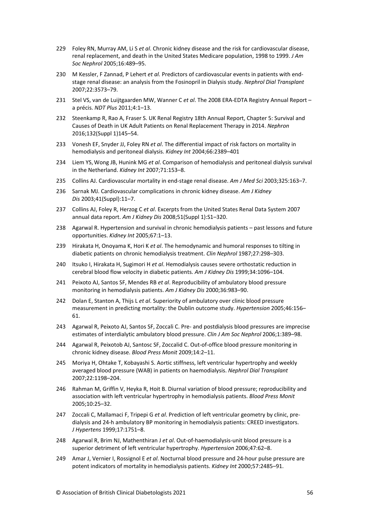- 229 Foley RN, Murray AM, Li S *et al*. Chronic kidney disease and the risk for cardiovascular disease, renal replacement, and death in the United States Medicare population, 1998 to 1999. *J Am Soc Nephrol* 2005;16:489–95.
- 230 M Kessler, F Zannad, P Lehert *et al.* Predictors of cardiovascular events in patients with endstage renal disease: an analysis from the Fosinopril in Dialysis study. *Nephrol Dial Transplant* 2007;22:3573–79.
- 231 Stel VS, van de Luijtgaarden MW, Wanner C *et al*. The 2008 ERA-EDTA Registry Annual Report a précis. *NDT Plus* 2011;4:1–13.
- 232 Steenkamp R, Rao A, Fraser S. UK Renal Registry 18th Annual Report, Chapter 5: Survival and Causes of Death in UK Adult Patients on Renal Replacement Therapy in 2014. *Nephron* 2016;132(Suppl 1)145–54.
- 233 Vonesh EF, Snyder JJ, Foley RN *et al*. The differential impact of risk factors on mortality in hemodialysis and peritoneal dialysis. *Kidney Int* 2004;66:2389–401
- 234 Liem YS,Wong JB, Hunink MG *et al*. Comparison of hemodialysis and peritoneal dialysis survival in the Netherland. *[Kidney](http://www.sciencedirect.com/science/journal/00852538) Int* 2007;71:153–8.
- 235 Collins AJ. Cardiovascular mortality in end-stage renal disease. *[Am J Med Sci](https://www.ncbi.nlm.nih.gov/pubmed/12695721)* 2003;325:163–7.
- 236 Sarnak MJ. Cardiovascular complications in chronic kidney disease. *Am J Kidney Dis* 2003;41(Suppl):11–7.
- 237 Collins AJ, Foley R, Herzog C *et al*. Excerpts from the United States Renal Data System 2007 annual data report. *Am J Kidney Dis* 2008;51(Suppl 1):S1–320.
- 238 Agarwal R. Hypertension and survival in chronic hemodialysis patients past lessons and future opportunities. *Kidney Int* 2005;67:1–13.
- 239 Hirakata H, Onoyama K, Hori K *et al*. The hemodynamic and humoral responses to tilting in diabetic patients on chronic hemodialysis treatment. *Clin Nephrol* 1987;27:298–303.
- 240 Itsuko I, Hirakata H, Sugimori H *et al*. Hemodialysis causes severe orthostatic reduction in cerebral blood flow velocity in diabetic patients. *Am [J Kidney](http://www.sciencedirect.com/science/journal/02726386) Dis* 1999[;34:](http://www.sciencedirect.com/science/journal/02726386/34/6)1096–104.
- 241 Peixoto AJ, Santos SF, Mendes RB *et al*. Reproducibility of ambulatory blood pressure monitoring in hemodialysis patients. *Am J Kidney Dis* 2000;36:983–90.
- 242 Dolan E, Stanton A, Thijs L *et al*. Superiority of ambulatory over clinic blood pressure measurement in predicting mortality: the Dublin outcome study. *Hypertension* 2005;46:156– 61.
- 243 Agarwal R, Peixoto AJ, Santos SF, Zoccali C. Pre- and postdialysis blood pressures are imprecise estimates of interdialytic ambulatory blood pressure. *Clin J Am Soc Nephrol* 2006;1:389–98.
- 244 Agarwal R, Peixotob AJ, Santosc SF, Zoccalid C. Out-of-office blood pressure monitoring in chronic kidney disease. *Blood Press Monit* 2009;14:2–11.
- 245 Moriya H, Ohtake T, Kobayashi S. Aortic stiffness, left ventricular hypertrophy and weekly averaged blood pressure (WAB) in patients on haemodialysis. *Nephrol Dial Transplant*  2007;22:1198–204.
- 246 Rahman M, Griffin V, Heyka R, Hoit B. Diurnal variation of blood pressure; reproducibility and association with left ventricular hypertrophy in hemodialysis patients. *Blood Press Monit* 2005;10:25–32.
- 247 Zoccali C, Mallamaci F, Tripepi G *et al*. Prediction of left ventricular geometry by clinic, predialysis and 24-h ambulatory BP monitoring in hemodialysis patients: CREED investigators. *J Hypertens* 1999;17:1751–8.
- 248 Agarwal R, Brim NJ, Mathenthiran J *et al*. Out-of-haemodialysis-unit blood pressure is a superior detriment of left ventricular hypertrophy. *Hypertension* 2006;47:62–8.
- 249 Amar J, Vernier I, Rossignol E *et al*. Nocturnal blood pressure and 24-hour pulse pressure are potent indicators of mortality in hemodialysis patients. *Kidney Int* 2000;57:2485–91.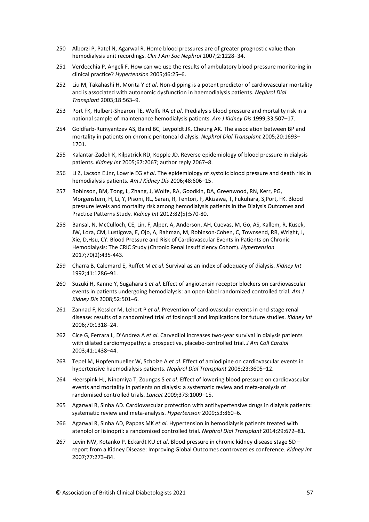- 250 Alborzi P, Patel N, Agarwal R. Home blood pressures are of greater prognostic value than hemodialysis unit recordings. *Clin J Am Soc Nephrol* 2007;2:1228–34.
- 251 Verdecchia P, Angeli F. How can we use the results of ambulatory blood pressure monitoring in clinical practice? *Hypertension* 2005;46:25–6.
- 252 Liu M, Takahashi H, Morita Y *et al*. Non-dipping is a potent predictor of cardiovascular mortality and is associated with autonomic dysfunction in haemodialysis patients. *Nephrol Dial Transplant* 2003;18:563–9.
- 253 Port FK, Hulbert-Shearon TE, Wolfe RA *et al*. Predialysis blood pressure and mortality risk in a national sample of maintenance hemodialysis patients. *Am J Kidney Dis* 1999;33:507–17.
- 254 Goldfarb-Rumyantzev AS, Baird BC, Leypoldt JK, Cheung AK. The association between BP and mortality in patients on chronic peritoneal dialysis. *Nephrol Dial Transplant* 2005;20:1693– 1701.
- 255 Kalantar-Zadeh K, Kilpatrick RD, Kopple JD. Reverse epidemiology of blood pressure in dialysis patients. *Kidney Int* 2005;67:2067; author reply 2067–8.
- 256 Li Z, Lacson E Jnr, Lowrie EG *et al*. The epidemiology of systolic blood pressure and death risk in hemodialysis patients. *Am J Kidney Dis* 2006;48:606–15.
- 257 Robinson, BM, Tong, L, Zhang, J, Wolfe, RA, Goodkin, DA, Greenwood, RN, Kerr, PG, Morgenstern, H, Li, Y, Pisoni, RL, Saran, R, Tentori, F, Akizawa, T, Fukuhara, S,Port, FK. Blood pressure levels and mortality risk among hemodialysis patients in the Dialysis Outcomes and Practice Patterns Study*. Kidney Int* 2012;82(5):570-80.
- 258 Bansal, N, McCulloch, CE, Lin, F, Alper, A, Anderson, AH, Cuevas, M, Go, AS, Kallem, R, Kusek, JW, Lora, CM, Lustigova, E, Ojo, A, Rahman, M, Robinson-Cohen, C, Townsend, RR, Wright, J, Xie, D,Hsu, CY. Blood Pressure and Risk of Cardiovascular Events in Patients on Chronic Hemodialysis: The CRIC Study (Chronic Renal Insufficiency Cohort)*. Hypertension* 2017;70(2):435-443.
- 259 Charra B, Calemard E, Ruffet M *et al*. Survival as an index of adequacy of dialysis. *Kidney Int* 1992;41:1286–91.
- 260 Suzuki H, Kanno Y, Sugahara S *et al*. Effect of angiotensin receptor blockers on cardiovascular events in patients undergoing hemodialysis: an open-label randomized controlled trial. *Am J Kidney Dis* 2008;52:501–6.
- 261 Zannad F, Kessler M, Lehert P *et al*. Prevention of cardiovascular events in end-stage renal disease: results of a randomized trial of fosinopril and implications for future studies. *Kidney Int* 2006;70:1318–24.
- 262 Cice G, Ferrara L, D'Andrea A *et al*. Carvedilol increases two-year survival in dialysis patients with dilated cardiomyopathy: a prospective, placebo-controlled trial. *J Am Coll Cardiol* 2003;41:1438–44.
- 263 Tepel M, Hopfenmueller W, Scholze A *et al*. Effect of amlodipine on cardiovascular events in hypertensive haemodialysis patients. *Nephrol Dial Transplant* 2008;23:3605–12.
- 264 Heerspink HJ, Ninomiya T, Zoungas S *et al*. Effect of lowering blood pressure on cardiovascular events and mortality in patients on dialysis: a systematic review and meta-analysis of randomised controlled trials. *Lancet* 2009;373:1009–15.
- 265 Agarwal R, Sinha AD. Cardiovascular protection with antihypertensive drugs in dialysis patients: systematic review and meta-analysis. *Hypertension* 2009;53:860–6.
- 266 Agarwal R, Sinha AD, Pappas MK *et al*. Hypertension in hemodialysis patients treated with atenolol or lisinopril: a randomized controlled trial. *Nephrol Dial Transplant* 2014;29:672–81.
- 267 Levin NW, Kotanko P, Eckardt KU *et al*. Blood pressure in chronic kidney disease stage 5D report from a Kidney Disease: Improving Global Outcomes controversies conference. *Kidney Int* 2007;77:273–84.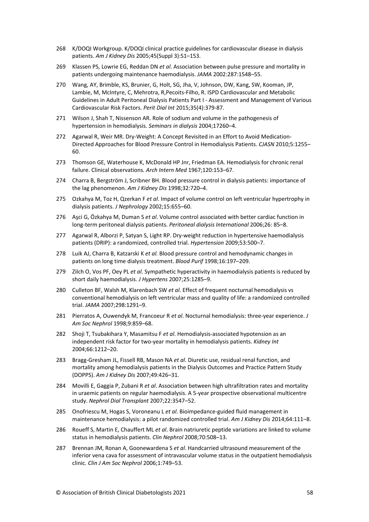- 268 K/DOQI Workgroup. K/DOQI clinical practice guidelines for cardiovascular disease in dialysis patients. *Am J Kidney Dis* 2005;45(Suppl 3):S1–153.
- 269 Klassen PS, Lowrie EG, Reddan DN *et al*. Association between pulse pressure and mortality in patients undergoing maintenance haemodialysis. *JAMA* 2002:287:1548–55.
- 270 Wang, AY, Brimble, KS, Brunier, G, Holt, SG, Jha, V, Johnson, DW, Kang, SW, Kooman, JP, Lambie, M, McIntyre, C, Mehrotra, R,Pecoits-Filho, R. ISPD Cardiovascular and Metabolic Guidelines in Adult Peritoneal Dialysis Patients Part I - Assessment and Management of Various Cardiovascular Risk Factors*. Perit Dial Int* 2015;35(4):379-87.
- 271 Wilson J, Shah T, Nissenson AR. Role of sodium and volume in the pathogenesis of hypertension in hemodialysis. *Seminars in dialysis* 2004;17260–4.
- 272 Agarwal R, Weir MR. Dry-Weight: A Concept Revisited in an Effort to Avoid Medication-Directed Approaches for Blood Pressure Control in Hemodialysis Patients. *CJASN* 2010;5:1255– 60.
- 273 Thomson GE, Waterhouse K, McDonald HP Jnr, Friedman EA. Hemodialysis for chronic renal failure. Clinical observations*. Arch Intern Med* 1967;120:153*–*67.
- 274 Charra B, Bergström J, Scribner BH. Blood pressure control in dialysis patients: importance of the lag phenomenon. *Am J Kidney Dis* 1998;32:720–4.
- 275 Ozkahya M, Toz H, Qzerkan F *et al*. Impact of volume control on left ventricular hypertrophy in dialysis patients. *J Nephrology* 2002;15:655–60.
- 276 Aşci G, Özkahya M, Duman S *et al*. Volume control associated with better cardiac function in long-term peritoneal dialysis patients. *Peritoneal dialysis International* 2006;26: 85–8.
- 277 Agarwal R, Alborzi P, Satyan S, Light RP. Dry-weight reduction in hypertensive haemodialysis patients (DRIP): a randomized, controlled trial. *Hypertension* 2009;53:500–7.
- 278 Luik AJ, Charra B, Katzarski K *et al.* Blood pressure control and hemodynamic changes in patients on long time dialysis treatment. *Blood Purif* 1998;16:197–209.
- 279 Zilch O, Vos PF, Oey PL *et al.* Sympathetic hyperactivity in haemodialysis patients is reduced by short daily haemodialysis. *J Hypertens* 2007;25:1285–9.
- 280 Culleton BF, Walsh M, Klarenbach SW *et al*. Effect of frequent nocturnal hemodialysis vs conventional hemodialysis on left ventricular mass and quality of life: a randomized controlled trial. *JAMA* 2007;298:1291–9.
- 281 Pierratos A, Ouwendyk M, Francoeur R *et al*. Nocturnal hemodialysis: three-year experience. *J Am Soc Nephrol* 1998;9:859–68.
- 282 Shoji T, Tsubakihara Y, Masamitsu F *et al*. Hemodialysis-associated hypotension as an independent risk factor for two-year mortality in hemodialysis patients. *Kidney Int*  2004;66:1212–20.
- 283 Bragg-Gresham JL, Fissell RB, Mason NA *et al*. Diuretic use, residual renal function, and mortality among hemodialysis patients in the Dialysis Outcomes and Practice Pattern Study (DOPPS). *Am J Kidney Dis* 2007;49:426–31.
- 284 Movilli E, Gaggia P, Zubani R *et al*. Association between high ultrafiltration rates and mortality in uraemic patients on regular haemodialysis. A 5-year prospective observational multicentre study. *Nephrol Dial Transplant* 2007;22:3547–52.
- 285 Onofriescu M, Hogas S, Voroneanu L *et al*. Bioimpedance-guided fluid management in maintenance hemodialysis: a pilot randomized controlled trial. *Am J Kidney Dis* 2014;64:111–8.
- 286 Roueff S, Martin E, Chauffert ML *et al*. Brain natriuretic peptide variations are linked to volume status in hemodialysis patients. *Clin Nephrol* 2008;70:508–13.
- 287 Brennan JM, Ronan A, Goonewardena S *et al*. Handcarried ultrasound measurement of the inferior vena cava for assessment of intravascular volume status in the outpatient hemodialysis clinic. *Clin J Am Soc Nephrol* 2006;1:749–53.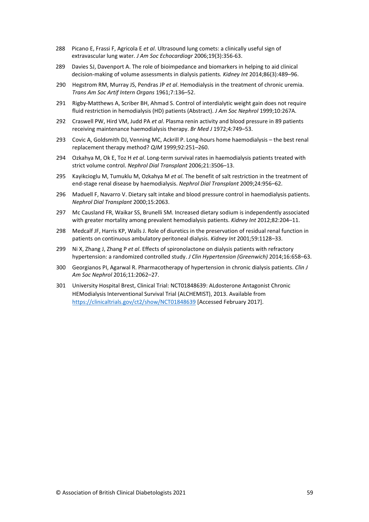- 288 Picano E, Frassi F, Agricola E *et al*. Ultrasound lung comets: a clinically useful sign of extravascular lung water*. J Am Soc Echocardiogr* 2006;19(3):356-63.
- 289 Davies SJ, Davenport A. The role of bioimpedance and biomarkers in helping to aid clinical decision-making of volume assessments in dialysis patients*. Kidney Int* 2014;86(3):489–96.
- 290 Hegstrom RM, Murray JS, Pendras JP *et al*. Hemodialysis in the treatment of chronic uremia. *Trans Am Soc Artif Intern Organs* 1961;7:136–52.
- 291 Rigby-Matthews A, Scriber BH, Ahmad S. Control of interdialytic weight gain does not require fluid restriction in hemodialysis (HD) patients (Abstract). *J Am Soc Nephrol* 1999;10:267A.
- 292 Craswell PW, Hird VM, Judd PA *et al*. Plasma renin activity and blood pressure in 89 patients receiving maintenance haemodialysis therapy. *Br Med J* 1972;4:749–53.
- 293 Covic A, Goldsmith DJ, Venning MC, Ackrill P. Long-hours home haemodialysis the best renal replacement therapy method? *QJM* 1999;92:251–260.
- 294 Ozkahya M, Ok E, Toz H *et al*. Long-term survival rates in haemodialysis patients treated with strict volume control. *Nephrol Dial Transplant* 2006;21:3506–13.
- 295 Kayikcioglu M, Tumuklu M, Ozkahya M *et al*. The benefit of salt restriction in the treatment of end-stage renal disease by haemodialysis. *Nephrol Dial Transplant* 2009;24:956–62.
- 296 Maduell F, Navarro V. Dietary salt intake and blood pressure control in haemodialysis patients. *Nephrol Dial Transplant* 2000;15:2063.
- 297 Mc Causland FR, Waikar SS, Brunelli SM. Increased dietary sodium is independently associated with greater mortality among prevalent hemodialysis patients. *Kidney Int* 2012;82:204–11.
- 298 Medcalf JF, Harris KP, Walls J. Role of diuretics in the preservation of residual renal function in patients on continuous ambulatory peritoneal dialysis. *Kidney Int* 2001;59:1128–33.
- 299 Ni X, Zhang J, Zhang P *et al*. Effects of spironolactone on dialysis patients with refractory hypertension: a randomized controlled study. *J Clin Hypertension (Greenwich)* 2014;16:658–63.
- 300 Georgianos PI, Agarwal R. Pharmacotherapy of hypertension in chronic dialysis patients. *Clin J Am Soc Nephrol* 2016;11:2062–27.
- 301 University Hospital Brest, Clinical Trial: NCT01848639: ALdosterone Antagonist Chronic HEModialysis Interventional Survival Trial (ALCHEMIST), 2013. Available from <https://clinicaltrials.gov/ct2/show/NCT01848639> [Accessed February 2017].